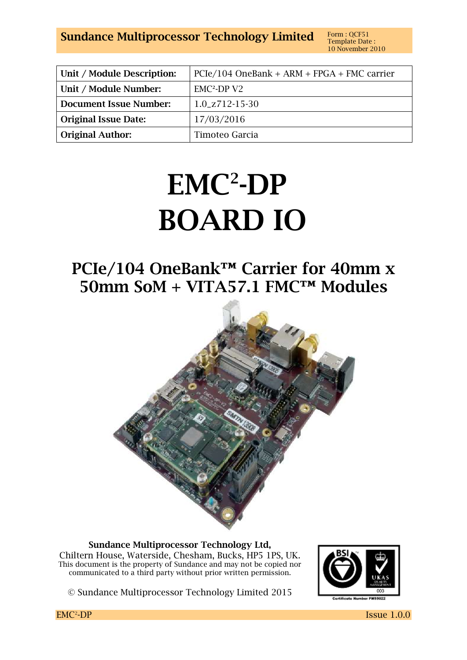**Sundance Multiprocessor Technology Limited** Form : QCF51

| Unit / Module Description:    | $PCIe/104$ OneBank + ARM + FPGA + FMC carrier |
|-------------------------------|-----------------------------------------------|
| Unit / Module Number:         | $EMC2-DPV2$                                   |
| <b>Document Issue Number:</b> | $1.0$ <sub>-Z</sub> $712$ -15-30              |
| <b>Original Issue Date:</b>   | 17/03/2016                                    |
| <b>Original Author:</b>       | Timoteo Garcia                                |

# **EMC<sup>2</sup> -DP BOARD IO**

# **PCIe/104 OneBank™ Carrier for 40mm x 50mm SoM + VITA57.1 FMC™ Modules**



**Sundance Multiprocessor Technology Ltd,**  Chiltern House, Waterside, Chesham, Bucks, HP5 1PS, UK. This document is the property of Sundance and may not be copied nor communicated to a third party without prior written permission.



© Sundance Multiprocessor Technology Limited 2015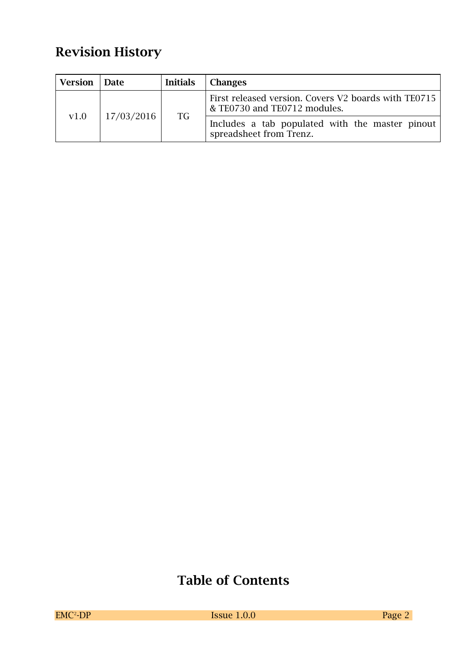# **Revision History**

| Version | <b>Date</b> | <b>Initials</b> | <b>Changes</b>                                                                       |
|---------|-------------|-----------------|--------------------------------------------------------------------------------------|
|         |             | <b>TG</b>       | First released version. Covers V2 boards with TE0715<br>& TE0730 and TE0712 modules. |
| v1.0    | 17/03/2016  |                 | Includes a tab populated with the master pinout<br>spreadsheet from Trenz.           |

# **Table of Contents**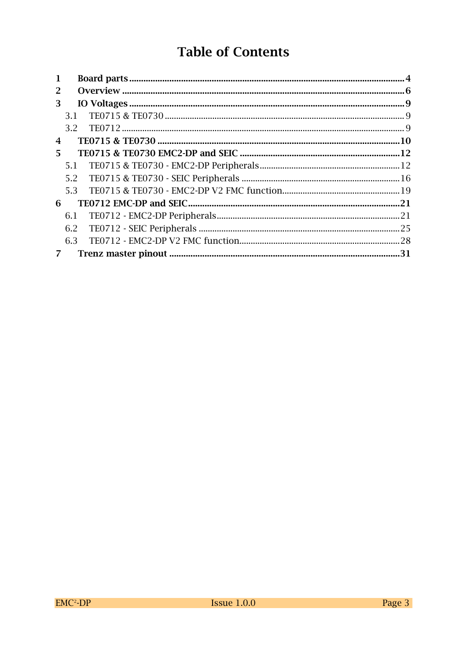# **Table of Contents**

| $\mathbf{1}$ |     |     |
|--------------|-----|-----|
| 2            |     |     |
| 3            |     |     |
|              |     |     |
|              | 3.2 |     |
| 4            |     |     |
| 5.           |     |     |
|              |     |     |
|              |     |     |
|              |     |     |
| 6            |     |     |
|              |     |     |
|              |     |     |
|              | 6.3 |     |
|              |     | .31 |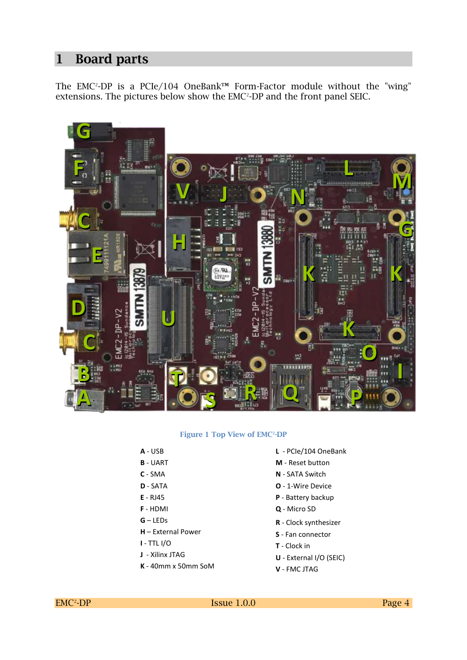#### **1 Board parts**

The EMC<sup>2</sup>-DP is a PCIe/104 OneBank™ Form-Factor module without the "wing" extensions. The pictures below show the EMC<sup>2</sup>-DP and the front panel SEIC.



#### **Figure 1 Top View of EMC<sup>2</sup> -DP**

- **A** USB
- **B** UART
- **C** SMA
- **D** SATA
- **E** RJ45
- **F** HDMI
- **G** LEDs
- **H** External Power
- **I**  TTL I/O
- **J** Xilinx JTAG
- **K** 40mm x 50mm SoM
- **L** PCIe/104 OneBank
- **M** Reset button
- **N** SATA Switch
- **O** 1-Wire Device
- **P** Battery backup
- **Q**  Micro SD
- **R** Clock synthesizer
- **S** Fan connector
- **T** Clock in
- **U** External I/O (SEIC)
- **V** FMC JTAG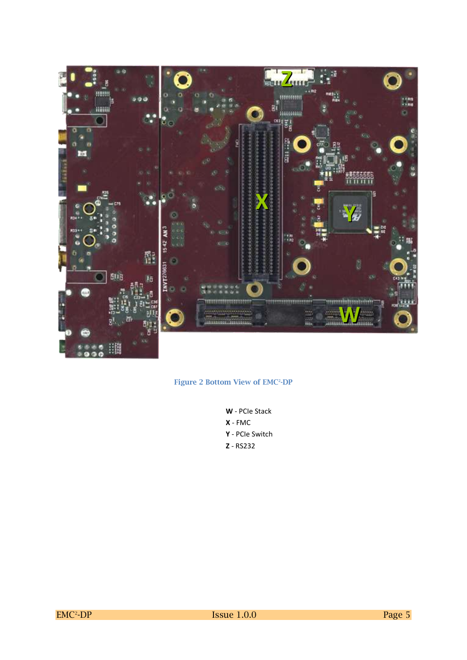

#### **Figure 2 Bottom View of EMC<sup>2</sup> -DP**

**W** - PCIe Stack **X** - FMC **Y** - PCIe Switch **Z** - RS232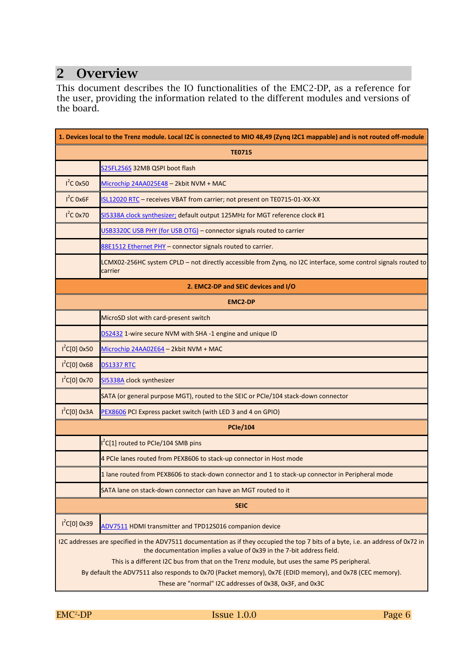### **2 Overview**

This document describes the IO functionalities of the EMC2-DP, as a reference for the user, providing the information related to the different modules and versions of the board.

| 1. Devices local to the Trenz module. Local I2C is connected to MIO 48,49 (Zynq I2C1 mappable) and is not routed off-module |                                                                                                                                                                                                                                                                                                           |  |  |  |  |  |
|-----------------------------------------------------------------------------------------------------------------------------|-----------------------------------------------------------------------------------------------------------------------------------------------------------------------------------------------------------------------------------------------------------------------------------------------------------|--|--|--|--|--|
|                                                                                                                             | <b>TE0715</b>                                                                                                                                                                                                                                                                                             |  |  |  |  |  |
|                                                                                                                             | S25FL256S 32MB QSPI boot flash                                                                                                                                                                                                                                                                            |  |  |  |  |  |
| $I^2C$ 0x50                                                                                                                 | Microchip 24AA025E48 - 2kbit NVM + MAC                                                                                                                                                                                                                                                                    |  |  |  |  |  |
| $I^2C$ Ox6F                                                                                                                 | ISL12020 RTC - receives VBAT from carrier; not present on TE0715-01-XX-XX                                                                                                                                                                                                                                 |  |  |  |  |  |
| $I^2C$ 0x70                                                                                                                 | SI5338A clock synthesizer; default output 125MHz for MGT reference clock #1                                                                                                                                                                                                                               |  |  |  |  |  |
|                                                                                                                             | USB3320C USB PHY (for USB OTG) - connector signals routed to carrier                                                                                                                                                                                                                                      |  |  |  |  |  |
|                                                                                                                             | 88E1512 Ethernet PHY - connector signals routed to carrier.                                                                                                                                                                                                                                               |  |  |  |  |  |
|                                                                                                                             | LCMX02-256HC system CPLD - not directly accessible from Zynq, no I2C interface, some control signals routed to<br>carrier                                                                                                                                                                                 |  |  |  |  |  |
|                                                                                                                             | 2. EMC2-DP and SEIC devices and I/O                                                                                                                                                                                                                                                                       |  |  |  |  |  |
|                                                                                                                             | <b>EMC2-DP</b>                                                                                                                                                                                                                                                                                            |  |  |  |  |  |
|                                                                                                                             | MicroSD slot with card-present switch                                                                                                                                                                                                                                                                     |  |  |  |  |  |
|                                                                                                                             | DS2432 1-wire secure NVM with SHA-1 engine and unique ID                                                                                                                                                                                                                                                  |  |  |  |  |  |
| $I^2C[0]$ 0x50                                                                                                              | Microchip 24AA02E64 - 2kbit NVM + MAC                                                                                                                                                                                                                                                                     |  |  |  |  |  |
| $1^2C[0]$ 0x68                                                                                                              | <b>DS1337 RTC</b>                                                                                                                                                                                                                                                                                         |  |  |  |  |  |
| $1^2C[0]$ 0x70                                                                                                              | SI5338A clock synthesizer                                                                                                                                                                                                                                                                                 |  |  |  |  |  |
|                                                                                                                             | SATA (or general purpose MGT), routed to the SEIC or PCIe/104 stack-down connector                                                                                                                                                                                                                        |  |  |  |  |  |
| $1^2C[0]$ 0x3A                                                                                                              | PEX8606 PCI Express packet switch (with LED 3 and 4 on GPIO)                                                                                                                                                                                                                                              |  |  |  |  |  |
|                                                                                                                             | <b>PCIe/104</b>                                                                                                                                                                                                                                                                                           |  |  |  |  |  |
|                                                                                                                             | <sup>2</sup> C[1] routed to PCIe/104 SMB pins                                                                                                                                                                                                                                                             |  |  |  |  |  |
|                                                                                                                             | 4 PCIe lanes routed from PEX8606 to stack-up connector in Host mode                                                                                                                                                                                                                                       |  |  |  |  |  |
|                                                                                                                             | 1 lane routed from PEX8606 to stack-down connector and 1 to stack-up connector in Peripheral mode                                                                                                                                                                                                         |  |  |  |  |  |
|                                                                                                                             | SATA lane on stack-down connector can have an MGT routed to it                                                                                                                                                                                                                                            |  |  |  |  |  |
|                                                                                                                             | <b>SEIC</b>                                                                                                                                                                                                                                                                                               |  |  |  |  |  |
| $I^2C[0]$ 0x39                                                                                                              | ADV7511 HDMI transmitter and TPD12S016 companion device                                                                                                                                                                                                                                                   |  |  |  |  |  |
|                                                                                                                             | I2C addresses are specified in the ADV7511 documentation as if they occupied the top 7 bits of a byte, i.e. an address of 0x72 in<br>the documentation implies a value of 0x39 in the 7-bit address field.<br>This is a different I2C bus from that on the Trenz module, but uses the same PS peripheral. |  |  |  |  |  |
|                                                                                                                             | By default the ADV7511 also responds to 0x70 (Packet memory), 0x7E (EDID memory), and 0x78 (CEC memory).<br>These are "normal" I2C addresses of 0x38, 0x3F, and 0x3C                                                                                                                                      |  |  |  |  |  |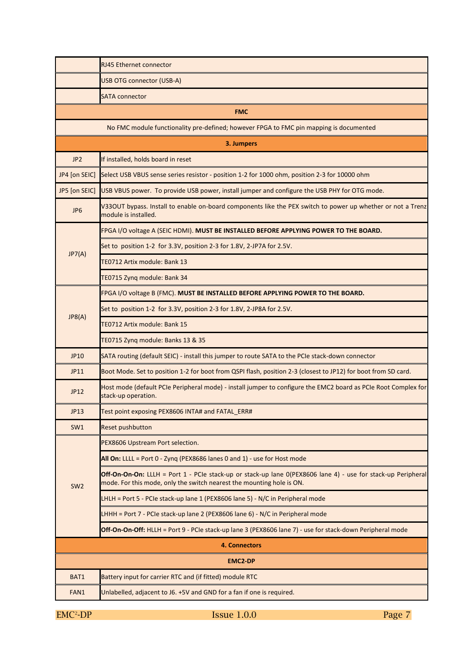|                 | <b>RJ45 Ethernet connector</b>                                                                                                                                                        |  |  |  |  |  |  |
|-----------------|---------------------------------------------------------------------------------------------------------------------------------------------------------------------------------------|--|--|--|--|--|--|
|                 | <b>USB OTG connector (USB-A)</b>                                                                                                                                                      |  |  |  |  |  |  |
|                 | <b>SATA connector</b>                                                                                                                                                                 |  |  |  |  |  |  |
|                 | <b>FMC</b>                                                                                                                                                                            |  |  |  |  |  |  |
|                 | No FMC module functionality pre-defined; however FPGA to FMC pin mapping is documented                                                                                                |  |  |  |  |  |  |
|                 | 3. Jumpers                                                                                                                                                                            |  |  |  |  |  |  |
| JP <sub>2</sub> | If installed, holds board in reset                                                                                                                                                    |  |  |  |  |  |  |
| JP4 [on SEIC]   | Select USB VBUS sense series resistor - position 1-2 for 1000 ohm, position 2-3 for 10000 ohm                                                                                         |  |  |  |  |  |  |
| JP5 [on SEIC]   | USB VBUS power. To provide USB power, install jumper and configure the USB PHY for OTG mode.                                                                                          |  |  |  |  |  |  |
| JP <sub>6</sub> | V33OUT bypass. Install to enable on-board components like the PEX switch to power up whether or not a Trenz<br>module is installed.                                                   |  |  |  |  |  |  |
|                 | FPGA I/O voltage A (SEIC HDMI). MUST BE INSTALLED BEFORE APPLYING POWER TO THE BOARD.                                                                                                 |  |  |  |  |  |  |
| JP7(A)          | Set to position 1-2 for 3.3V, position 2-3 for 1.8V, 2-JP7A for 2.5V.                                                                                                                 |  |  |  |  |  |  |
|                 | TE0712 Artix module: Bank 13                                                                                                                                                          |  |  |  |  |  |  |
|                 | TE0715 Zynq module: Bank 34                                                                                                                                                           |  |  |  |  |  |  |
|                 | FPGA I/O voltage B (FMC). MUST BE INSTALLED BEFORE APPLYING POWER TO THE BOARD.                                                                                                       |  |  |  |  |  |  |
| JP8(A)          | Set to position 1-2 for 3.3V, position 2-3 for 1.8V, 2-JP8A for 2.5V.                                                                                                                 |  |  |  |  |  |  |
|                 | TE0712 Artix module: Bank 15                                                                                                                                                          |  |  |  |  |  |  |
|                 | TE0715 Zynq module: Banks 13 & 35                                                                                                                                                     |  |  |  |  |  |  |
| JP10            | SATA routing (default SEIC) - install this jumper to route SATA to the PCIe stack-down connector                                                                                      |  |  |  |  |  |  |
| JP11            | Boot Mode. Set to position 1-2 for boot from QSPI flash, position 2-3 (closest to JP12) for boot from SD card.                                                                        |  |  |  |  |  |  |
| <b>JP12</b>     | Host mode (default PCIe Peripheral mode) - install jumper to configure the EMC2 board as PCIe Root Complex for<br>stack-up operation.                                                 |  |  |  |  |  |  |
| <b>JP13</b>     | Test point exposing PEX8606 INTA# and FATAL_ERR#                                                                                                                                      |  |  |  |  |  |  |
| SW1             | <b>Reset pushbutton</b>                                                                                                                                                               |  |  |  |  |  |  |
|                 | PEX8606 Upstream Port selection.                                                                                                                                                      |  |  |  |  |  |  |
|                 | All On: LLLL = Port 0 - Zyng (PEX8686 lanes 0 and 1) - use for Host mode                                                                                                              |  |  |  |  |  |  |
| SW <sub>2</sub> | Off-On-On-On: LLLH = Port 1 - PCIe stack-up or stack-up lane 0(PEX8606 lane 4) - use for stack-up Peripheral<br>mode. For this mode, only the switch nearest the mounting hole is ON. |  |  |  |  |  |  |
|                 | LHLH = Port 5 - PCIe stack-up lane 1 (PEX8606 lane 5) - N/C in Peripheral mode                                                                                                        |  |  |  |  |  |  |
|                 | LHHH = Port 7 - PCIe stack-up lane 2 (PEX8606 lane 6) - N/C in Peripheral mode                                                                                                        |  |  |  |  |  |  |
|                 | Off-On-On-Off: HLLH = Port 9 - PCIe stack-up lane 3 (PEX8606 lane 7) - use for stack-down Peripheral mode                                                                             |  |  |  |  |  |  |
|                 | 4. Connectors                                                                                                                                                                         |  |  |  |  |  |  |
|                 | <b>EMC2-DP</b>                                                                                                                                                                        |  |  |  |  |  |  |
| BAT1            | Battery input for carrier RTC and (if fitted) module RTC                                                                                                                              |  |  |  |  |  |  |
| FAN1            | Unlabelled, adjacent to J6. +5V and GND for a fan if one is required.                                                                                                                 |  |  |  |  |  |  |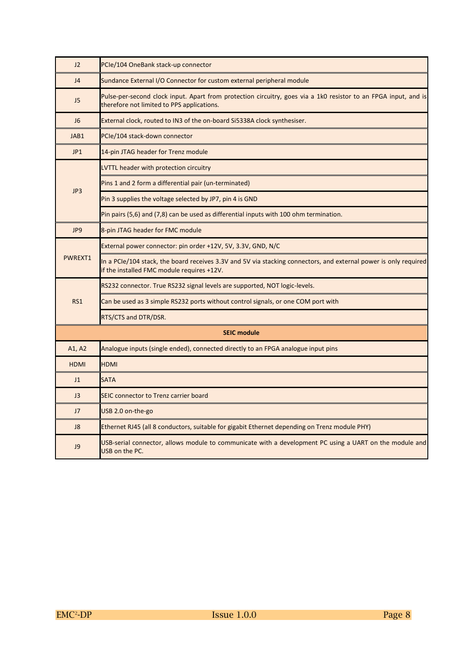| J2             | PCIe/104 OneBank stack-up connector                                                                                                                            |  |  |  |  |  |
|----------------|----------------------------------------------------------------------------------------------------------------------------------------------------------------|--|--|--|--|--|
| J <sub>4</sub> | Sundance External I/O Connector for custom external peripheral module                                                                                          |  |  |  |  |  |
| J5             | Pulse-per-second clock input. Apart from protection circuitry, goes via a 1k0 resistor to an FPGA input, and is<br>therefore not limited to PPS applications.  |  |  |  |  |  |
| J <sub>6</sub> | External clock, routed to IN3 of the on-board Si5338A clock synthesiser.                                                                                       |  |  |  |  |  |
| JAB1           | PCIe/104 stack-down connector                                                                                                                                  |  |  |  |  |  |
| JP1            | 14-pin JTAG header for Trenz module                                                                                                                            |  |  |  |  |  |
|                | LVTTL header with protection circuitry                                                                                                                         |  |  |  |  |  |
| JP3            | Pins 1 and 2 form a differential pair (un-terminated)                                                                                                          |  |  |  |  |  |
|                | Pin 3 supplies the voltage selected by JP7, pin 4 is GND                                                                                                       |  |  |  |  |  |
|                | Pin pairs (5,6) and (7,8) can be used as differential inputs with 100 ohm termination.                                                                         |  |  |  |  |  |
| JP9            | 8-pin JTAG header for FMC module                                                                                                                               |  |  |  |  |  |
|                | External power connector: pin order +12V, 5V, 3.3V, GND, N/C                                                                                                   |  |  |  |  |  |
| PWREXT1        | In a PCIe/104 stack, the board receives 3.3V and 5V via stacking connectors, and external power is only required<br>if the installed FMC module requires +12V. |  |  |  |  |  |
|                | RS232 connector. True RS232 signal levels are supported, NOT logic-levels.                                                                                     |  |  |  |  |  |
| RS1            | Can be used as 3 simple RS232 ports without control signals, or one COM port with                                                                              |  |  |  |  |  |
|                | RTS/CTS and DTR/DSR.                                                                                                                                           |  |  |  |  |  |
|                | <b>SEIC module</b>                                                                                                                                             |  |  |  |  |  |
| A1, A2         | Analogue inputs (single ended), connected directly to an FPGA analogue input pins                                                                              |  |  |  |  |  |
| <b>HDMI</b>    | <b>HDMI</b>                                                                                                                                                    |  |  |  |  |  |
| J1             | <b>SATA</b>                                                                                                                                                    |  |  |  |  |  |
| J3             | SEIC connector to Trenz carrier board                                                                                                                          |  |  |  |  |  |
| J7             | USB 2.0 on-the-go                                                                                                                                              |  |  |  |  |  |
| J8             | Ethernet RJ45 (all 8 conductors, suitable for gigabit Ethernet depending on Trenz module PHY)                                                                  |  |  |  |  |  |
| J9             | USB-serial connector, allows module to communicate with a development PC using a UART on the module and<br>USB on the PC.                                      |  |  |  |  |  |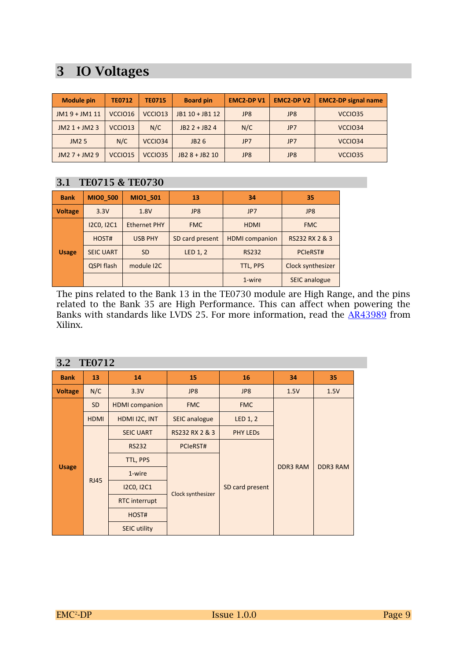## **3 IO Voltages**

| <b>Module pin</b> | <b>TE0712</b>       | <b>TE0715</b>       | <b>Board pin</b> | <b>EMC2-DPV1</b> | <b>EMC2-DPV2</b> | <b>EMC2-DP signal name</b> |
|-------------------|---------------------|---------------------|------------------|------------------|------------------|----------------------------|
| JM19 + JM1 11     | VCCIO16             | VCCIO <sub>13</sub> | JB1 10 + JB1 12  | JP8              | JP8              | VCCIO35                    |
| $JM21+JM23$       | VCCIO <sub>13</sub> | N/C                 | JB2 2 + JB2 4    | N/C              | JP7              | VCCIO34                    |
| JM25              | N/C                 | VCCIO34             | JB26             | JP7              | JP7              | VCCIO34                    |
| $JM27 + JM29$     | VCCIO <sub>15</sub> | VCCIO35             | JB2 8 + JB2 10   | JP8              | JP8              | VCCIO35                    |

#### **3.1 TE0715 & TE0730**

| <b>Bank</b>    | <b>MIO0 500</b>   | MIO1 501            | 13                        | 34                    | 35                   |
|----------------|-------------------|---------------------|---------------------------|-----------------------|----------------------|
| <b>Voltage</b> | 3.3V              | 1.8V                | JP8                       | JP7                   | JP8                  |
|                | <b>I2CO, I2C1</b> | <b>Ethernet PHY</b> | <b>FMC</b><br><b>HDMI</b> |                       | <b>FMC</b>           |
|                | HOST#             | <b>USB PHY</b>      | SD card present           | <b>HDMI</b> companion | RS232 RX 2 & 3       |
| <b>Usage</b>   | <b>SEIC UART</b>  | <b>SD</b>           | LED 1, 2                  | <b>RS232</b>          | PCIeRST#             |
|                | QSPI flash        | module I2C          |                           | TTL, PPS              | Clock synthesizer    |
|                |                   |                     |                           | 1-wire                | <b>SEIC analogue</b> |

The pins related to the Bank 13 in the TE0730 module are High Range, and the pins related to the Bank 35 are High Performance. This can affect when powering the Banks with standards like LVDS 25. For more information, read the  $\overline{AR43989}$  from Xilinx.

| <b>TE0712</b><br>3.2 |             |                       |                      |                 |                 |                 |  |  |
|----------------------|-------------|-----------------------|----------------------|-----------------|-----------------|-----------------|--|--|
| <b>Bank</b>          | 13          | 14                    | 15                   | 16              | 34              | 35              |  |  |
| <b>Voltage</b>       | N/C         | 3.3V                  | JP8                  | JP8             |                 | 1.5V            |  |  |
|                      | <b>SD</b>   | <b>HDMI</b> companion | <b>FMC</b>           | <b>FMC</b>      |                 | <b>DDR3 RAM</b> |  |  |
|                      | <b>HDMI</b> | HDMI I2C, INT         | <b>SEIC analogue</b> | LED 1, 2        |                 |                 |  |  |
|                      |             | <b>SEIC UART</b>      | RS232 RX 2 & 3       | <b>PHY LEDS</b> |                 |                 |  |  |
|                      |             | <b>RS232</b>          | PCIeRST#             |                 |                 |                 |  |  |
|                      |             | TTL, PPS              |                      |                 | <b>DDR3 RAM</b> |                 |  |  |
| <b>Usage</b>         |             | 1-wire                |                      | SD card present |                 |                 |  |  |
|                      | <b>RJ45</b> | <b>I2CO, I2C1</b>     |                      |                 |                 |                 |  |  |
|                      |             | <b>RTC</b> interrupt  | Clock synthesizer    |                 |                 |                 |  |  |
|                      |             | HOST#                 |                      |                 |                 |                 |  |  |
|                      |             | <b>SEIC utility</b>   |                      |                 |                 |                 |  |  |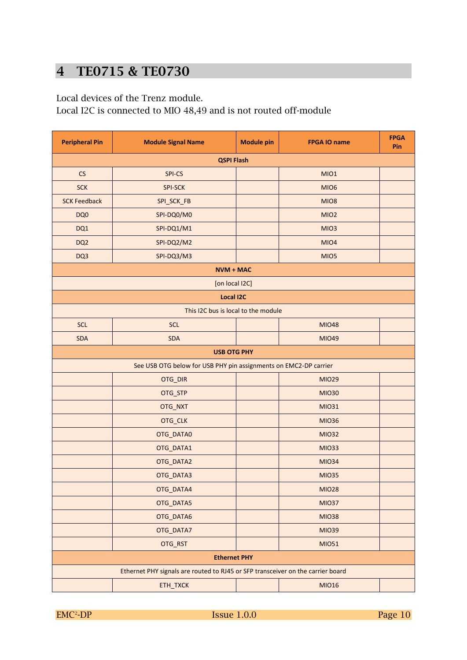## **4 TE0715 & TE0730**

Local devices of the Trenz module.

Local I2C is connected to MIO 48,49 and is not routed off-module

| <b>Peripheral Pin</b><br><b>Module Signal Name</b> |                                                                                 | <b>Module pin</b> | <b>FPGA IO name</b> | <b>FPGA</b><br>Pin |  |  |  |  |
|----------------------------------------------------|---------------------------------------------------------------------------------|-------------------|---------------------|--------------------|--|--|--|--|
| <b>QSPI Flash</b>                                  |                                                                                 |                   |                     |                    |  |  |  |  |
| CS                                                 | SPI-CS                                                                          |                   | MIO1                |                    |  |  |  |  |
| <b>SCK</b>                                         | <b>SPI-SCK</b>                                                                  |                   | MIO <sub>6</sub>    |                    |  |  |  |  |
| <b>SCK Feedback</b>                                | SPI_SCK_FB                                                                      |                   | MIO8                |                    |  |  |  |  |
| DQ0                                                | SPI-DQ0/M0                                                                      |                   | MIO <sub>2</sub>    |                    |  |  |  |  |
| DQ1                                                | SPI-DQ1/M1                                                                      |                   | MIO <sub>3</sub>    |                    |  |  |  |  |
| DQ <sub>2</sub>                                    | SPI-DQ2/M2                                                                      |                   | MIO4                |                    |  |  |  |  |
| DQ3                                                | SPI-DQ3/M3                                                                      |                   | MIO <sub>5</sub>    |                    |  |  |  |  |
|                                                    | <b>NVM + MAC</b>                                                                |                   |                     |                    |  |  |  |  |
|                                                    | [on local I2C]                                                                  |                   |                     |                    |  |  |  |  |
|                                                    | <b>Local I2C</b>                                                                |                   |                     |                    |  |  |  |  |
|                                                    | This I2C bus is local to the module                                             |                   |                     |                    |  |  |  |  |
| <b>SCL</b>                                         | <b>SCL</b>                                                                      |                   | <b>MIO48</b>        |                    |  |  |  |  |
| <b>SDA</b>                                         | <b>SDA</b>                                                                      |                   | <b>MIO49</b>        |                    |  |  |  |  |
|                                                    | <b>USB OTG PHY</b>                                                              |                   |                     |                    |  |  |  |  |
|                                                    | See USB OTG below for USB PHY pin assignments on EMC2-DP carrier                |                   |                     |                    |  |  |  |  |
|                                                    | OTG_DIR                                                                         |                   | <b>MIO29</b>        |                    |  |  |  |  |
|                                                    | OTG_STP                                                                         |                   | <b>MIO30</b>        |                    |  |  |  |  |
|                                                    | OTG_NXT                                                                         |                   | <b>MIO31</b>        |                    |  |  |  |  |
|                                                    | OTG_CLK                                                                         |                   | <b>MIO36</b>        |                    |  |  |  |  |
|                                                    | OTG_DATA0                                                                       |                   | <b>MIO32</b>        |                    |  |  |  |  |
|                                                    | OTG_DATA1                                                                       |                   | <b>MIO33</b>        |                    |  |  |  |  |
|                                                    | OTG_DATA2                                                                       |                   | <b>MIO34</b>        |                    |  |  |  |  |
|                                                    | OTG_DATA3                                                                       |                   | <b>MIO35</b>        |                    |  |  |  |  |
|                                                    | OTG_DATA4                                                                       |                   | <b>MIO28</b>        |                    |  |  |  |  |
|                                                    | OTG_DATA5                                                                       |                   | <b>MIO37</b>        |                    |  |  |  |  |
|                                                    | OTG_DATA6                                                                       |                   | <b>MIO38</b>        |                    |  |  |  |  |
|                                                    | OTG_DATA7                                                                       |                   | <b>MIO39</b>        |                    |  |  |  |  |
|                                                    | OTG_RST                                                                         |                   | MI051               |                    |  |  |  |  |
|                                                    | <b>Ethernet PHY</b>                                                             |                   |                     |                    |  |  |  |  |
|                                                    | Ethernet PHY signals are routed to RJ45 or SFP transceiver on the carrier board |                   |                     |                    |  |  |  |  |
|                                                    | ETH_TXCK                                                                        |                   | <b>MIO16</b>        |                    |  |  |  |  |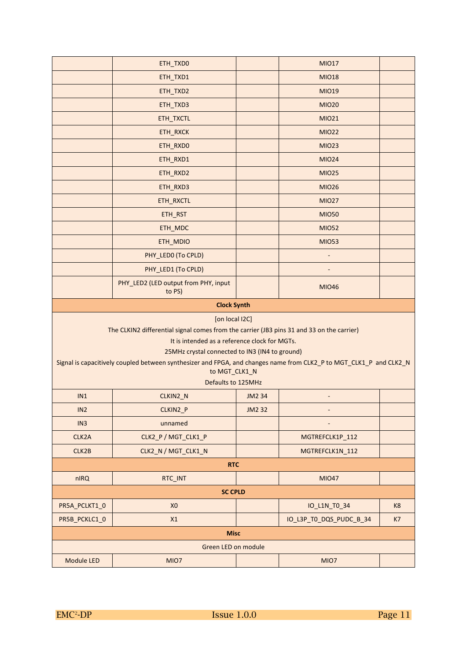|                 | ETH_TXD0                                                                                                                                                             |               | <b>MIO17</b>            |    |
|-----------------|----------------------------------------------------------------------------------------------------------------------------------------------------------------------|---------------|-------------------------|----|
|                 | ETH_TXD1                                                                                                                                                             |               | <b>MIO18</b>            |    |
|                 | ETH_TXD2                                                                                                                                                             |               | <b>MIO19</b>            |    |
|                 | ETH_TXD3                                                                                                                                                             |               | <b>MIO20</b>            |    |
|                 | ETH_TXCTL                                                                                                                                                            |               | <b>MIO21</b>            |    |
|                 | ETH_RXCK                                                                                                                                                             |               | <b>MIO22</b>            |    |
|                 | ETH_RXD0                                                                                                                                                             |               | <b>MIO23</b>            |    |
|                 | ETH_RXD1                                                                                                                                                             |               | <b>MIO24</b>            |    |
|                 | ETH_RXD2                                                                                                                                                             |               | <b>MIO25</b>            |    |
|                 | ETH_RXD3                                                                                                                                                             |               | <b>MIO26</b>            |    |
|                 | ETH_RXCTL                                                                                                                                                            |               | <b>MIO27</b>            |    |
|                 | ETH_RST                                                                                                                                                              |               | <b>MIO50</b>            |    |
|                 | ETH_MDC                                                                                                                                                              |               | <b>MIO52</b>            |    |
|                 | ETH_MDIO                                                                                                                                                             |               | <b>MIO53</b>            |    |
|                 | PHY LEDO (To CPLD)                                                                                                                                                   |               |                         |    |
|                 | PHY_LED1 (To CPLD)                                                                                                                                                   |               |                         |    |
|                 | PHY_LED2 (LED output from PHY, input<br>to PS)                                                                                                                       |               | <b>MIO46</b>            |    |
|                 | <b>Clock Synth</b>                                                                                                                                                   |               |                         |    |
|                 | [on local I2C]                                                                                                                                                       |               |                         |    |
|                 | The CLKIN2 differential signal comes from the carrier (JB3 pins 31 and 33 on the carrier)                                                                            |               |                         |    |
|                 | It is intended as a reference clock for MGTs.                                                                                                                        |               |                         |    |
|                 | 25MHz crystal connected to IN3 (IN4 to ground)<br>Signal is capacitively coupled between synthesizer and FPGA, and changes name from CLK2_P to MGT_CLK1_P and CLK2_N |               |                         |    |
|                 | to MGT_CLK1_N                                                                                                                                                        |               |                         |    |
|                 | Defaults to 125MHz                                                                                                                                                   |               |                         |    |
| IN1             | CLKIN2_N                                                                                                                                                             | <b>JM2 34</b> | $\overline{a}$          |    |
| IN2             | CLKIN2_P                                                                                                                                                             | <b>JM2 32</b> |                         |    |
| IN <sub>3</sub> | unnamed                                                                                                                                                              |               |                         |    |
| CLK2A           | CLK2_P / MGT_CLK1_P                                                                                                                                                  |               | MGTREFCLK1P 112         |    |
| CLK2B           | CLK2_N / MGT_CLK1_N                                                                                                                                                  |               | MGTREFCLK1N_112         |    |
|                 | <b>RTC</b>                                                                                                                                                           |               |                         |    |
| nIRQ            | RTC_INT                                                                                                                                                              |               | <b>MIO47</b>            |    |
|                 | <b>SC CPLD</b>                                                                                                                                                       |               |                         |    |
| PR5A_PCLKT1_0   | X <sub>0</sub>                                                                                                                                                       |               | IO_L1N_T0_34            | K8 |
| PR5B_PCKLC1_0   | X1                                                                                                                                                                   |               | IO_L3P_TO_DQS_PUDC_B_34 | K7 |
|                 | <b>Misc</b>                                                                                                                                                          |               |                         |    |
|                 | Green LED on module                                                                                                                                                  |               |                         |    |
| Module LED      | MIO7                                                                                                                                                                 |               | MIO7                    |    |
|                 |                                                                                                                                                                      |               |                         |    |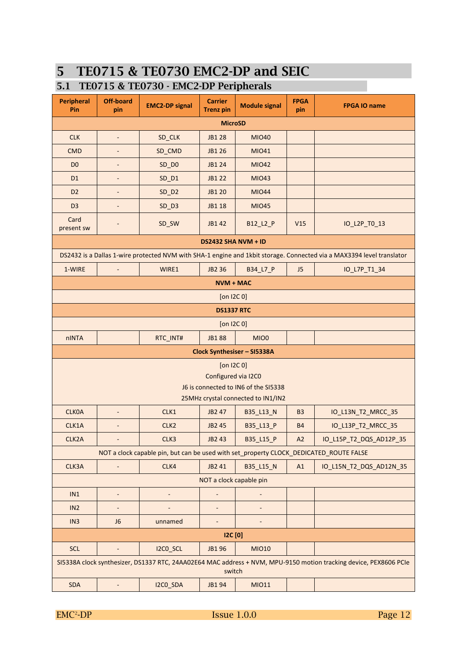## **5 TE0715 & TE0730 EMC2-DP and SEIC**

#### **5.1 TE0715 & TE0730 - EMC2-DP Peripherals**

| <b>Peripheral</b><br>Pin                                                                                                    | <b>Off-board</b><br>pin  | <b>EMC2-DP signal</b>                                                                  | <b>Carrier</b><br><b>Trenz pin</b>     | <b>Module signal</b>                                                       | <b>FPGA</b><br>pin | <b>FPGA IO name</b>                                                                                                   |  |
|-----------------------------------------------------------------------------------------------------------------------------|--------------------------|----------------------------------------------------------------------------------------|----------------------------------------|----------------------------------------------------------------------------|--------------------|-----------------------------------------------------------------------------------------------------------------------|--|
| <b>MicroSD</b>                                                                                                              |                          |                                                                                        |                                        |                                                                            |                    |                                                                                                                       |  |
| <b>CLK</b>                                                                                                                  | $\blacksquare$           | SD_CLK                                                                                 | <b>JB128</b>                           | <b>MIO40</b>                                                               |                    |                                                                                                                       |  |
| <b>CMD</b>                                                                                                                  | $\overline{a}$           | SD_CMD                                                                                 | JB1 26                                 | <b>MIO41</b>                                                               |                    |                                                                                                                       |  |
| D <sub>0</sub>                                                                                                              |                          | $SD$ $DO$                                                                              | JB1 24                                 | <b>MIO42</b>                                                               |                    |                                                                                                                       |  |
| D <sub>1</sub>                                                                                                              |                          | $SD_DI$                                                                                | JB1 22                                 | <b>MIO43</b>                                                               |                    |                                                                                                                       |  |
| D <sub>2</sub>                                                                                                              |                          | $SD$ $D2$                                                                              | JB1 20                                 | <b>MIO44</b>                                                               |                    |                                                                                                                       |  |
| D <sub>3</sub>                                                                                                              |                          | $SD$ $D3$                                                                              | <b>JB118</b>                           | <b>MIO45</b>                                                               |                    |                                                                                                                       |  |
| Card<br>present sw                                                                                                          |                          | SD_SW                                                                                  | JB1 42                                 | B12_L2_P                                                                   | V15                | IO_L2P_TO_13                                                                                                          |  |
|                                                                                                                             |                          |                                                                                        | <b>DS2432 SHA NVM + ID</b>             |                                                                            |                    |                                                                                                                       |  |
|                                                                                                                             |                          |                                                                                        |                                        |                                                                            |                    | DS2432 is a Dallas 1-wire protected NVM with SHA-1 engine and 1kbit storage. Connected via a MAX3394 level translator |  |
| 1-WIRE                                                                                                                      |                          | WIRE1                                                                                  | JB2 36                                 | B34_L7_P                                                                   | J <sub>5</sub>     | IO_L7P_T1_34                                                                                                          |  |
|                                                                                                                             |                          |                                                                                        | <b>NVM + MAC</b>                       |                                                                            |                    |                                                                                                                       |  |
|                                                                                                                             |                          |                                                                                        | [on $12C_0$ ]                          |                                                                            |                    |                                                                                                                       |  |
|                                                                                                                             |                          |                                                                                        | <b>DS1337 RTC</b>                      |                                                                            |                    |                                                                                                                       |  |
|                                                                                                                             |                          |                                                                                        | $[on$ I2C $0]$                         |                                                                            |                    |                                                                                                                       |  |
| nINTA                                                                                                                       |                          | RTC_INT#                                                                               | <b>JB188</b>                           | MIO0                                                                       |                    |                                                                                                                       |  |
|                                                                                                                             |                          |                                                                                        |                                        | Clock Synthesiser - SI5338A                                                |                    |                                                                                                                       |  |
|                                                                                                                             |                          |                                                                                        | $[$ on I2C $0]$<br>Configured via I2C0 | J6 is connected to IN6 of the SI5338<br>25MHz crystal connected to IN1/IN2 |                    |                                                                                                                       |  |
| <b>CLKOA</b>                                                                                                                | $\overline{\phantom{a}}$ | CLK1                                                                                   | JB2 47                                 | B35_L13_N                                                                  | B <sub>3</sub>     | IO_L13N_T2_MRCC_35                                                                                                    |  |
| CLK1A                                                                                                                       | $\blacksquare$           | CLK <sub>2</sub>                                                                       | JB2 45                                 | B35_L13_P                                                                  | <b>B4</b>          | IO_L13P_T2_MRCC_35                                                                                                    |  |
| CLK2A                                                                                                                       | $\overline{\phantom{a}}$ | CLK3                                                                                   | JB2 43                                 | B35_L15_P                                                                  | A2                 | IO L15P T2 DQS AD12P 35                                                                                               |  |
|                                                                                                                             |                          | NOT a clock capable pin, but can be used with set_property CLOCK_DEDICATED_ROUTE FALSE |                                        |                                                                            |                    |                                                                                                                       |  |
| CLK3A                                                                                                                       | $\overline{\phantom{m}}$ | CLK4                                                                                   | JB2 41                                 | B35_L15_N                                                                  | A1                 | IO L15N T2 DQS AD12N 35                                                                                               |  |
|                                                                                                                             |                          |                                                                                        | NOT a clock capable pin                |                                                                            |                    |                                                                                                                       |  |
| IN1                                                                                                                         | $\blacksquare$           | $\qquad \qquad \blacksquare$                                                           | $\blacksquare$                         |                                                                            |                    |                                                                                                                       |  |
| IN <sub>2</sub>                                                                                                             |                          |                                                                                        |                                        |                                                                            |                    |                                                                                                                       |  |
| IN <sub>3</sub>                                                                                                             | J <sub>6</sub>           | unnamed                                                                                | $\overline{\phantom{0}}$               |                                                                            |                    |                                                                                                                       |  |
| <b>I2C</b> [0]                                                                                                              |                          |                                                                                        |                                        |                                                                            |                    |                                                                                                                       |  |
| <b>SCL</b>                                                                                                                  |                          | I2CO_SCL                                                                               | JB196                                  | <b>MIO10</b>                                                               |                    |                                                                                                                       |  |
| SI5338A clock synthesizer, DS1337 RTC, 24AA02E64 MAC address + NVM, MPU-9150 motion tracking device, PEX8606 PCle<br>switch |                          |                                                                                        |                                        |                                                                            |                    |                                                                                                                       |  |
| <b>SDA</b>                                                                                                                  | ÷,                       | I2CO_SDA                                                                               | JB194                                  | MI011                                                                      |                    |                                                                                                                       |  |

 $EMC<sup>2</sup>-DP$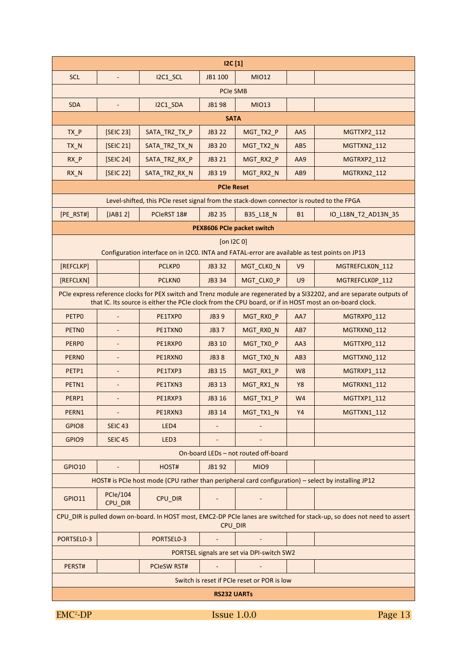| 12C[1]            |                            |                                                                                               |                    |                                             |                 |                                                                                                                                                                                                                                   |  |  |
|-------------------|----------------------------|-----------------------------------------------------------------------------------------------|--------------------|---------------------------------------------|-----------------|-----------------------------------------------------------------------------------------------------------------------------------------------------------------------------------------------------------------------------------|--|--|
| <b>SCL</b>        | $\overline{\phantom{a}}$   | I2C1_SCL                                                                                      | JB1 100            | <b>MIO12</b>                                |                 |                                                                                                                                                                                                                                   |  |  |
| <b>PCIe SMB</b>   |                            |                                                                                               |                    |                                             |                 |                                                                                                                                                                                                                                   |  |  |
| <b>SDA</b>        | $\equiv$                   | I2C1 SDA                                                                                      | JB198              | <b>MIO13</b>                                |                 |                                                                                                                                                                                                                                   |  |  |
| <b>SATA</b>       |                            |                                                                                               |                    |                                             |                 |                                                                                                                                                                                                                                   |  |  |
| $TX_P$            | [SEIC 23]                  | SATA_TRZ_TX_P                                                                                 | JB3 22             | MGT_TX2_P                                   | AA5             | <b>MGTTXP2_112</b>                                                                                                                                                                                                                |  |  |
| TX_N              | [SEIC 21]                  | SATA_TRZ_TX_N                                                                                 | <b>JB3 20</b>      | MGT_TX2_N                                   | AB <sub>5</sub> | MGTTXN2 112                                                                                                                                                                                                                       |  |  |
| $RX_P$            | [SEIC 24]                  | SATA_TRZ_RX_P                                                                                 | JB3 21             | MGT_RX2_P                                   | AA9             | MGTRXP2 112                                                                                                                                                                                                                       |  |  |
| $RX_N$            | [SEIC 22]                  | SATA TRZ RX N                                                                                 | JB3 19             | MGT_RX2_N                                   | AB9             | MGTRXN2 112                                                                                                                                                                                                                       |  |  |
|                   |                            |                                                                                               | <b>PCIe Reset</b>  |                                             |                 |                                                                                                                                                                                                                                   |  |  |
|                   |                            | Level-shifted, this PCIe reset signal from the stack-down connector is routed to the FPGA     |                    |                                             |                 |                                                                                                                                                                                                                                   |  |  |
| [PE RST#]         | [JAB12]                    | PCIeRST 18#                                                                                   | JB2 35             | B35_L18_N                                   | <b>B1</b>       | IO_L18N_T2_AD13N_35                                                                                                                                                                                                               |  |  |
|                   |                            |                                                                                               |                    | PEX8606 PCIe packet switch                  |                 |                                                                                                                                                                                                                                   |  |  |
|                   |                            | Configuration interface on in I2CO. INTA and FATAL-error are available as test points on JP13 | $[on$ I2C 0]       |                                             |                 |                                                                                                                                                                                                                                   |  |  |
| [REFCLKP]         |                            | <b>PCLKPO</b>                                                                                 | JB3 32             | MGT_CLKO_N                                  | V <sub>9</sub>  | MGTREFCLK0N_112                                                                                                                                                                                                                   |  |  |
| [REFCLKN]         |                            | <b>PCLKNO</b>                                                                                 | JB3 34             | MGT_CLK0_P                                  | U <sub>9</sub>  | MGTREFCLK0P 112                                                                                                                                                                                                                   |  |  |
|                   |                            |                                                                                               |                    |                                             |                 | PCIe express reference clocks for PEX switch and Trenz module are regenerated by a SI32202, and are separate outputs of<br>that IC. Its source is either the PCIe clock from the CPU board, or if in HOST most an on-board clock. |  |  |
| PETPO             |                            | PE1TXP0                                                                                       | <b>JB39</b>        | MGT_RX0_P                                   | AA7             | MGTRXP0_112                                                                                                                                                                                                                       |  |  |
| PETN <sub>0</sub> |                            | PE1TXNO                                                                                       | <b>JB37</b>        | MGT_RX0_N                                   | AB7             | MGTRXN0_112                                                                                                                                                                                                                       |  |  |
| <b>PERPO</b>      |                            | PE1RXPO                                                                                       | JB3 10             | MGT_TX0_P                                   | AA3             | MGTTXP0_112                                                                                                                                                                                                                       |  |  |
| <b>PERNO</b>      |                            | PE1RXNO                                                                                       | <b>JB38</b>        | MGT_TX0_N                                   | AB <sub>3</sub> | MGTTXN0 112                                                                                                                                                                                                                       |  |  |
| PETP1             |                            | PE1TXP3                                                                                       | JB3 15             | MGT_RX1_P                                   | W <sub>8</sub>  | MGTRXP1 112                                                                                                                                                                                                                       |  |  |
| PETN1             |                            | PE1TXN3                                                                                       | JB3 13             | MGT_RX1_N                                   | <b>Y8</b>       | MGTRXN1 112                                                                                                                                                                                                                       |  |  |
| PERP1             |                            | PE1RXP3                                                                                       | JB3 16             | MGT_TX1_P                                   | W <sub>4</sub>  | <b>MGTTXP1 112</b>                                                                                                                                                                                                                |  |  |
| PERN1             |                            | PE1RXN3                                                                                       | JB3 14             | MGT_TX1_N                                   | Y4              | MGTTXN1_112                                                                                                                                                                                                                       |  |  |
| GPIO8             | <b>SEIC 43</b>             | LED4                                                                                          |                    |                                             |                 |                                                                                                                                                                                                                                   |  |  |
| GPIO9             | <b>SEIC 45</b>             | LED <sub>3</sub>                                                                              |                    |                                             |                 |                                                                                                                                                                                                                                   |  |  |
|                   |                            |                                                                                               |                    | On-board LEDs - not routed off-board        |                 |                                                                                                                                                                                                                                   |  |  |
| <b>GPIO10</b>     | $\blacksquare$             | HOST#                                                                                         | JB192              | MIO9                                        |                 |                                                                                                                                                                                                                                   |  |  |
|                   |                            |                                                                                               |                    |                                             |                 | HOST# is PCIe host mode (CPU rather than peripheral card configuration) - select by installing JP12                                                                                                                               |  |  |
| <b>GPIO11</b>     | <b>PCle/104</b><br>CPU DIR | CPU_DIR                                                                                       |                    |                                             |                 |                                                                                                                                                                                                                                   |  |  |
|                   |                            |                                                                                               | CPU_DIR            |                                             |                 | CPU_DIR is pulled down on-board. In HOST most, EMC2-DP PCIe lanes are switched for stack-up, so does not need to assert                                                                                                           |  |  |
| PORTSEL0-3        |                            | PORTSEL0-3                                                                                    |                    |                                             |                 |                                                                                                                                                                                                                                   |  |  |
|                   |                            |                                                                                               |                    | PORTSEL signals are set via DPI-switch SW2  |                 |                                                                                                                                                                                                                                   |  |  |
| PERST#            |                            | <b>PCIeSW RST#</b>                                                                            |                    |                                             |                 |                                                                                                                                                                                                                                   |  |  |
|                   |                            |                                                                                               |                    | Switch is reset if PCIe reset or POR is low |                 |                                                                                                                                                                                                                                   |  |  |
|                   |                            |                                                                                               | <b>RS232 UARTS</b> |                                             |                 |                                                                                                                                                                                                                                   |  |  |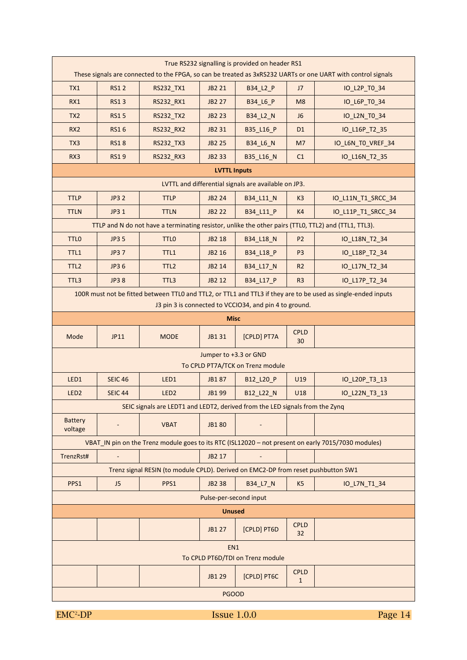| True RS232 signalling is provided on header RS1<br>These signals are connected to the FPGA, so can be treated as 3xRS232 UARTs or one UART with control signals         |                          |                                                                                   |                        |                                                      |                             |                                                                                                      |  |  |  |
|-------------------------------------------------------------------------------------------------------------------------------------------------------------------------|--------------------------|-----------------------------------------------------------------------------------|------------------------|------------------------------------------------------|-----------------------------|------------------------------------------------------------------------------------------------------|--|--|--|
| TX1                                                                                                                                                                     | <b>RS12</b>              | RS232_TX1                                                                         | JB2 21                 | B34_L2_P                                             | J <sub>7</sub>              | IO_L2P_T0_34                                                                                         |  |  |  |
| RX1                                                                                                                                                                     | <b>RS13</b>              | RS232_RX1                                                                         | JB2 27                 | B34_L6_P                                             | M <sub>8</sub>              | IO_L6P_T0_34                                                                                         |  |  |  |
| TX <sub>2</sub>                                                                                                                                                         | <b>RS15</b>              | RS232_TX2                                                                         | <b>JB2 23</b>          | B34_L2_N                                             | J <sub>6</sub>              | IO_L2N_TO_34                                                                                         |  |  |  |
| RX <sub>2</sub>                                                                                                                                                         | <b>RS16</b>              | RS232_RX2                                                                         | JB2 31                 | B35_L16_P                                            | D <sub>1</sub>              | IO_L16P_T2_35                                                                                        |  |  |  |
| TX3                                                                                                                                                                     | <b>RS18</b>              | RS232_TX3                                                                         | <b>JB2 25</b>          | B34_L6_N                                             | M7                          | IO_L6N_TO_VREF_34                                                                                    |  |  |  |
| RX3                                                                                                                                                                     | <b>RS19</b>              | <b>RS232 RX3</b>                                                                  | JB2 33                 | B35_L16_N                                            | C1                          | IO_L16N_T2_35                                                                                        |  |  |  |
|                                                                                                                                                                         | <b>LVTTL Inputs</b>      |                                                                                   |                        |                                                      |                             |                                                                                                      |  |  |  |
|                                                                                                                                                                         |                          |                                                                                   |                        | LVTTL and differential signals are available on JP3. |                             |                                                                                                      |  |  |  |
| <b>TTLP</b>                                                                                                                                                             | <b>JP3 2</b>             | <b>TTLP</b>                                                                       | <b>JB2 24</b>          | B34_L11_N                                            | K <sub>3</sub>              | IO_L11N_T1_SRCC_34                                                                                   |  |  |  |
| <b>TTLN</b>                                                                                                                                                             | JP3 1                    | <b>TTLN</b>                                                                       | <b>JB2 22</b>          | B34 L11 P                                            | K4                          | IO_L11P_T1_SRCC_34                                                                                   |  |  |  |
|                                                                                                                                                                         |                          |                                                                                   |                        |                                                      |                             | TTLP and N do not have a terminating resistor, unlike the other pairs (TTLO, TTL2) and (TTL1, TTL3). |  |  |  |
| TTL <sub>0</sub>                                                                                                                                                        | <b>JP3 5</b>             | <b>TTLO</b>                                                                       | JB2 18                 | <b>B34_L18_N</b>                                     | P <sub>2</sub>              | IO_L18N_T2_34                                                                                        |  |  |  |
| TTL1                                                                                                                                                                    | JP3 7                    | TTL1                                                                              | JB2 16                 | B34 L18 P                                            | P <sub>3</sub>              | IO_L18P_T2_34                                                                                        |  |  |  |
| TTL <sub>2</sub>                                                                                                                                                        | JP3 6                    | TTL <sub>2</sub>                                                                  | JB2 14                 | B34_L17_N                                            | R <sub>2</sub>              | IO_L17N_T2_34                                                                                        |  |  |  |
| TTL3                                                                                                                                                                    | JP3 8                    | TTL3                                                                              | JB2 12                 | B34 L17 P                                            | R <sub>3</sub>              | IO_L17P_T2_34                                                                                        |  |  |  |
| 100R must not be fitted between TTLO and TTL2, or TTL1 and TTL3 if they are to be used as single-ended inputs<br>J3 pin 3 is connected to VCCIO34, and pin 4 to ground. |                          |                                                                                   |                        |                                                      |                             |                                                                                                      |  |  |  |
|                                                                                                                                                                         |                          |                                                                                   | <b>Misc</b>            |                                                      |                             |                                                                                                      |  |  |  |
|                                                                                                                                                                         | JP11                     | <b>MODE</b>                                                                       | JB1 31                 | [CPLD] PT7A                                          | <b>CPLD</b>                 |                                                                                                      |  |  |  |
| Mode                                                                                                                                                                    |                          |                                                                                   |                        |                                                      | 30                          |                                                                                                      |  |  |  |
|                                                                                                                                                                         |                          |                                                                                   | Jumper to +3.3 or GND  |                                                      |                             |                                                                                                      |  |  |  |
|                                                                                                                                                                         |                          |                                                                                   |                        | To CPLD PT7A/TCK on Trenz module                     |                             |                                                                                                      |  |  |  |
| LED1                                                                                                                                                                    | <b>SEIC 46</b>           | LED1                                                                              | JB187                  | B12_L20_P                                            | U19                         | IO_L20P_T3_13                                                                                        |  |  |  |
| LED <sub>2</sub>                                                                                                                                                        | <b>SEIC 44</b>           | LED <sub>2</sub>                                                                  | JB1 99                 | B12_L22_N                                            | U18                         | IO_L22N_T3_13                                                                                        |  |  |  |
|                                                                                                                                                                         |                          | SEIC signals are LEDT1 and LEDT2, derived from the LED signals from the Zynq      |                        |                                                      |                             |                                                                                                      |  |  |  |
| <b>Battery</b><br>voltage                                                                                                                                               |                          | <b>VBAT</b>                                                                       | JB180                  |                                                      |                             |                                                                                                      |  |  |  |
|                                                                                                                                                                         |                          |                                                                                   |                        |                                                      |                             | VBAT IN pin on the Trenz module goes to its RTC (ISL12020 - not present on early 7015/7030 modules)  |  |  |  |
| TrenzRst#                                                                                                                                                               | $\overline{\phantom{a}}$ |                                                                                   | JB2 17                 |                                                      |                             |                                                                                                      |  |  |  |
|                                                                                                                                                                         |                          | Trenz signal RESIN (to module CPLD). Derived on EMC2-DP from reset pushbutton SW1 |                        |                                                      |                             |                                                                                                      |  |  |  |
| PPS1                                                                                                                                                                    | J <sub>5</sub>           | PPS1                                                                              | <b>JB238</b>           | B34_L7_N                                             | K <sub>5</sub>              | IO_L7N_T1_34                                                                                         |  |  |  |
|                                                                                                                                                                         |                          |                                                                                   | Pulse-per-second input |                                                      |                             |                                                                                                      |  |  |  |
|                                                                                                                                                                         |                          |                                                                                   | <b>Unused</b>          |                                                      |                             |                                                                                                      |  |  |  |
|                                                                                                                                                                         |                          |                                                                                   | JB1 27                 | [CPLD] PT6D                                          | <b>CPLD</b><br>32           |                                                                                                      |  |  |  |
|                                                                                                                                                                         |                          |                                                                                   | EN1                    |                                                      |                             |                                                                                                      |  |  |  |
|                                                                                                                                                                         |                          |                                                                                   | JB1 29                 | To CPLD PT6D/TDI on Trenz module<br>[CPLD] PT6C      | <b>CPLD</b><br>$\mathbf{1}$ |                                                                                                      |  |  |  |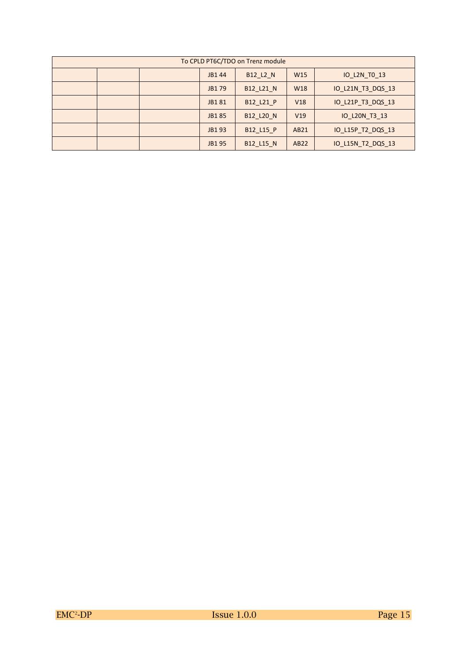| To CPLD PT6C/TDO on Trenz module |  |  |                                                             |           |                 |                   |  |  |
|----------------------------------|--|--|-------------------------------------------------------------|-----------|-----------------|-------------------|--|--|
|                                  |  |  | <b>B12 L2 N</b><br>W <sub>15</sub><br>IO L2N TO 13<br>JB144 |           |                 |                   |  |  |
|                                  |  |  | JB179                                                       | B12 L21 N | W <sub>18</sub> | IO L21N T3 DQS 13 |  |  |
|                                  |  |  | JB181                                                       | B12 L21 P | V18             | IO_L21P_T3_DQS_13 |  |  |
|                                  |  |  | JB185                                                       | B12 L20 N | V19             | IO L20N T3 13     |  |  |
|                                  |  |  | JB193                                                       | B12_L15_P | AB21            | IO L15P T2 DQS 13 |  |  |
|                                  |  |  | JB195                                                       | B12 L15 N | AB22            | IO_L15N_T2_DQS_13 |  |  |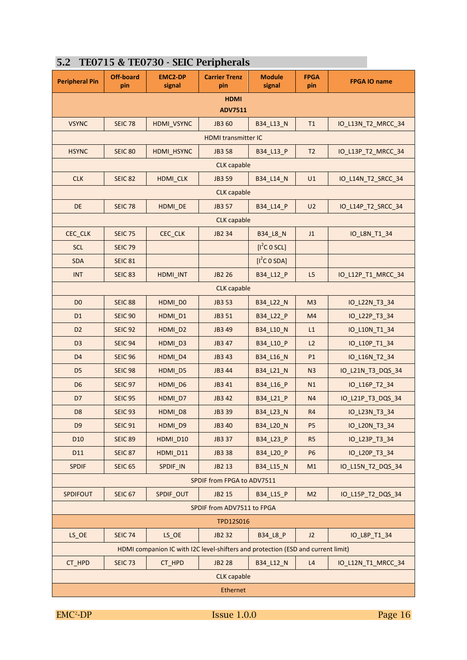| <b>Peripheral Pin</b>                | <b>Off-board</b><br>pin | <b>EMC2-DP</b><br>signal                                                         | <b>Carrier Trenz</b><br>pin | <b>Module</b><br>signal  | <b>FPGA</b><br>pin | <b>FPGA IO name</b> |  |  |  |
|--------------------------------------|-------------------------|----------------------------------------------------------------------------------|-----------------------------|--------------------------|--------------------|---------------------|--|--|--|
| <b>HDMI</b><br><b>ADV7511</b>        |                         |                                                                                  |                             |                          |                    |                     |  |  |  |
| <b>VSYNC</b>                         | <b>SEIC 78</b>          | HDMI_VSYNC                                                                       | JB3 60                      | B34 L13 N                | T1                 | IO L13N T2 MRCC 34  |  |  |  |
| <b>HDMI transmitter IC</b>           |                         |                                                                                  |                             |                          |                    |                     |  |  |  |
| <b>HSYNC</b>                         | <b>SEIC 80</b>          | HDMI_HSYNC                                                                       | <b>JB3 58</b>               | B34_L13_P                | T <sub>2</sub>     | IO_L13P_T2_MRCC_34  |  |  |  |
|                                      |                         |                                                                                  | <b>CLK</b> capable          |                          |                    |                     |  |  |  |
| <b>CLK</b>                           | <b>SEIC 82</b>          | <b>HDMI CLK</b>                                                                  | JB3 59                      | B34 L14 N                | U1                 | IO_L14N_T2_SRCC_34  |  |  |  |
|                                      |                         |                                                                                  | <b>CLK</b> capable          |                          |                    |                     |  |  |  |
| <b>DE</b>                            | <b>SEIC 78</b>          | HDMI_DE                                                                          | JB3 57                      | B34_L14_P                | U <sub>2</sub>     | IO_L14P_T2_SRCC_34  |  |  |  |
|                                      |                         |                                                                                  | <b>CLK</b> capable          |                          |                    |                     |  |  |  |
| CEC_CLK                              | <b>SEIC 75</b>          | CEC_CLK                                                                          | JB2 34                      | <b>B34_L8_N</b>          | J1                 | IO L8N T1 34        |  |  |  |
| <b>SCL</b>                           | <b>SEIC 79</b>          |                                                                                  |                             | $[I^2C \ 0 \ 5CL]$       |                    |                     |  |  |  |
| <b>SDA</b>                           | <b>SEIC 81</b>          |                                                                                  |                             | [I <sup>2</sup> C O SDA] |                    |                     |  |  |  |
| <b>INT</b>                           | <b>SEIC 83</b>          | HDMI_INT                                                                         | <b>JB2 26</b>               | B34 L12 P                | L5                 | IO_L12P_T1_MRCC_34  |  |  |  |
| <b>CLK</b> capable                   |                         |                                                                                  |                             |                          |                    |                     |  |  |  |
| D <sub>0</sub>                       | <b>SEIC 88</b>          | HDMI_D0                                                                          | JB3 53                      | B34_L22_N                | M <sub>3</sub>     | IO_L22N_T3_34       |  |  |  |
| D <sub>1</sub>                       | <b>SEIC 90</b>          | HDMI_D1                                                                          | JB3 51                      | B34_L22_P                | M <sub>4</sub>     | IO_L22P_T3_34       |  |  |  |
| D <sub>2</sub>                       | <b>SEIC 92</b>          | HDMI_D2                                                                          | JB3 49                      | B34_L10_N                | L1                 | IO_L10N_T1_34       |  |  |  |
| D <sub>3</sub>                       | <b>SEIC 94</b>          | HDMI_D3                                                                          | JB3 47                      | B34_L10_P                | L2                 | IO_L10P_T1_34       |  |  |  |
| D <sub>4</sub>                       | <b>SEIC 96</b>          | HDMI_D4                                                                          | JB3 43                      | B34_L16_N                | P1                 | IO_L16N_T2_34       |  |  |  |
| D <sub>5</sub>                       | <b>SEIC 98</b>          | HDMI D5                                                                          | JB3 44                      | B34_L21_N                | N <sub>3</sub>     | IO_L21N_T3_DQS_34   |  |  |  |
| D <sub>6</sub>                       | <b>SEIC 97</b>          | HDMI D6                                                                          | JB3 41                      | B34_L16_P                | N1                 | IO_L16P_T2_34       |  |  |  |
| D <sub>7</sub>                       | <b>SEIC 95</b>          | HDMI D7                                                                          | JB3 42                      | B34_L21_P                | N <sub>4</sub>     | IO_L21P_T3_DQS_34   |  |  |  |
| D <sub>8</sub>                       | <b>SEIC 93</b>          | HDMI_D8                                                                          | JB3 39                      | B34_L23_N                | R <sub>4</sub>     | IO_L23N_T3_34       |  |  |  |
| D <sub>9</sub>                       | <b>SEIC 91</b>          | HDMI_D9                                                                          | JB3 40                      | B34_L20_N                | P <sub>5</sub>     | IO_L20N_T3_34       |  |  |  |
| D <sub>10</sub>                      | <b>SEIC 89</b>          | HDMI_D10                                                                         | JB3 37                      | B34 L23 P                | R <sub>5</sub>     | IO_L23P_T3_34       |  |  |  |
| D11                                  | <b>SEIC 87</b>          | HDMI_D11                                                                         | JB3 38                      | B34_L20_P                | <b>P6</b>          | IO_L20P_T3_34       |  |  |  |
| <b>SPDIF</b>                         | <b>SEIC 65</b>          | SPDIF_IN                                                                         | JB2 13                      | B34_L15_N                | M1                 | IO L15N T2 DQS 34   |  |  |  |
|                                      |                         |                                                                                  | SPDIF from FPGA to ADV7511  |                          |                    |                     |  |  |  |
| <b>SPDIFOUT</b>                      | <b>SEIC 67</b>          | SPDIF_OUT                                                                        | JB2 15                      | B34_L15_P                | M <sub>2</sub>     | IO_L15P_T2_DQS_34   |  |  |  |
|                                      |                         |                                                                                  | SPDIF from ADV7511 to FPGA  |                          |                    |                     |  |  |  |
|                                      |                         |                                                                                  | TPD12S016                   |                          |                    |                     |  |  |  |
| $LS$ <sub><math>OC</math></sub> $OC$ | <b>SEIC 74</b>          | $LS$ <sub><math>OC</math></sub> $OC$                                             | JB2 32                      | B34 L8 P                 | J2                 | IO_L8P_T1_34        |  |  |  |
|                                      |                         | HDMI companion IC with I2C level-shifters and protection (ESD and current limit) |                             |                          |                    |                     |  |  |  |
| CT_HPD                               | <b>SEIC 73</b>          | CT_HPD                                                                           | <b>JB2 28</b>               | B34_L12_N                | L4                 | IO_L12N_T1_MRCC_34  |  |  |  |
|                                      |                         |                                                                                  | <b>CLK</b> capable          |                          |                    |                     |  |  |  |
|                                      |                         |                                                                                  | Ethernet                    |                          |                    |                     |  |  |  |

#### **5.2 TE0715 & TE0730 - SEIC Peripherals**

 $EMC<sup>2</sup>-DP$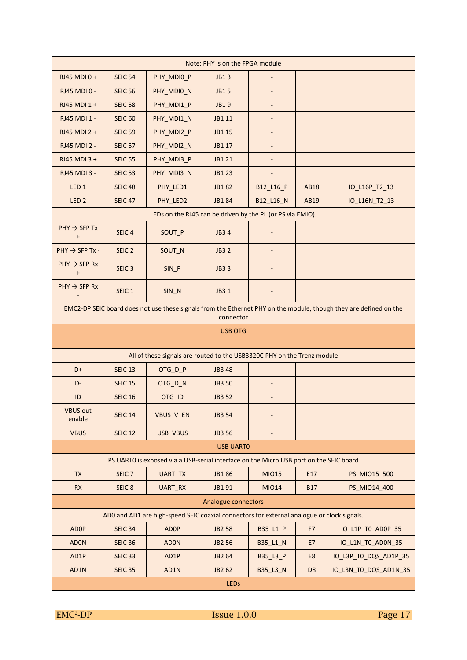| Note: PHY is on the FPGA module       |                                                                                            |                                                                                        |                                                            |                              |                |                                                                                                                   |  |  |  |
|---------------------------------------|--------------------------------------------------------------------------------------------|----------------------------------------------------------------------------------------|------------------------------------------------------------|------------------------------|----------------|-------------------------------------------------------------------------------------------------------------------|--|--|--|
| RJ45 MDI 0+                           | <b>SEIC 54</b>                                                                             | PHY MDIO P                                                                             | JB13                                                       |                              |                |                                                                                                                   |  |  |  |
| RJ45 MDI 0 -                          | <b>SEIC 56</b>                                                                             | PHY_MDIO_N                                                                             | <b>JB15</b>                                                |                              |                |                                                                                                                   |  |  |  |
| RJ45 MDI 1 +                          | <b>SEIC 58</b>                                                                             | PHY_MDI1_P                                                                             | <b>JB19</b>                                                | $\overline{\phantom{a}}$     |                |                                                                                                                   |  |  |  |
| RJ45 MDI 1 -                          | <b>SEIC 60</b>                                                                             | PHY_MDI1_N                                                                             | JB1 11                                                     |                              |                |                                                                                                                   |  |  |  |
| RJ45 MDI 2 +                          | <b>SEIC 59</b>                                                                             | PHY MDI2 P                                                                             | JB1 15                                                     | $\overline{\phantom{a}}$     |                |                                                                                                                   |  |  |  |
| <b>RJ45 MDI 2 -</b>                   | <b>SEIC 57</b>                                                                             | PHY MDI2 N                                                                             | JB1 17                                                     | $\overline{\phantom{a}}$     |                |                                                                                                                   |  |  |  |
| RJ45 MDI 3 +                          | <b>SEIC 55</b>                                                                             | PHY MDI3 P                                                                             | JB1 21                                                     | $\qquad \qquad \blacksquare$ |                |                                                                                                                   |  |  |  |
| RJ45 MDI 3 -                          | <b>SEIC 53</b>                                                                             | PHY_MDI3_N                                                                             | JB1 23                                                     |                              |                |                                                                                                                   |  |  |  |
| LED <sub>1</sub>                      | <b>SEIC 48</b>                                                                             | PHY_LED1                                                                               | JB182                                                      | B12_L16_P                    | <b>AB18</b>    | IO_L16P_T2_13                                                                                                     |  |  |  |
| LED <sub>2</sub>                      | <b>SEIC 47</b>                                                                             | PHY_LED2                                                                               | JB1 84                                                     | B12_L16_N                    | AB19           | IO_L16N_T2_13                                                                                                     |  |  |  |
|                                       |                                                                                            |                                                                                        | LEDs on the RJ45 can be driven by the PL (or PS via EMIO). |                              |                |                                                                                                                   |  |  |  |
| $PHY \rightarrow SFP$ Tx<br>$\ddot{}$ | SEIC <sub>4</sub>                                                                          | SOUT_P                                                                                 | JB3 4                                                      |                              |                |                                                                                                                   |  |  |  |
| $PHY \rightarrow SFP Tx -$            | SEIC <sub>2</sub>                                                                          | SOUT_N                                                                                 | <b>JB32</b>                                                | ÷,                           |                |                                                                                                                   |  |  |  |
| $PHY \rightarrow SFP Rx$<br>$\ddot{}$ | SEIC <sub>3</sub>                                                                          | SIN_P                                                                                  | <b>JB33</b>                                                |                              |                |                                                                                                                   |  |  |  |
| $PHY \rightarrow SFP Rx$              | SEIC <sub>1</sub>                                                                          | SIN_N                                                                                  | JB3 1                                                      |                              |                |                                                                                                                   |  |  |  |
|                                       |                                                                                            |                                                                                        |                                                            |                              |                | EMC2-DP SEIC board does not use these signals from the Ethernet PHY on the module, though they are defined on the |  |  |  |
|                                       | connector                                                                                  |                                                                                        |                                                            |                              |                |                                                                                                                   |  |  |  |
|                                       |                                                                                            |                                                                                        | <b>USB OTG</b>                                             |                              |                |                                                                                                                   |  |  |  |
|                                       |                                                                                            | All of these signals are routed to the USB3320C PHY on the Trenz module                |                                                            |                              |                |                                                                                                                   |  |  |  |
| D+                                    | <b>SEIC 13</b>                                                                             | OTG D P                                                                                | JB3 48                                                     |                              |                |                                                                                                                   |  |  |  |
| D-                                    | <b>SEIC 15</b>                                                                             | OTG_D_N                                                                                | <b>JB3 50</b>                                              | $\overline{\phantom{a}}$     |                |                                                                                                                   |  |  |  |
| ID                                    | <b>SEIC 16</b>                                                                             | OTG_ID                                                                                 | JB3 52                                                     |                              |                |                                                                                                                   |  |  |  |
| <b>VBUS out</b><br>enable             | <b>SEIC 14</b>                                                                             | <b>VBUS V EN</b>                                                                       | JB3 54                                                     |                              |                |                                                                                                                   |  |  |  |
| <b>VBUS</b>                           | <b>SEIC 12</b>                                                                             | USB_VBUS                                                                               | JB3 56                                                     |                              |                |                                                                                                                   |  |  |  |
|                                       |                                                                                            |                                                                                        | <b>USB UARTO</b>                                           |                              |                |                                                                                                                   |  |  |  |
|                                       |                                                                                            | PS UARTO is exposed via a USB-serial interface on the Micro USB port on the SEIC board |                                                            |                              |                |                                                                                                                   |  |  |  |
| <b>TX</b>                             | SEIC <sub>7</sub>                                                                          | <b>UART TX</b>                                                                         | <b>JB186</b>                                               | <b>MIO15</b>                 | E17            | PS_MIO15_500                                                                                                      |  |  |  |
| RX                                    | SEIC <sub>8</sub>                                                                          | UART_RX                                                                                | JB1 91                                                     | <b>MIO14</b>                 | <b>B17</b>     | PS_MIO14_400                                                                                                      |  |  |  |
|                                       |                                                                                            |                                                                                        | Analogue connectors                                        |                              |                |                                                                                                                   |  |  |  |
|                                       | AD0 and AD1 are high-speed SEIC coaxial connectors for external analogue or clock signals. |                                                                                        |                                                            |                              |                |                                                                                                                   |  |  |  |
|                                       |                                                                                            |                                                                                        |                                                            |                              |                |                                                                                                                   |  |  |  |
| <b>ADOP</b>                           | <b>SEIC 34</b>                                                                             | <b>ADOP</b>                                                                            | <b>JB2 58</b>                                              | B35_L1_P                     | F7             | IO_L1P_TO_AD0P_35                                                                                                 |  |  |  |
| <b>ADON</b>                           | <b>SEIC 36</b>                                                                             | <b>ADON</b>                                                                            | <b>JB2 56</b>                                              | B35_L1_N                     | E7             | IO_L1N_TO_AD0N_35                                                                                                 |  |  |  |
| AD1P                                  | <b>SEIC 33</b>                                                                             | AD1P                                                                                   | JB2 64                                                     | B35_L3_P                     | E8             | IO_L3P_T0_DQS_AD1P_35                                                                                             |  |  |  |
| AD1N                                  | <b>SEIC 35</b>                                                                             | AD1N                                                                                   | JB2 62                                                     | B35_L3_N                     | D <sub>8</sub> | IO_L3N_T0_DQS_AD1N_35                                                                                             |  |  |  |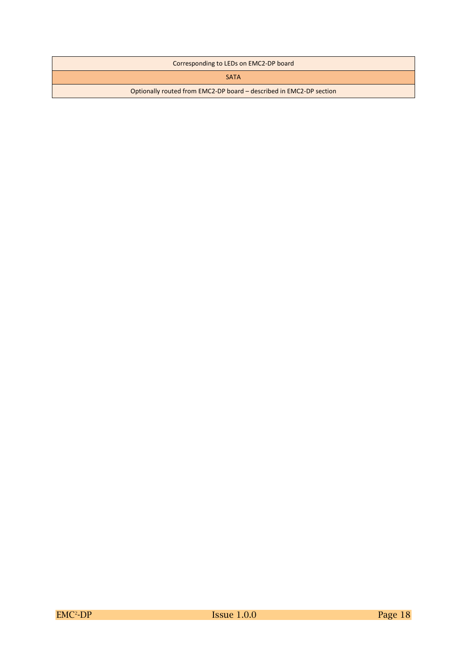| Corresponding to LEDs on EMC2-DP board                              |
|---------------------------------------------------------------------|
| <b>SATA</b>                                                         |
| Optionally routed from EMC2-DP board – described in EMC2-DP section |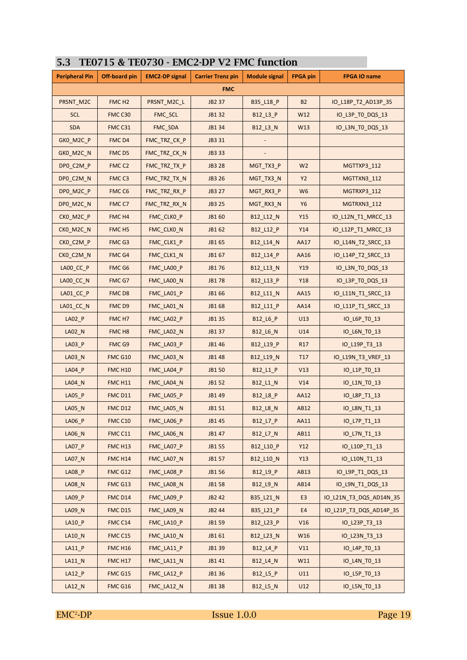| <b>Peripheral Pin</b> | Off-board pin       | <b>EMC2-DP signal</b> | <b>Carrier Trenz pin</b> | <b>Module signal</b> | <b>FPGA pin</b> | <b>FPGA IO name</b>     |
|-----------------------|---------------------|-----------------------|--------------------------|----------------------|-----------------|-------------------------|
|                       |                     |                       | <b>FMC</b>               |                      |                 |                         |
| PRSNT_M2C             | FMC <sub>H2</sub>   | PRSNT_M2C_L           | JB2 37                   | B35_L18_P            | <b>B2</b>       | IO_L18P_T2_AD13P_35     |
| <b>SCL</b>            | FMC C30             | FMC_SCL               | JB1 32                   | B12_L3_P             | W12             | IO_L3P_TO_DQS_13        |
| <b>SDA</b>            | FMC C31             | FMC_SDA               | JB1 34                   | B12_L3_N             | W13             | IO_L3N_TO_DQS_13        |
| GKO_M2C_P             | FMC D4              | FMC_TRZ_CK_P          | JB3 31                   |                      |                 |                         |
| GKO_M2C_N             | FMC D5              | FMC_TRZ_CK_N          | JB3 33                   |                      |                 |                         |
| DPO_C2M_P             | FMC <sub>C2</sub>   | FMC TRZ TX P          | <b>JB3 28</b>            | MGT_TX3_P            | W <sub>2</sub>  | MGTTXP3_112             |
| DP0_C2M_N             | FMC <sub>C3</sub>   | FMC_TRZ_TX_N          | JB3 26                   | MGT_TX3_N            | Y2              | MGTTXN3_112             |
| DPO_M2C_P             | FMC <sub>C6</sub>   | FMC_TRZ_RX_P          | JB3 27                   | MGT_RX3_P            | W <sub>6</sub>  | MGTRXP3_112             |
| DPO_M2C_N             | FMC C7              | FMC_TRZ_RX_N          | JB3 25                   | MGT_RX3_N            | <b>Y6</b>       | MGTRXN3_112             |
| CKO_M2C_P             | FMC <sub>H4</sub>   | FMC_CLK0_P            | JB1 60                   | B12_L12_N            | Y15             | IO_L12N_T1_MRCC_13      |
| CKO_M2C_N             | FMC <sub>H5</sub>   | FMC_CLKO_N            | JB1 62                   | B12_L12_P            | Y14             | IO_L12P_T1_MRCC_13      |
| CKO_C2M_P             | FMC G3              | FMC_CLK1_P            | JB1 65                   | B12_L14_N            | AA17            | IO_L14N_T2_SRCC_13      |
| CKO_C2M_N             | FMC G4              | FMC_CLK1_N            | JB1 67                   | B12_L14_P            | AA16            | IO_L14P_T2_SRCC_13      |
| LA00_CC_P             | FMC G6              | FMC_LA00_P            | JB176                    | B12_L13_N            | Y19             | IO_L3N_T0_DQS_13        |
| LA00 CC N             | FMC G7              | FMC_LA00_N            | JB178                    | B12 L13 P            | Y18             | IO_L3P_TO_DQS_13        |
| LA01_CC_P             | FMC D8              | FMC_LA01_P            | JB1 66                   | B12_L11_N            | AA15            | IO_L11N_T1_SRCC_13      |
| LA01_CC_N             | FMC D9              | FMC_LA01_N            | JB1 68                   | B12_L11_P            | AA14            | IO_L11P_T1_SRCC_13      |
| $LAO2_P$              | FMC H7              | FMC_LA02_P            | JB1 35                   | B12_L6_P             | U13             | IO_L6P_TO_13            |
| LA02_N                | FMC H <sub>8</sub>  | FMC_LA02_N            | JB1 37                   | B12_L6_N             | U14             | IO_L6N_TO_13            |
| $LAO3_P$              | FMC G9              | FMC_LA03_P            | JB1 46                   | B12_L19_P            | R <sub>17</sub> | IO_L19P_T3_13           |
| <b>LA03_N</b>         | FMC G10             | FMC_LA03_N            | JB1 48                   | B12_L19_N            | T <sub>17</sub> | IO_L19N_T3_VREF_13      |
| LA04_P                | <b>FMC H10</b>      | FMC_LA04_P            | JB1 50                   | B12_L1_P             | V13             | IO_L1P_TO_13            |
| LA04_N                | <b>FMC H11</b>      | FMC_LA04_N            | JB1 52                   | B12_L1_N             | V14             | IO_L1N_TO_13            |
| LA05_P                | <b>FMC D11</b>      | FMC_LA05_P            | JB1 49                   | B12_L8_P             | AA12            | IO_L8P_T1_13            |
| $LA05_N$              | <b>FMC D12</b>      | FMC_LA05_N            | JB1 51                   | B12_L8_N             | AB12            | IO_L8N_T1_13            |
| $LA06_P$              | FMC C10             | FMC_LA06_P            | JB1 45                   | B12_L7_P             | AA11            | IO_L7P_T1_13            |
| LA06_N                | FMC C11             | FMC_LA06_N            | JB1 47                   | B12_L7_N             | AB11            | IO_L7N_T1_13            |
| LA07_P                | FMC H <sub>13</sub> | FMC_LA07_P            | JB1 55                   | B12_L10_P            | Y12             | IO_L10P_T1_13           |
| LA07_N                | <b>FMC H14</b>      | FMC_LA07_N            | JB1 57                   | B12_L10_N            | Y13             | IO_L10N_T1_13           |
| $LAOS_P$              | FMC G12             | FMC_LA08_P            | JB1 56                   | B12_L9_P             | AB13            | IO_L9P_T1_DQS_13        |
| <b>LA08_N</b>         | FMC G13             | FMC_LA08_N            | JB1 58                   | B12_L9_N             | AB14            | IO_L9N_T1_DQS_13        |
| $LA09_P$              | FMC D14             | FMC_LA09_P            | JB2 42                   | B35_L21_N            | E <sub>3</sub>  | IO_L21N_T3_DQS_AD14N_35 |
| LA09_N                | <b>FMC D15</b>      | FMC_LA09_N            | JB2 44                   | B35_L21_P            | E4              | IO_L21P_T3_DQS_AD14P_35 |
| $LA10$ $P$            | FMC C14             | FMC_LA10_P            | JB1 59                   | B12_L23_P            | V16             | IO_L23P_T3_13           |
| LA10_N                | FMC C15             | FMC_LA10_N            | JB1 61                   | B12_L23_N            | W16             | IO_L23N_T3_13           |
| $LA11_P$              | <b>FMC H16</b>      | FMC_LA11_P            | JB1 39                   | B12_L4_P             | V11             | IO_L4P_TO_13            |
| $LA11$ <sup>N</sup>   | <b>FMC H17</b>      | FMC_LA11_N            | JB1 41                   | B12_L4_N             | W11             | IO_L4N_TO_13            |
| $LA12_P$              | FMC G15             | FMC_LA12_P            | JB1 36                   | B12_L5_P             | U11             | IO_L5P_TO_13            |
| $LA12_N$              | FMC G16             | FMC_LA12_N            | JB1 38                   | B12_L5_N             | U12             | IO_L5N_TO_13            |

#### **5.3 TE0715 & TE0730 - EMC2-DP V2 FMC function**

 $EMC<sup>2</sup>-DP$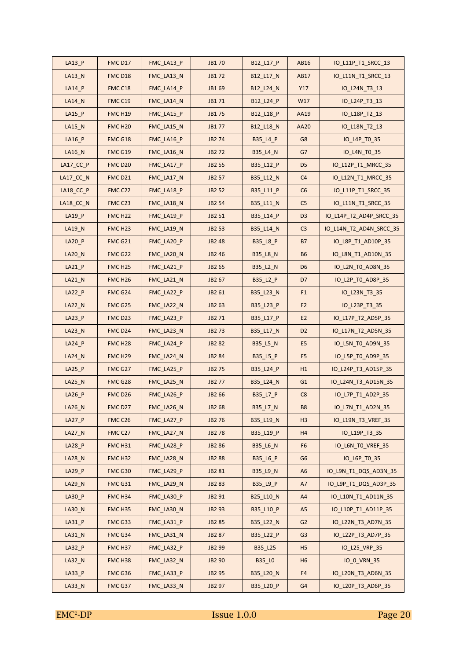| $LA13$ $P$    | FMC D17             | FMC_LA13_P | JB1 70        | B12_L17_P       | AB16           | IO L11P T1 SRCC 13      |
|---------------|---------------------|------------|---------------|-----------------|----------------|-------------------------|
| LA13_N        | FMC D18             | FMC_LA13_N | JB172         | B12_L17_N       | <b>AB17</b>    | IO_L11N_T1_SRCC_13      |
| LA14_P        | FMC C18             | FMC_LA14_P | JB1 69        | B12_L24_N       | Y17            | IO_L24N_T3_13           |
| LA14_N        | FMCC19              | FMC_LA14_N | JB1 71        | B12_L24_P       | W17            | IO_L24P_T3_13           |
| $LA15$ $P$    | <b>FMC H19</b>      | FMC_LA15_P | JB1 75        | B12_L18_P       | AA19           | IO_L18P_T2_13           |
| LA15_N        | FMC H <sub>20</sub> | FMC_LA15_N | JB1 77        | B12_L18_N       | <b>AA20</b>    | IO_L18N_T2_13           |
| <b>LA16 P</b> | FMC G18             | FMC LA16 P | JB2 74        | B35_L4_P        | G8             | IO_L4P_TO_35            |
| $LA16$ N      | FMC G19             | FMC_LA16_N | JB2 72        | B35_L4_N        | G7             | IO_L4N_TO_35            |
| $LA17_CC_P$   | <b>FMC D20</b>      | FMC_LA17_P | JB2 55        | B35_L12_P       | D <sub>5</sub> | IO_L12P_T1_MRCC_35      |
| $LA17_CC_N$   | FMC D <sub>21</sub> | FMC_LA17_N | JB2 57        | B35_L12_N       | C <sub>4</sub> | IO_L12N_T1_MRCC_35      |
| LA18_CC_P     | FMC C22             | FMC_LA18_P | <b>JB2 52</b> | B35_L11_P       | C6             | IO_L11P_T1_SRCC_35      |
| LA18_CC_N     | FMC C23             | FMC_LA18_N | JB2 54        | B35_L11_N       | C <sub>5</sub> | IO_L11N_T1_SRCC_35      |
| LA19_P        | FMC H <sub>22</sub> | FMC_LA19_P | JB2 51        | B35_L14_P       | D <sub>3</sub> | IO_L14P_T2_AD4P_SRCC_35 |
| <b>LA19 N</b> | FMC H <sub>23</sub> | FMC LA19 N | JB2 53        | B35_L14_N       | C <sub>3</sub> | IO_L14N_T2_AD4N_SRCC_35 |
| $LA20$ $P$    | FMC G21             | FMC_LA20_P | JB2 48        | B35_L8_P        | <b>B7</b>      | IO_L8P_T1_AD10P_35      |
| <b>LA20_N</b> | FMC G22             | FMC_LA20_N | JB2 46        | <b>B35_L8_N</b> | <b>B6</b>      | IO_L8N_T1_AD10N_35      |
| $LA21_P$      | FMC H <sub>25</sub> | FMC_LA21_P | JB2 65        | B35_L2_N        | D <sub>6</sub> | IO_L2N_TO_AD8N_35       |
| LA21_N        | FMC H <sub>26</sub> | FMC LA21 N | JB2 67        | B35_L2_P        | D7             | IO_L2P_TO_AD8P_35       |
| $LA22$ $P$    | FMC G24             | FMC_LA22_P | JB2 61        | B35_L23_N       | F <sub>1</sub> | IO_L23N_T3_35           |
| <b>LA22_N</b> | FMC G25             | FMC_LA22_N | JB2 63        | B35_L23_P       | F <sub>2</sub> | IO_L23P_T3_35           |
| $LA23$ $P$    | FMC D23             | FMC_LA23_P | JB2 71        | B35_L17_P       | E <sub>2</sub> | IO_L17P_T2_AD5P_35      |
| LA23_N        | FMC D <sub>24</sub> | FMC_LA23_N | JB2 73        | B35_L17_N       | D <sub>2</sub> | IO_L17N_T2_AD5N_35      |
| $LA24$ $P$    | FMC H <sub>28</sub> | FMC_LA24_P | <b>JB282</b>  | B35_L5_N        | E <sub>5</sub> | IO_L5N_TO_AD9N_35       |
| $LA24$ N      | FMC H <sub>29</sub> | FMC_LA24_N | JB2 84        | B35_L5_P        | F <sub>5</sub> | IO_L5P_TO_AD9P_35       |
| $LA25$ $P$    | FMC G27             | FMC_LA25_P | <b>JB275</b>  | B35_L24_P       | H1             | IO_L24P_T3_AD15P_35     |
| LA25_N        | FMC G28             | FMC LA25 N | <b>JB277</b>  | B35_L24_N       | G <sub>1</sub> | IO_L24N_T3_AD15N_35     |
| LA26_P        | FMCD <sub>26</sub>  | FMC_LA26_P | JB2 66        | B35_L7_P        | C8             | IO_L7P_T1_AD2P_35       |
| LA26_N        | FMC D <sub>27</sub> | FMC_LA26_N | JB2 68        | B35_L7_N        | <b>B8</b>      | IO_L7N_T1_AD2N_35       |
| $LA27$ $P$    | FMCC26              | FMC_LA27_P | JB2 76        | B35_L19_N       | H <sub>3</sub> | IO_L19N_T3_VREF_35      |
| LA27_N        | FMC C27             | FMC_LA27_N | <b>JB278</b>  | B35_L19_P       | H4             | IO_L19P_T3_35           |
| LA28_P        | FMC H31             | FMC_LA28_P | <b>JB286</b>  | B35_L6_N        | F <sub>6</sub> | IO_L6N_TO_VREF_35       |
| <b>LA28_N</b> | FMC H32             | FMC_LA28_N | <b>JB288</b>  | B35_L6_P        | G <sub>6</sub> | IO_L6P_TO_35            |
| $LA29$ $P$    | FMC G30             | FMC_LA29_P | JB2 81        | B35_L9_N        | A <sub>6</sub> | IO_L9N_T1_DQS_AD3N_35   |
| LA29_N        | FMC G31             | FMC_LA29_N | JB2 83        | B35 L9 P        | A7             | IO_L9P_T1_DQS_AD3P_35   |
| LA30_P        | FMC H34             | FMC_LA30_P | JB2 91        | B25_L10_N       | A4             | IO_L10N_T1_AD11N_35     |
| LA30_N        | FMC H35             | FMC_LA30_N | JB2 93        | B35_L10_P       | A <sub>5</sub> | IO_L10P_T1_AD11P_35     |
| LA31_P        | FMC G33             | FMC_LA31_P | JB2 85        | B35_L22_N       | G <sub>2</sub> | IO_L22N_T3_AD7N_35      |
| LA31_N        | FMC G34             | FMC_LA31_N | JB2 87        | B35_L22_P       | G <sub>3</sub> | IO_L22P_T3_AD7P_35      |
| LA32_P        | FMC H37             | FMC_LA32_P | JB2 99        | B35_L25         | H <sub>5</sub> | IO_L25_VRP_35           |
| LA32_N        | FMC H38             | FMC_LA32_N | JB2 90        | <b>B35_LO</b>   | H <sub>6</sub> | IO_0_VRN_35             |
| LA33_P        | FMC G36             | FMC_LA33_P | JB2 95        | B35_L20_N       | F4             | IO_L20N_T3_AD6N_35      |
| LA33_N        | FMC G37             | FMC_LA33_N | JB2 97        | B35_L20_P       | G4             | IO_L20P_T3_AD6P_35      |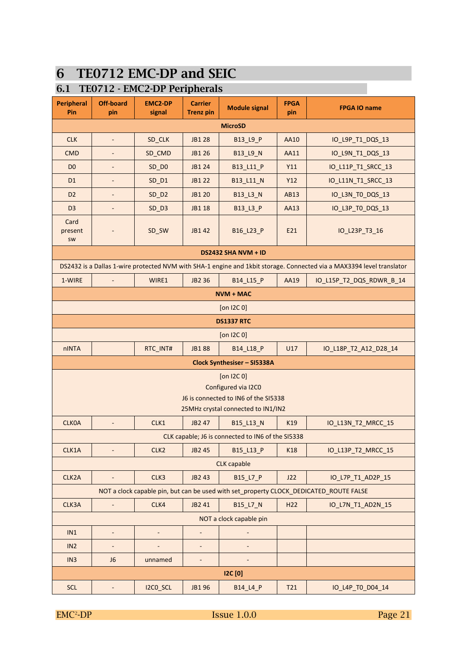## **6 TE0712 EMC-DP and SEIC**

#### **6.1 TE0712 - EMC2-DP Peripherals**

| <b>Peripheral</b><br>Pin | <b>Off-board</b><br>pin      | <b>EMC2-DP</b><br>signal | <b>Carrier</b><br><b>Trenz pin</b> | <b>Module signal</b>                                                                                               | <b>FPGA</b><br>pin | <b>FPGA IO name</b>                                                                                                   |  |  |  |  |
|--------------------------|------------------------------|--------------------------|------------------------------------|--------------------------------------------------------------------------------------------------------------------|--------------------|-----------------------------------------------------------------------------------------------------------------------|--|--|--|--|
|                          | <b>MicroSD</b>               |                          |                                    |                                                                                                                    |                    |                                                                                                                       |  |  |  |  |
| <b>CLK</b>               | $\Box$                       | SD_CLK                   | <b>JB1 28</b>                      | B13_L9_P                                                                                                           | AA10               | IO_L9P_T1_DQS_13                                                                                                      |  |  |  |  |
| <b>CMD</b>               | $\blacksquare$               | SD_CMD                   | JB1 26                             | B13_L9_N                                                                                                           | <b>AA11</b>        | IO_L9N_T1_DQS_13                                                                                                      |  |  |  |  |
| D <sub>0</sub>           | $\overline{\phantom{a}}$     | $SD$ $DO$                | JB1 24                             | B13_L11_P                                                                                                          | Y11                | IO_L11P_T1_SRCC_13                                                                                                    |  |  |  |  |
| D <sub>1</sub>           | $\overline{\phantom{a}}$     | $SD_$ D1                 | JB1 22                             | B13_L11_N                                                                                                          | Y12                | IO_L11N_T1_SRCC_13                                                                                                    |  |  |  |  |
| D <sub>2</sub>           | $\overline{\phantom{a}}$     | $SD$ $D2$                | <b>JB1 20</b>                      | B13_L3_N                                                                                                           | AB13               | IO_L3N_TO_DQS_13                                                                                                      |  |  |  |  |
| D <sub>3</sub>           | $\overline{\phantom{a}}$     | $SD$ $D3$                | <b>JB1 18</b>                      | B13_L3_P                                                                                                           | AA13               | IO_L3P_T0_DQS_13                                                                                                      |  |  |  |  |
| Card<br>present<br>SW    | $\overline{a}$               | SD_SW                    | JB1 42                             | B16_L23_P                                                                                                          | E21                | IO_L23P_T3_16                                                                                                         |  |  |  |  |
|                          |                              |                          |                                    | <b>DS2432 SHA NVM + ID</b>                                                                                         |                    |                                                                                                                       |  |  |  |  |
|                          |                              |                          |                                    |                                                                                                                    |                    | DS2432 is a Dallas 1-wire protected NVM with SHA-1 engine and 1kbit storage. Connected via a MAX3394 level translator |  |  |  |  |
| 1-WIRE                   |                              | WIRE1                    | JB2 36                             | B14_L15_P                                                                                                          | AA19               | IO_L15P_T2_DQS_RDWR_B_14                                                                                              |  |  |  |  |
|                          |                              |                          |                                    | $NVM + MAC$                                                                                                        |                    |                                                                                                                       |  |  |  |  |
| [on $12C_0$ ]            |                              |                          |                                    |                                                                                                                    |                    |                                                                                                                       |  |  |  |  |
|                          | <b>DS1337 RTC</b>            |                          |                                    |                                                                                                                    |                    |                                                                                                                       |  |  |  |  |
|                          |                              |                          |                                    | [on $12C_0$ ]                                                                                                      |                    |                                                                                                                       |  |  |  |  |
| nINTA                    |                              | RTC_INT#                 | <b>JB188</b>                       | B14_L18_P                                                                                                          | U17                | IO_L18P_T2_A12_D28_14                                                                                                 |  |  |  |  |
|                          |                              |                          |                                    | Clock Synthesiser - SI5338A                                                                                        |                    |                                                                                                                       |  |  |  |  |
|                          |                              |                          |                                    | [on $12C_0$ ]<br>Configured via I2C0<br>J6 is connected to IN6 of the SI5338<br>25MHz crystal connected to IN1/IN2 |                    |                                                                                                                       |  |  |  |  |
| <b>CLKOA</b>             |                              | CLK1                     | JB2 47                             | B15_L13_N                                                                                                          | K19                | IO_L13N_T2_MRCC_15                                                                                                    |  |  |  |  |
|                          |                              |                          |                                    | CLK capable; J6 is connected to IN6 of the SI5338                                                                  |                    |                                                                                                                       |  |  |  |  |
| CLK1A                    | $\Box$                       | CLK <sub>2</sub>         | JB2 45                             | B15_L13_P                                                                                                          | K18                | IO_L13P_T2_MRCC_15                                                                                                    |  |  |  |  |
|                          |                              |                          |                                    | <b>CLK</b> capable                                                                                                 |                    |                                                                                                                       |  |  |  |  |
| CLK2A                    | $\overline{\phantom{a}}$     | CLK3                     | JB2 43                             | B15 L7 P                                                                                                           | J22                | IO_L7P_T1_AD2P_15                                                                                                     |  |  |  |  |
|                          |                              |                          |                                    |                                                                                                                    |                    | NOT a clock capable pin, but can be used with set_property CLOCK_DEDICATED_ROUTE FALSE                                |  |  |  |  |
| CLK3A                    | $\overline{\phantom{a}}$     | CLK4                     | JB2 41                             | <b>B15 L7 N</b>                                                                                                    | H <sub>22</sub>    | IO_L7N_T1_AD2N_15                                                                                                     |  |  |  |  |
|                          |                              |                          |                                    | NOT a clock capable pin                                                                                            |                    |                                                                                                                       |  |  |  |  |
| IN1                      | $\blacksquare$               |                          | $\blacksquare$                     | $\overline{\phantom{a}}$                                                                                           |                    |                                                                                                                       |  |  |  |  |
| IN <sub>2</sub>          | $\qquad \qquad \blacksquare$ |                          | $\overline{\phantom{a}}$           | $\overline{a}$                                                                                                     |                    |                                                                                                                       |  |  |  |  |
| IN <sub>3</sub>          | J <sub>6</sub>               | unnamed                  | $\qquad \qquad \blacksquare$       |                                                                                                                    |                    |                                                                                                                       |  |  |  |  |
|                          |                              |                          |                                    | <b>I2C</b> [0]                                                                                                     |                    |                                                                                                                       |  |  |  |  |
| <b>SCL</b>               | $\Box$                       | I2CO_SCL                 | JB1 96                             | B14_L4_P                                                                                                           | T21                | IO_L4P_T0_D04_14                                                                                                      |  |  |  |  |

 $EMC<sup>2</sup>-DP$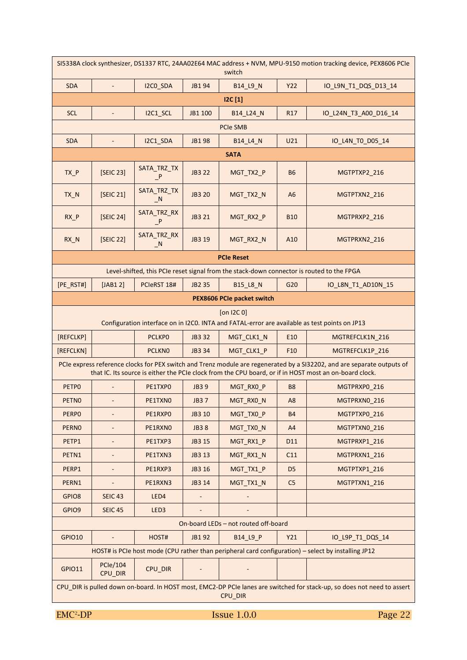| SI5338A clock synthesizer, DS1337 RTC, 24AA02E64 MAC address + NVM, MPU-9150 motion tracking device, PEX8606 PCle<br>switch |                              |                             |               |                                                                                           |                 |                                                                                                                                                                                                                                   |  |  |
|-----------------------------------------------------------------------------------------------------------------------------|------------------------------|-----------------------------|---------------|-------------------------------------------------------------------------------------------|-----------------|-----------------------------------------------------------------------------------------------------------------------------------------------------------------------------------------------------------------------------------|--|--|
| <b>SDA</b>                                                                                                                  | $\omega_{\rm{eff}}$          | I2CO SDA                    | JB1 94        | B14_L9_N                                                                                  | <b>Y22</b>      | IO_L9N_T1_DQS_D13_14                                                                                                                                                                                                              |  |  |
|                                                                                                                             |                              |                             |               | 12C[1]                                                                                    |                 |                                                                                                                                                                                                                                   |  |  |
| <b>SCL</b>                                                                                                                  | $\blacksquare$               | I2C1_SCL                    | JB1 100       | B14_L24_N                                                                                 | R <sub>17</sub> | IO_L24N_T3_A00_D16_14                                                                                                                                                                                                             |  |  |
| <b>PCIe SMB</b>                                                                                                             |                              |                             |               |                                                                                           |                 |                                                                                                                                                                                                                                   |  |  |
| <b>SDA</b>                                                                                                                  | $\overline{\phantom{a}}$     | I2C1_SDA                    | JB1 98        | <b>B14 L4 N</b>                                                                           | U21             | IO_L4N_TO_D05_14                                                                                                                                                                                                                  |  |  |
|                                                                                                                             |                              |                             |               | <b>SATA</b>                                                                               |                 |                                                                                                                                                                                                                                   |  |  |
| $TX_P$                                                                                                                      | [SEIC 23]                    | SATA_TRZ_TX<br>P            | <b>JB3 22</b> | MGT_TX2_P                                                                                 | <b>B6</b>       | MGTPTXP2_216                                                                                                                                                                                                                      |  |  |
| TX_N                                                                                                                        | [SEIC 21]                    | SATA_TRZ_TX<br>$\_N$        | <b>JB3 20</b> | MGT TX2 N                                                                                 | A <sub>6</sub>  | MGTPTXN2_216                                                                                                                                                                                                                      |  |  |
| $RX_P$                                                                                                                      | [SEIC 24]                    | SATA_TRZ_RX<br>P            | JB3 21        | MGT_RX2_P                                                                                 | <b>B10</b>      | MGTPRXP2 216                                                                                                                                                                                                                      |  |  |
| $RX_N$                                                                                                                      | [SEIC 22]                    | SATA TRZ RX<br>$\mathbb{N}$ | JB3 19        | MGT_RX2_N                                                                                 | A10             | MGTPRXN2_216                                                                                                                                                                                                                      |  |  |
|                                                                                                                             |                              |                             |               | <b>PCIe Reset</b>                                                                         |                 |                                                                                                                                                                                                                                   |  |  |
|                                                                                                                             |                              |                             |               | Level-shifted, this PCIe reset signal from the stack-down connector is routed to the FPGA |                 |                                                                                                                                                                                                                                   |  |  |
| $[PE_RST#]$                                                                                                                 | $[JAB1 2]$                   | PCIeRST 18#                 | JB2 35        | B15_L8_N                                                                                  | G20             | IO_L8N_T1_AD10N_15                                                                                                                                                                                                                |  |  |
|                                                                                                                             |                              |                             |               | PEX8606 PCIe packet switch                                                                |                 |                                                                                                                                                                                                                                   |  |  |
|                                                                                                                             |                              |                             |               | $[on$ I2C $0]$                                                                            |                 | Configuration interface on in I2C0. INTA and FATAL-error are available as test points on JP13                                                                                                                                     |  |  |
| [REFCLKP]                                                                                                                   |                              | <b>PCLKPO</b>               | JB3 32        | MGT_CLK1_N                                                                                | E10             | MGTREFCLK1N_216                                                                                                                                                                                                                   |  |  |
| [REFCLKN]                                                                                                                   |                              | <b>PCLKNO</b>               | JB3 34        | MGT_CLK1_P                                                                                | F <sub>10</sub> | MGTREFCLK1P_216                                                                                                                                                                                                                   |  |  |
|                                                                                                                             |                              |                             |               |                                                                                           |                 | PCIe express reference clocks for PEX switch and Trenz module are regenerated by a SI32202, and are separate outputs of<br>that IC. Its source is either the PCIe clock from the CPU board, or if in HOST most an on-board clock. |  |  |
| PETP0                                                                                                                       | $\blacksquare$               | PE1TXP0                     | <b>JB39</b>   | MGT_RX0_P                                                                                 | <b>B8</b>       | MGTPRXP0_216                                                                                                                                                                                                                      |  |  |
| <b>PETNO</b>                                                                                                                | $\overline{\phantom{a}}$     | PE1TXNO                     | <b>JB37</b>   | MGT_RX0_N                                                                                 | A <sub>8</sub>  | MGTPRXNO_216                                                                                                                                                                                                                      |  |  |
| <b>PERPO</b>                                                                                                                |                              | PE1RXPO                     | JB3 10        | MGT_TX0_P                                                                                 | <b>B4</b>       | MGTPTXP0_216                                                                                                                                                                                                                      |  |  |
| <b>PERNO</b>                                                                                                                | $\qquad \qquad \blacksquare$ | PE1RXNO                     | <b>JB38</b>   | MGT_TX0_N                                                                                 | A4              | MGTPTXN0 216                                                                                                                                                                                                                      |  |  |
| PETP1                                                                                                                       | $\overline{\phantom{m}}$     | PE1TXP3                     | JB3 15        | MGT_RX1_P                                                                                 | D11             | MGTPRXP1 216                                                                                                                                                                                                                      |  |  |
| PETN1                                                                                                                       |                              | PE1TXN3                     | JB3 13        | MGT_RX1_N                                                                                 | C11             | MGTPRXN1 216                                                                                                                                                                                                                      |  |  |
| PERP1                                                                                                                       | $\overline{\phantom{a}}$     | PE1RXP3                     | JB3 16        | MGT_TX1_P                                                                                 | D <sub>5</sub>  | MGTPTXP1 216                                                                                                                                                                                                                      |  |  |
| PERN1                                                                                                                       |                              | PE1RXN3                     | JB3 14        | MGT_TX1_N                                                                                 | C <sub>5</sub>  | MGTPTXN1_216                                                                                                                                                                                                                      |  |  |
| GPIO8                                                                                                                       | <b>SEIC 43</b>               | LED4                        |               |                                                                                           |                 |                                                                                                                                                                                                                                   |  |  |
| GPIO9                                                                                                                       | <b>SEIC 45</b>               | LED <sub>3</sub>            |               |                                                                                           |                 |                                                                                                                                                                                                                                   |  |  |
|                                                                                                                             |                              |                             |               | On-board LEDs - not routed off-board                                                      |                 |                                                                                                                                                                                                                                   |  |  |
| GPIO10                                                                                                                      |                              | HOST#                       | JB1 92        | B14_L9_P                                                                                  | Y21             | IO_L9P_T1_DQS_14                                                                                                                                                                                                                  |  |  |
|                                                                                                                             |                              |                             |               |                                                                                           |                 | HOST# is PCIe host mode (CPU rather than peripheral card configuration) - select by installing JP12                                                                                                                               |  |  |
| <b>GPIO11</b>                                                                                                               | <b>PCle/104</b><br>CPU_DIR   | CPU_DIR                     |               |                                                                                           |                 |                                                                                                                                                                                                                                   |  |  |
|                                                                                                                             |                              |                             |               | CPU_DIR                                                                                   |                 | CPU DIR is pulled down on-board. In HOST most, EMC2-DP PCIe lanes are switched for stack-up, so does not need to assert                                                                                                           |  |  |
| EMC <sup>2</sup> -DP                                                                                                        |                              |                             |               | <b>Issue 1.0.0</b>                                                                        |                 | Page 22                                                                                                                                                                                                                           |  |  |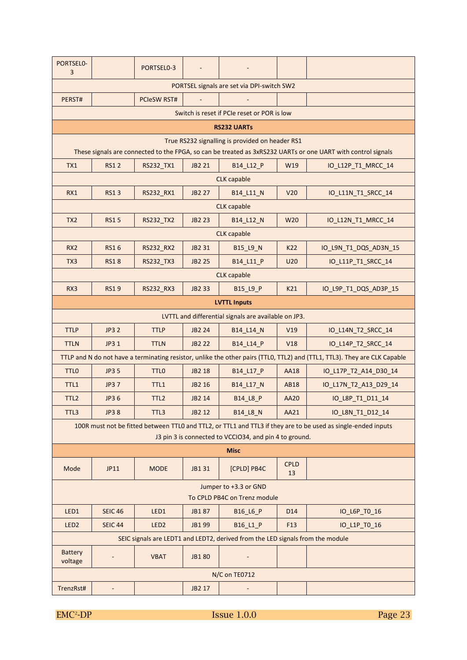| PORTSEL0-<br>3                             |                          | PORTSEL0-3         |               |                                                                                |                   |                                                                                                                           |  |  |  |
|--------------------------------------------|--------------------------|--------------------|---------------|--------------------------------------------------------------------------------|-------------------|---------------------------------------------------------------------------------------------------------------------------|--|--|--|
| PORTSEL signals are set via DPI-switch SW2 |                          |                    |               |                                                                                |                   |                                                                                                                           |  |  |  |
| PERST#                                     |                          | <b>PCIeSW RST#</b> |               |                                                                                |                   |                                                                                                                           |  |  |  |
|                                            |                          |                    |               | Switch is reset if PCIe reset or POR is low                                    |                   |                                                                                                                           |  |  |  |
|                                            |                          |                    |               | <b>RS232 UARTs</b>                                                             |                   |                                                                                                                           |  |  |  |
|                                            |                          |                    |               | True RS232 signalling is provided on header RS1                                |                   | These signals are connected to the FPGA, so can be treated as 3xRS232 UARTs or one UART with control signals              |  |  |  |
| TX1                                        | <b>RS12</b>              | RS232 TX1          | JB2 21        | B14_L12_P                                                                      | W19               | IO_L12P_T1_MRCC_14                                                                                                        |  |  |  |
|                                            |                          |                    |               | <b>CLK</b> capable                                                             |                   |                                                                                                                           |  |  |  |
| RX1                                        | <b>RS13</b>              | RS232_RX1          | <b>JB2 27</b> | B14_L11_N                                                                      | V <sub>20</sub>   | IO_L11N_T1_SRCC_14                                                                                                        |  |  |  |
|                                            |                          |                    |               | <b>CLK</b> capable                                                             |                   |                                                                                                                           |  |  |  |
| TX <sub>2</sub>                            | <b>RS15</b>              | RS232_TX2          | <b>JB2 23</b> | B14 L12 N                                                                      | W <sub>20</sub>   | IO L12N T1 MRCC 14                                                                                                        |  |  |  |
|                                            |                          |                    |               | <b>CLK</b> capable                                                             |                   |                                                                                                                           |  |  |  |
| RX <sub>2</sub>                            | <b>RS16</b>              | <b>RS232 RX2</b>   | JB2 31        | <b>B15 L9 N</b>                                                                | K22               | IO_L9N_T1_DQS_AD3N_15                                                                                                     |  |  |  |
| TX <sub>3</sub>                            | <b>RS18</b>              | RS232_TX3          | JB2 25        | B14 L11 P                                                                      | U <sub>20</sub>   | IO_L11P_T1_SRCC_14                                                                                                        |  |  |  |
|                                            |                          |                    |               | <b>CLK capable</b>                                                             |                   |                                                                                                                           |  |  |  |
| RX3                                        | <b>RS19</b>              | RS232_RX3          | JB2 33        | B15_L9_P                                                                       | K21               | IO_L9P_T1_DQS_AD3P_15                                                                                                     |  |  |  |
|                                            | <b>LVTTL Inputs</b>      |                    |               |                                                                                |                   |                                                                                                                           |  |  |  |
|                                            |                          |                    |               | LVTTL and differential signals are available on JP3.                           |                   |                                                                                                                           |  |  |  |
| <b>TTLP</b>                                | JP3 2                    | <b>TTLP</b>        | JB2 24        | B14_L14_N                                                                      | V19               | IO_L14N_T2_SRCC_14                                                                                                        |  |  |  |
| <b>TTLN</b>                                | JP3 1                    | <b>TTLN</b>        | <b>JB2 22</b> | B14 L14 P                                                                      | V18               | IO_L14P_T2_SRCC_14                                                                                                        |  |  |  |
|                                            |                          |                    |               |                                                                                |                   | TTLP and N do not have a terminating resistor, unlike the other pairs (TTLO, TTL2) and (TTL1, TTL3). They are CLK Capable |  |  |  |
| <b>TTLO</b>                                | <b>JP3 5</b>             | <b>TTLO</b>        | JB2 18        | B14 L17 P                                                                      | <b>AA18</b>       | IO_L17P_T2_A14_D30_14                                                                                                     |  |  |  |
| TTL1                                       | <b>JP37</b>              | TTL1               | JB2 16        | B14_L17_N                                                                      | <b>AB18</b>       | IO L17N T2 A13 D29 14                                                                                                     |  |  |  |
| TTL <sub>2</sub>                           | JP3 6                    | TTL <sub>2</sub>   | JB2 14        | B14_L8_P                                                                       | <b>AA20</b>       | IO_L8P_T1_D11_14                                                                                                          |  |  |  |
| TTL3                                       | <b>JP38</b>              | TTL3               | JB2 12        | B14_L8_N                                                                       | AA21              | IO_L8N_T1_D12_14                                                                                                          |  |  |  |
|                                            |                          |                    |               |                                                                                |                   | 100R must not be fitted between TTLO and TTL2, or TTL1 and TTL3 if they are to be used as single-ended inputs             |  |  |  |
|                                            |                          |                    |               | J3 pin 3 is connected to VCCIO34, and pin 4 to ground.                         |                   |                                                                                                                           |  |  |  |
|                                            |                          |                    |               | <b>Misc</b>                                                                    |                   |                                                                                                                           |  |  |  |
| Mode                                       | JP11                     | <b>MODE</b>        | JB1 31        | [CPLD] PB4C                                                                    | <b>CPLD</b><br>13 |                                                                                                                           |  |  |  |
|                                            |                          |                    |               | Jumper to +3.3 or GND<br>To CPLD PB4C on Trenz module                          |                   |                                                                                                                           |  |  |  |
| LED1                                       | <b>SEIC 46</b>           | LED1               | JB187         | B16_L6_P                                                                       | D <sub>14</sub>   | IO_L6P_TO_16                                                                                                              |  |  |  |
| LED <sub>2</sub>                           | <b>SEIC 44</b>           | LED <sub>2</sub>   | JB1 99        | B16_L1_P                                                                       | F <sub>13</sub>   | IO_L1P_TO_16                                                                                                              |  |  |  |
|                                            |                          |                    |               | SEIC signals are LEDT1 and LEDT2, derived from the LED signals from the module |                   |                                                                                                                           |  |  |  |
| Battery<br>voltage                         |                          | <b>VBAT</b>        | <b>JB180</b>  |                                                                                |                   |                                                                                                                           |  |  |  |
|                                            |                          |                    |               | N/C on TE0712                                                                  |                   |                                                                                                                           |  |  |  |
| TrenzRst#                                  | $\overline{\phantom{0}}$ |                    | JB2 17        |                                                                                |                   |                                                                                                                           |  |  |  |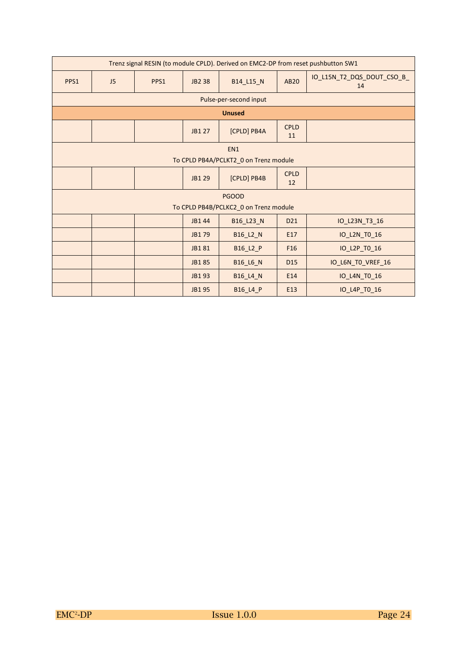| Trenz signal RESIN (to module CPLD). Derived on EMC2-DP from reset pushbutton SW1 |                        |      |               |                                       |                   |                                  |  |  |  |  |
|-----------------------------------------------------------------------------------|------------------------|------|---------------|---------------------------------------|-------------------|----------------------------------|--|--|--|--|
| PPS1                                                                              | J <sub>5</sub>         | PPS1 | JB2 38        | B14_L15_N                             | <b>AB20</b>       | IO_L15N_T2_DQS_DOUT_CSO_B_<br>14 |  |  |  |  |
|                                                                                   | Pulse-per-second input |      |               |                                       |                   |                                  |  |  |  |  |
|                                                                                   |                        |      |               | <b>Unused</b>                         |                   |                                  |  |  |  |  |
|                                                                                   |                        |      | <b>JB1 27</b> | [CPLD] PB4A                           | <b>CPLD</b><br>11 |                                  |  |  |  |  |
|                                                                                   |                        |      |               | EN <sub>1</sub>                       |                   |                                  |  |  |  |  |
|                                                                                   |                        |      |               | To CPLD PB4A/PCLKT2_0 on Trenz module |                   |                                  |  |  |  |  |
|                                                                                   |                        |      | JB1 29        | [CPLD] PB4B                           | <b>CPLD</b><br>12 |                                  |  |  |  |  |
|                                                                                   |                        |      |               | <b>PGOOD</b>                          |                   |                                  |  |  |  |  |
|                                                                                   |                        |      |               | To CPLD PB4B/PCLKC2_0 on Trenz module |                   |                                  |  |  |  |  |
|                                                                                   |                        |      | JB1 44        | B16_L23_N                             | D <sub>21</sub>   | IO_L23N_T3_16                    |  |  |  |  |
|                                                                                   |                        |      | JB1 79        | B16_L2_N                              | E17               | IO_L2N_TO_16                     |  |  |  |  |
|                                                                                   |                        |      | JB181         | B16_L2_P                              | F <sub>16</sub>   | IO_L2P_TO_16                     |  |  |  |  |
|                                                                                   |                        |      | JB185         | B16_L6_N                              | D <sub>15</sub>   | IO_L6N_TO_VREF_16                |  |  |  |  |
|                                                                                   |                        |      | JB1 93        | <b>B16_L4_N</b>                       | E14               | IO_L4N_TO_16                     |  |  |  |  |
|                                                                                   |                        |      | JB1 95        | B16_L4_P                              | E13               | IO L4P TO 16                     |  |  |  |  |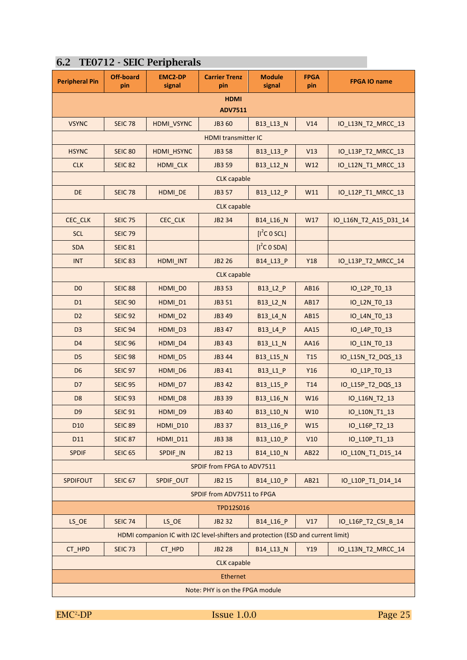| <b>Peripheral Pin</b>                | <b>Off-board</b><br>pin | <b>EMC2-DP</b><br>signal                                                         | <b>Carrier Trenz</b><br>pin   | <b>Module</b><br>signal  | <b>FPGA</b><br>pin | <b>FPGA IO name</b>   |  |  |  |
|--------------------------------------|-------------------------|----------------------------------------------------------------------------------|-------------------------------|--------------------------|--------------------|-----------------------|--|--|--|
|                                      |                         |                                                                                  | <b>HDMI</b><br><b>ADV7511</b> |                          |                    |                       |  |  |  |
| <b>VSYNC</b>                         | <b>SEIC 78</b>          | HDMI_VSYNC                                                                       | JB3 60                        | B13_L13_N                | V14                | IO_L13N_T2_MRCC_13    |  |  |  |
|                                      |                         |                                                                                  | <b>HDMI</b> transmitter IC    |                          |                    |                       |  |  |  |
| <b>HSYNC</b>                         | <b>SEIC 80</b>          | HDMI_HSYNC                                                                       | <b>JB3 58</b>                 | B13_L13_P                | V13                | IO_L13P_T2_MRCC_13    |  |  |  |
| <b>CLK</b>                           | <b>SEIC 82</b>          | HDMI_CLK                                                                         | JB3 59                        | B13_L12_N                | W12                | IO_L12N_T1_MRCC_13    |  |  |  |
|                                      |                         |                                                                                  | <b>CLK</b> capable            |                          |                    |                       |  |  |  |
| DE                                   | <b>SEIC 78</b>          | HDMI_DE                                                                          | JB3 57                        | B13_L12_P                | W11                | IO_L12P_T1_MRCC_13    |  |  |  |
|                                      |                         |                                                                                  | <b>CLK</b> capable            |                          |                    |                       |  |  |  |
| CEC_CLK                              | <b>SEIC 75</b>          | CEC_CLK                                                                          | JB2 34                        | B14_L16_N                | W17                | IO_L16N_T2_A15_D31_14 |  |  |  |
| <b>SCL</b>                           | <b>SEIC 79</b>          |                                                                                  |                               | $[I^2C \ 0 \ 5CL]$       |                    |                       |  |  |  |
| <b>SDA</b>                           | <b>SEIC 81</b>          |                                                                                  |                               | [I <sup>2</sup> C O SDA] |                    |                       |  |  |  |
| <b>INT</b>                           | <b>SEIC 83</b>          | HDMI_INT                                                                         | JB2 26                        | B14 L13 P                | Y18                | IO_L13P_T2_MRCC_14    |  |  |  |
| <b>CLK</b> capable                   |                         |                                                                                  |                               |                          |                    |                       |  |  |  |
| D <sub>0</sub>                       | <b>SEIC 88</b>          | HDMI_D0                                                                          | JB3 53                        | B13_L2_P                 | AB16               | IO_L2P_T0_13          |  |  |  |
| D <sub>1</sub>                       | <b>SEIC 90</b>          | HDMI_D1                                                                          | JB3 51                        | B13_L2_N                 | AB17               | IO_L2N_TO_13          |  |  |  |
| D <sub>2</sub>                       | <b>SEIC 92</b>          | HDMI_D2                                                                          | JB3 49<br>B13_L4_N            |                          | AB15               | IO_L4N_TO_13          |  |  |  |
| D <sub>3</sub>                       | <b>SEIC 94</b>          | HDMI_D3                                                                          | JB3 47                        | B13_L4_P                 | AA15               | IO_L4P_T0_13          |  |  |  |
| D <sub>4</sub>                       | <b>SEIC 96</b>          | HDMI_D4                                                                          | JB3 43                        | B13_L1_N                 | AA16               | IO_L1N_TO_13          |  |  |  |
| D <sub>5</sub>                       | <b>SEIC 98</b>          | HDMI_D5                                                                          | JB3 44                        | B13_L15_N                | T <sub>15</sub>    | IO_L15N_T2_DQS_13     |  |  |  |
| D <sub>6</sub>                       | SEIC <sub>97</sub>      | HDMI_D6                                                                          | JB3 41                        | B13_L1_P                 | Y16                | IO_L1P_T0_13          |  |  |  |
| D7                                   | <b>SEIC 95</b>          | HDMI D7                                                                          | JB3 42                        | B13_L15_P                | T <sub>14</sub>    | IO_L15P_T2_DQS_13     |  |  |  |
| D <sub>8</sub>                       | <b>SEIC 93</b>          | HDMI_D8                                                                          | JB3 39                        | B13 L16 N                | W16                | IO_L16N_T2_13         |  |  |  |
| D <sub>9</sub>                       | <b>SEIC 91</b>          | HDMI_D9                                                                          | JB3 40                        | B13_L10_N                | W10                | IO_L10N_T1_13         |  |  |  |
| D <sub>10</sub>                      | SEIC 89                 | HDMI D10                                                                         | JB3 37                        | B13_L16_P                | W15                | IO_L16P_T2_13         |  |  |  |
| D11                                  | <b>SEIC 87</b>          | HDMI_D11                                                                         | <b>JB3 38</b>                 | B13_L10_P                | V10                | IO L10P T1 13         |  |  |  |
| <b>SPDIF</b>                         | <b>SEIC 65</b>          | SPDIF_IN                                                                         | JB2 13                        | B14 L10 N                | AB22               | IO_L10N_T1_D15_14     |  |  |  |
|                                      |                         |                                                                                  | SPDIF from FPGA to ADV7511    |                          |                    |                       |  |  |  |
| <b>SPDIFOUT</b>                      | <b>SEIC 67</b>          | SPDIF OUT                                                                        | JB2 15                        | B14 L10 P                | AB21               | IO_L10P_T1_D14_14     |  |  |  |
|                                      |                         |                                                                                  | SPDIF from ADV7511 to FPGA    |                          |                    |                       |  |  |  |
|                                      | TPD12S016               |                                                                                  |                               |                          |                    |                       |  |  |  |
| $LS$ <sub><math>OC</math></sub> $OC$ | <b>SEIC 74</b>          | $LS$ <sub><math>OC</math></sub> $OC$                                             | JB2 32                        | B14 L16 P                | V17                | IO_L16P_T2_CSI_B_14   |  |  |  |
|                                      |                         | HDMI companion IC with I2C level-shifters and protection (ESD and current limit) |                               |                          |                    |                       |  |  |  |
| CT_HPD                               | SEIC <sub>73</sub>      | CT_HPD                                                                           | <b>JB2 28</b>                 | B14_L13_N                | Y19                | IO_L13N_T2_MRCC_14    |  |  |  |
|                                      |                         |                                                                                  | <b>CLK</b> capable            |                          |                    |                       |  |  |  |
|                                      |                         |                                                                                  | Ethernet                      |                          |                    |                       |  |  |  |

#### **6.2 TE0712 - SEIC Peripherals**

 $EMC<sup>2</sup>-DP$ 

Issue 1.0.0 Page 25

Note: PHY is on the FPGA module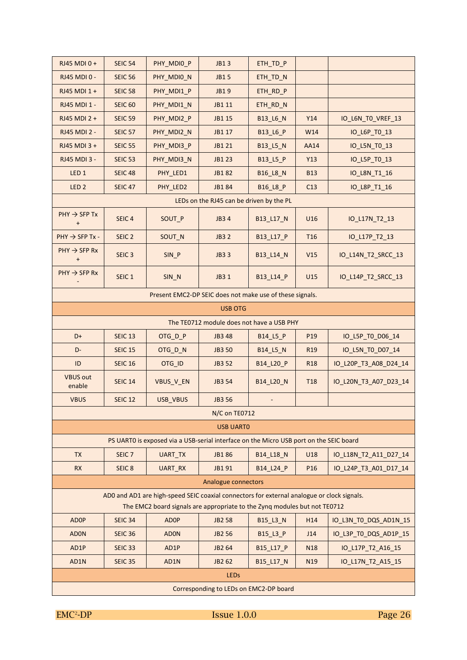| RJ45 MDI 0+                                              | <b>SEIC 54</b>    | PHY MDIO P                                                                                                                                                              | <b>JB13</b>                               | ETH_TD_P        |                 |                       |  |  |  |
|----------------------------------------------------------|-------------------|-------------------------------------------------------------------------------------------------------------------------------------------------------------------------|-------------------------------------------|-----------------|-----------------|-----------------------|--|--|--|
| <b>RJ45 MDI 0 -</b>                                      | <b>SEIC 56</b>    | PHY_MDIO_N                                                                                                                                                              | <b>JB15</b>                               | ETH_TD_N        |                 |                       |  |  |  |
| RJ45 MDI 1+                                              | <b>SEIC 58</b>    | PHY_MDI1_P                                                                                                                                                              | <b>JB19</b>                               | ETH_RD_P        |                 |                       |  |  |  |
| RJ45 MDI 1 -                                             | <b>SEIC 60</b>    | PHY_MDI1_N                                                                                                                                                              | JB1 11                                    | ETH_RD_N        |                 |                       |  |  |  |
| RJ45 MDI 2 +                                             | <b>SEIC 59</b>    | PHY_MDI2_P                                                                                                                                                              | JB1 15                                    | B13_L6_N        | Y14             | IO_L6N_TO_VREF_13     |  |  |  |
| RJ45 MDI 2 -                                             | <b>SEIC 57</b>    | PHY_MDI2_N                                                                                                                                                              | JB1 17                                    | B13_L6_P        | W14             | IO_L6P_TO_13          |  |  |  |
| RJ45 MDI 3 +                                             | <b>SEIC 55</b>    | PHY_MDI3_P                                                                                                                                                              | JB1 21                                    | B13_L5_N        | AA14            | IO_L5N_TO_13          |  |  |  |
| <b>RJ45 MDI 3 -</b>                                      | <b>SEIC 53</b>    | PHY MDI3 N                                                                                                                                                              | <b>JB123</b>                              | B13_L5_P        | Y13             | IO_L5P_T0_13          |  |  |  |
| LED <sub>1</sub>                                         | <b>SEIC 48</b>    | PHY_LED1                                                                                                                                                                | JB182                                     | <b>B16_L8_N</b> | <b>B13</b>      | IO_L8N_T1_16          |  |  |  |
| LED <sub>2</sub>                                         | <b>SEIC 47</b>    | PHY_LED2                                                                                                                                                                | JB184                                     | B16_L8_P        | C13             | IO_L8P_T1_16          |  |  |  |
|                                                          |                   |                                                                                                                                                                         | LEDs on the RJ45 can be driven by the PL  |                 |                 |                       |  |  |  |
| $PHY \rightarrow SFP Tx$<br>$\ddot{}$                    | SEIC <sub>4</sub> | SOUT P                                                                                                                                                                  | <b>JB34</b>                               | B13_L17_N       | U16             | IO_L17N_T2_13         |  |  |  |
| $PHY \rightarrow SFP Tx -$                               | SEIC <sub>2</sub> | SOUT_N                                                                                                                                                                  | <b>JB32</b>                               | B13_L17_P       | <b>T16</b>      | IO_L17P_T2_13         |  |  |  |
| $PHY \rightarrow SFP Rx$<br>$\ddot{}$                    | SEIC <sub>3</sub> | SIN_P                                                                                                                                                                   | <b>JB33</b>                               | B13_L14_N       | V15             | IO_L14N_T2_SRCC_13    |  |  |  |
| $PHY \rightarrow SFP Rx$                                 | SEIC <sub>1</sub> | SIN_N                                                                                                                                                                   | JB3 1                                     | B13_L14_P       | U15             | IO_L14P_T2_SRCC_13    |  |  |  |
| Present EMC2-DP SEIC does not make use of these signals. |                   |                                                                                                                                                                         |                                           |                 |                 |                       |  |  |  |
| <b>USB OTG</b>                                           |                   |                                                                                                                                                                         |                                           |                 |                 |                       |  |  |  |
|                                                          |                   |                                                                                                                                                                         | The TE0712 module does not have a USB PHY |                 |                 |                       |  |  |  |
| D+                                                       | <b>SEIC 13</b>    | OTG_D_P                                                                                                                                                                 | JB3 48                                    | B14_L5_P        | P19             | IO_L5P_TO_D06_14      |  |  |  |
| D-                                                       | <b>SEIC 15</b>    | OTG_D_N                                                                                                                                                                 | <b>JB3 50</b>                             | B14_L5_N        | R <sub>19</sub> | IO_L5N_TO_D07_14      |  |  |  |
| ID                                                       | <b>SEIC 16</b>    | OTG ID                                                                                                                                                                  | JB3 52                                    | B14_L20_P       | <b>R18</b>      | IO_L20P_T3_A08_D24_14 |  |  |  |
| <b>VBUS out</b><br>enable                                | <b>SEIC 14</b>    | VBUS_V_EN                                                                                                                                                               | JB3 54                                    | B14_L20_N       | <b>T18</b>      | IO_L20N_T3_A07_D23_14 |  |  |  |
| <b>VBUS</b>                                              | <b>SEIC 12</b>    | <b>USB VBUS</b>                                                                                                                                                         | JB3 56                                    |                 |                 |                       |  |  |  |
|                                                          |                   |                                                                                                                                                                         | N/C on TE0712                             |                 |                 |                       |  |  |  |
|                                                          |                   |                                                                                                                                                                         | <b>USB UARTO</b>                          |                 |                 |                       |  |  |  |
|                                                          |                   | PS UARTO is exposed via a USB-serial interface on the Micro USB port on the SEIC board                                                                                  |                                           |                 |                 |                       |  |  |  |
| <b>TX</b>                                                | SEIC <sub>7</sub> | UART_TX                                                                                                                                                                 | JB1 86                                    | B14_L18_N       | U18             | IO_L18N_T2_A11_D27_14 |  |  |  |
| <b>RX</b>                                                | SEIC <sub>8</sub> | UART_RX                                                                                                                                                                 | JB1 91                                    | B14_L24_P       | P <sub>16</sub> | IO_L24P_T3_A01_D17_14 |  |  |  |
|                                                          |                   |                                                                                                                                                                         | Analogue connectors                       |                 |                 |                       |  |  |  |
|                                                          |                   | AD0 and AD1 are high-speed SEIC coaxial connectors for external analogue or clock signals.<br>The EMC2 board signals are appropriate to the Zyng modules but not TE0712 |                                           |                 |                 |                       |  |  |  |
| <b>ADOP</b>                                              | <b>SEIC 34</b>    | <b>ADOP</b>                                                                                                                                                             | <b>JB2 58</b>                             | B15_L3_N        | H14             | IO_L3N_T0_DQS_AD1N_15 |  |  |  |
| <b>ADON</b>                                              | <b>SEIC 36</b>    | <b>ADON</b>                                                                                                                                                             | <b>JB2 56</b>                             | B15_L3_P        | J14             | IO_L3P_T0_DQS_AD1P_15 |  |  |  |
| AD1P                                                     | <b>SEIC 33</b>    | AD1P                                                                                                                                                                    | JB2 64                                    | B15_L17_P       | <b>N18</b>      | IO_L17P_T2_A16_15     |  |  |  |
| AD1N                                                     | <b>SEIC 35</b>    | AD1N                                                                                                                                                                    | JB2 62                                    | B15_L17_N       | N <sub>19</sub> | IO_L17N_T2_A15_15     |  |  |  |
|                                                          | <b>LEDs</b>       |                                                                                                                                                                         |                                           |                 |                 |                       |  |  |  |
|                                                          |                   |                                                                                                                                                                         | Corresponding to LEDs on EMC2-DP board    |                 |                 |                       |  |  |  |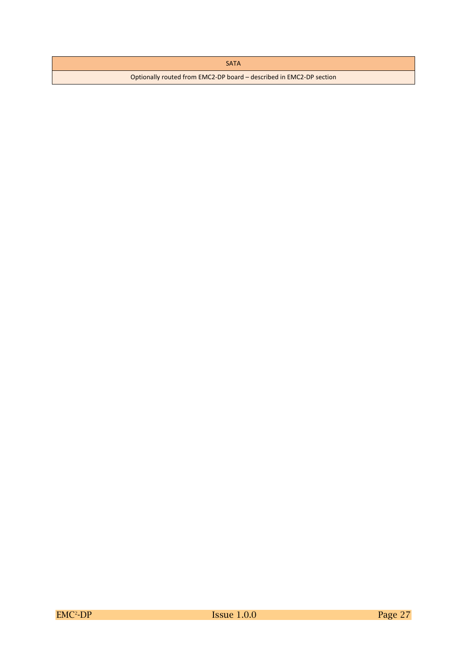#### SATA

Optionally routed from EMC2-DP board – described in EMC2-DP section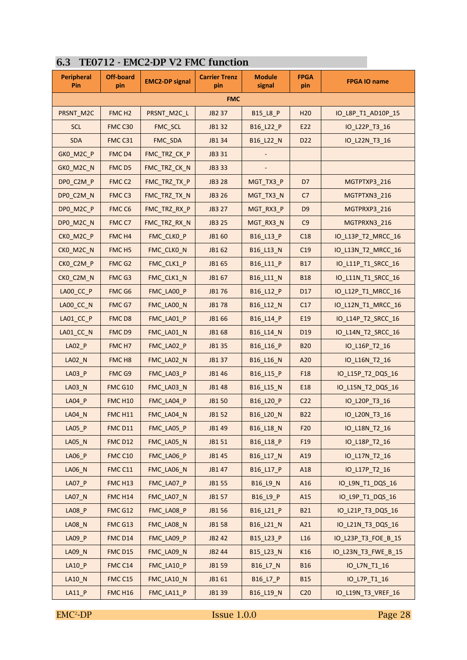| <b>Peripheral</b><br>Pin | <b>Off-board</b><br>pin | <b>EMC2-DP signal</b> | <b>Carrier Trenz</b><br>pin | <b>Module</b><br>signal | <b>FPGA</b><br>pin | <b>FPGA IO name</b> |
|--------------------------|-------------------------|-----------------------|-----------------------------|-------------------------|--------------------|---------------------|
|                          |                         |                       | <b>FMC</b>                  |                         |                    |                     |
| PRSNT_M2C                | FMC <sub>H2</sub>       | PRSNT_M2C_L           | <b>JB2 37</b>               | B15_L8_P                | H <sub>20</sub>    | IO_L8P_T1_AD10P_15  |
| <b>SCL</b>               | FMC C30                 | FMC_SCL               | JB1 32                      | B16_L22_P               | E22                | IO_L22P_T3_16       |
| <b>SDA</b>               | FMC C31                 | FMC_SDA               | JB1 34                      | B16_L22_N               | D <sub>22</sub>    | IO_L22N_T3_16       |
| GKO M2C P                | FMC <sub>D4</sub>       | FMC TRZ CK P          | JB3 31                      |                         |                    |                     |
| GKO_M2C_N                | FMC D5                  | FMC TRZ CK N          | JB3 33                      |                         |                    |                     |
| DPO_C2M_P                | FMC <sub>C2</sub>       | FMC_TRZ_TX_P          | <b>JB3 28</b>               | MGT_TX3_P               | D7                 | MGTPTXP3 216        |
| DP0_C2M_N                | FMC <sub>C3</sub>       | FMC_TRZ_TX_N          | <b>JB3 26</b>               | MGT_TX3_N               | C <sub>7</sub>     | MGTPTXN3_216        |
| DPO_M2C_P                | FMC <sub>C6</sub>       | FMC_TRZ_RX_P          | <b>JB3 27</b>               | MGT_RX3_P               | D <sub>9</sub>     | MGTPRXP3 216        |
| DPO M2C N                | FMC C7                  | FMC_TRZ_RX_N          | <b>JB3 25</b>               | MGT_RX3_N               | C9                 | MGTPRXN3_216        |
| CKO_M2C_P                | FMC H4                  | FMC_CLKO_P            | JB1 60                      | B16_L13_P               | C18                | IO_L13P_T2_MRCC_16  |
| CKO_M2C_N                | FMC <sub>H5</sub>       | FMC_CLKO_N            | JB1 62                      | B16_L13_N               | C <sub>19</sub>    | IO_L13N_T2_MRCC_16  |
| CKO_C2M_P                | FMC G2                  | FMC_CLK1_P            | JB1 65                      | B16_L11_P               | <b>B17</b>         | IO_L11P_T1_SRCC_16  |
| CKO_C2M_N                | FMC G3                  | FMC_CLK1_N            | JB1 67                      | B16_L11_N               | <b>B18</b>         | IO_L11N_T1_SRCC_16  |
| $LAOO\_CC\_P$            | FMC G6                  | FMC_LA00_P            | JB1 76                      | B16_L12_P               | D17                | IO_L12P_T1_MRCC_16  |
| LA00_CC_N                | FMC G7                  | FMC_LA00_N            | <b>JB178</b>                | B16_L12_N               | C17                | IO_L12N_T1_MRCC_16  |
| LA01_CC_P                | FMC D8                  | FMC_LA01_P            | JB1 66                      | B16_L14_P               | E19                | IO_L14P_T2_SRCC_16  |
| LA01_CC_N                | FMC <sub>D9</sub>       | FMC_LA01_N            | JB1 68                      | B16_L14_N               | D <sub>19</sub>    | IO_L14N_T2_SRCC_16  |
| LA02_P                   | FMC <sub>H7</sub>       | FMC_LA02_P            | JB1 35                      | B16_L16_P               | <b>B20</b>         | IO_L16P_T2_16       |
| LAO2N                    | FMC <sub>H8</sub>       | FMC_LA02_N            | JB1 37                      | B16_L16_N               | A20                | IO_L16N_T2_16       |
| <b>LA03 P</b>            | FMC G9                  | FMC_LA03_P            | JB1 46                      | B16_L15_P               | F18                | IO_L15P_T2_DQS_16   |
| LA03_N                   | <b>FMC G10</b>          | FMC_LA03_N            | JB1 48                      | B16_L15_N               | E18                | IO_L15N_T2_DQS_16   |
| $LA04_P$                 | <b>FMC H10</b>          | FMC_LA04_P            | <b>JB150</b>                | B16_L20_P               | C <sub>22</sub>    | IO_L20P_T3_16       |
| <b>LA04_N</b>            | <b>FMC H11</b>          | FMC LA04 N            | JB1 52                      | B16_L20_N               | <b>B22</b>         | IO_L20N_T3_16       |
| $LAO5_P$                 | <b>FMC D11</b>          | FMC_LA05_P            | JB1 49                      | B16_L18_N               | F20                | IO_L18N_T2_16       |
| LA05_N                   | <b>FMC D12</b>          | FMC_LA05_N            | JB1 51                      | B16_L18_P               | F <sub>19</sub>    | IO_L18P_T2_16       |
| LA06_P                   | <b>FMC C10</b>          | FMC_LA06_P            | JB1 45                      | B16_L17_N               | A19                | IO_L17N_T2_16       |
| LA06_N                   | FMC C11                 | FMC_LA06_N            | JB1 47                      | B16_L17_P               | A18                | IO_L17P_T2_16       |
| $LAO7_P$                 | FMC H <sub>13</sub>     | FMC_LA07_P            | JB1 55                      | B16_L9_N                | A16                | IO_L9N_T1_DQS_16    |
| LA07_N                   | <b>FMC H14</b>          | FMC_LA07_N            | JB1 57                      | B16_L9_P                | A15                | IO_L9P_T1_DQS_16    |
| <b>LA08 P</b>            | FMC G12                 | FMC LA08 P            | JB1 56                      | B16_L21_P               | <b>B21</b>         | IO_L21P_T3_DQS_16   |
| <b>LA08_N</b>            | FMC G13                 | FMC_LA08_N            | <b>JB158</b>                | B16_L21_N               | A21                | IO_L21N_T3_DQS_16   |
| LA09_P                   | FMC D14                 | FMC_LA09_P            | JB2 42                      | B15_L23_P               | L16                | IO_L23P_T3_FOE_B_15 |
| LA09_N                   | FMC D15                 | FMC_LA09_N            | JB2 44                      | B15_L23_N               | K16                | IO_L23N_T3_FWE_B_15 |
| LA10_P                   | FMC C14                 | FMC_LA10_P            | JB1 59                      | B16_L7_N                | <b>B16</b>         | IO_L7N_T1_16        |
| LA10_N                   | FMC C15                 | FMC_LA10_N            | JB1 61                      | B16_L7_P                | <b>B15</b>         | IO_L7P_T1_16        |
| $LA11_P$                 | <b>FMC H16</b>          | FMC_LA11_P            | JB1 39                      | B16_L19_N               | C <sub>20</sub>    | IO_L19N_T3_VREF_16  |

#### **6.3 TE0712 - EMC2-DP V2 FMC function**

 $EMC<sup>2</sup>-DP$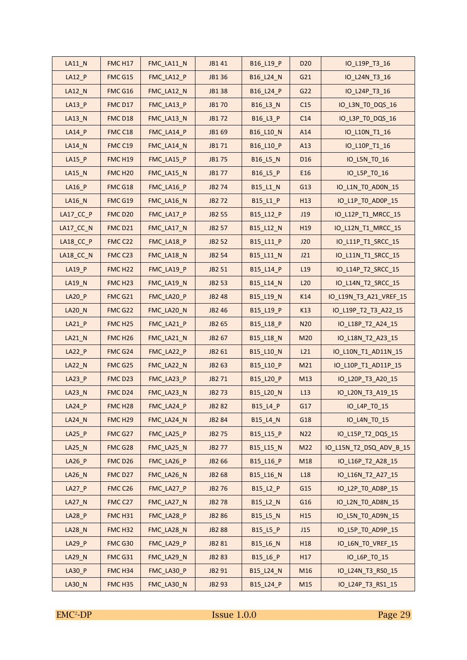| $LA11_N$      | FMC H17             | FMC_LA11_N | JB1 41             | B16_L19_P | D <sub>20</sub> | IO_L19P_T3_16           |
|---------------|---------------------|------------|--------------------|-----------|-----------------|-------------------------|
| $LA12_P$      | FMC G15             | FMC_LA12_P | JB1 36             | B16_L24_N | G21             | IO_L24N_T3_16           |
| LA12_N        | FMC G16             | FMC_LA12_N | JB1 38             | B16_L24_P | G22             | IO_L24P_T3_16           |
| $LA13_P$      | FMC D17             | FMC_LA13_P | JB1 70             | B16_L3_N  | C15             | IO_L3N_TO_DQS_16        |
| LA13_N        | FMC D18             | FMC_LA13_N | JB172              | B16_L3_P  | C14             | IO_L3P_TO_DQS_16        |
| LA14_P        | FMC C18             | FMC_LA14_P | JB1 69             | B16_L10_N | A14             | IO_L10N_T1_16           |
| LA14_N        | FMC C19             | FMC_LA14_N | JB1 71             | B16_L10_P | A13             | IO_L10P_T1_16           |
| LA15_P        | FMCH19              | FMC_LA15_P | JB1 75             | B16_L5_N  | D <sub>16</sub> | IO_L5N_TO_16            |
| LA15_N        | FMC <sub>H20</sub>  | FMC_LA15_N | JB1 77             | B16_L5_P  | E16             | IO_L5P_TO_16            |
| LA16 P        | FMC G18             | FMC_LA16_P | JB2 74             | B15_L1_N  | G13             | IO_L1N_TO_AD0N_15       |
| LA16_N        | FMC G19             | FMC_LA16_N | JB2 72             | B15_L1_P  | H13             | IO_L1P_TO_AD0P_15       |
| $LA17_CC_P$   | FMC D20             | FMC LA17 P | JB2 55             | B15_L12_P | J19             | IO_L12P_T1_MRCC_15      |
| $LA17_CC_N$   | <b>FMC D21</b>      | FMC_LA17_N | JB2 57             | B15_L12_N | H <sub>19</sub> | IO_L12N_T1_MRCC_15      |
| LA18_CC_P     | FMC C22             | FMC_LA18_P | JB2 52             | B15_L11_P | J20             | IO_L11P_T1_SRCC_15      |
| LA18_CC_N     | FMC C23             | FMC_LA18_N | JB2 54             | B15_L11_N | J21             | IO_L11N_T1_SRCC_15      |
| LA19_P        | FMC H <sub>22</sub> | FMC LA19 P | JB2 51             | B15_L14_P | L <sub>19</sub> | IO_L14P_T2_SRCC_15      |
| LA19_N        | FMC <sub>H23</sub>  | FMC_LA19_N | JB2 53             | B15_L14_N | L20             | IO_L14N_T2_SRCC_15      |
| LA20_P        | FMC G21             | FMC_LA20_P | JB2 48             | B15_L19_N | K14             | IO_L19N_T3_A21_VREF_15  |
| LA20_N        | FMC G22             | FMC_LA20_N | JB2 46             | B15_L19_P | K13             | IO_L19P_T2_T3_A22_15    |
| $LA21_P$      | <b>FMC H25</b>      | FMC_LA21_P | JB2 65             | B15_L18_P | N20             | IO_L18P_T2_A24_15       |
| LA21_N        | FMC <sub>H26</sub>  | FMC_LA21_N | JB2 67             | B15_L18_N | M20             | IO_L18N_T2_A23_15       |
| $LA22_P$      | FMC G24             | FMC_LA22_P | JB2 61             | B15_L10_N | L21             | IO_L10N_T1_AD11N_15     |
| LA22_N        | FMC G25             | FMC_LA22_N | JB2 63             | B15_L10_P | M21             | IO_L10P_T1_AD11P_15     |
| $LA23_P$      | FMC D23             | FMC_LA23_P | JB2 71             | B15_L20_P | M13             | IO_L20P_T3_A20_15       |
| LA23_N        | FMC D24             | FMC_LA23_N | <b>JB273</b>       | B15_L20_N | L13             | IO_L20N_T3_A19_15       |
| LA24_P        | FMC H <sub>28</sub> | FMC_LA24_P | JB <sub>2</sub> 82 | B15_L4_P  | G17             | IO_L4P_TO_15            |
| LA24_N        | FMC H <sub>29</sub> | FMC_LA24_N | <b>JB2 84</b>      | B15_L4_N  | G18             | IO_L4N_TO_15            |
| $LA25_P$      | FMC G27             | FMC_LA25_P | JB2 75             | B15_L15_P | N22             | IO_L15P_T2_DQS_15       |
| LA25_N        | FMC G28             | FMC_LA25_N | JB2 77             | B15_L15_N | M22             | IO_L15N_T2_DSQ_ADV_B_15 |
| $LA26_P$      | FMCD <sub>26</sub>  | FMC_LA26_P | JB2 66             | B15_L16_P | M18             | IO_L16P_T2_A28_15       |
| LA26_N        | FMC D27             | FMC_LA26_N | JB2 68             | B15_L16_N | L18             | IO L16N T2 A27 15       |
| $LA27_P$      | FMC C26             | FMC_LA27_P | <b>JB276</b>       | B15_L2_P  | G15             | IO_L2P_TO_AD8P_15       |
| <b>LA27 N</b> | FMC C27             | FMC_LA27_N | <b>JB278</b>       | B15_L2_N  | G16             | IO_L2N_TO_AD8N_15       |
| LA28_P        | <b>FMC H31</b>      | FMC_LA28_P | JB2 86             | B15_L5_N  | H <sub>15</sub> | IO_L5N_TO_AD9N_15       |
| <b>LA28_N</b> | FMC H32             | FMC_LA28_N | <b>JB288</b>       | B15_L5_P  | J15             | IO_L5P_TO_AD9P_15       |
| LA29_P        | FMC G30             | FMC_LA29_P | JB2 81             | B15_L6_N  | H <sub>18</sub> | IO_L6N_TO_VREF_15       |
| LA29_N        | FMC G31             | FMC_LA29_N | <b>JB283</b>       | B15_L6_P  | H17             | IO_L6P_TO_15            |
| LA30_P        | FMC H34             | FMC_LA30_P | JB2 91             | B15_L24_N | M16             | IO_L24N_T3_RS0_15       |
| LA30_N        | FMC H35             | FMC_LA30_N | JB2 93             | B15_L24_P | M15             | IO_L24P_T3_RS1_15       |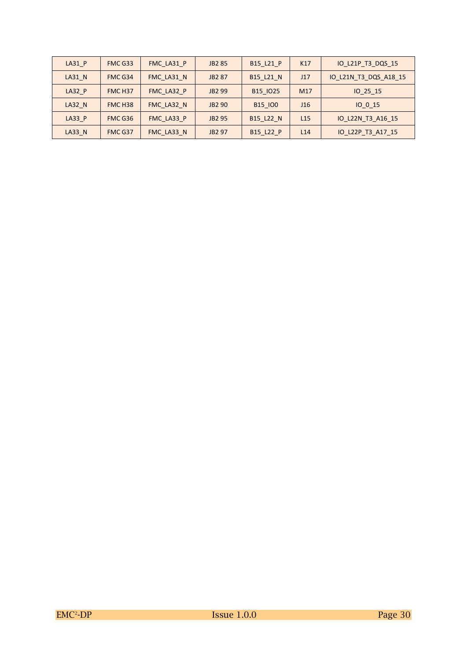| $LA31$ $P$    | FMC G33            | FMC LA31 P | <b>JB2 85</b>      | B15 L21 P      | K17             | IO L21P T3 DQS 15     |
|---------------|--------------------|------------|--------------------|----------------|-----------------|-----------------------|
| LA31 N        | FMC G34            | FMC LA31 N | JB2 87             | B15 L21 N      | J17             | IO L21N T3 DQS A18 15 |
| <b>LA32 P</b> | FMC <sub>H37</sub> | FMC LA32 P | JB <sub>2</sub> 99 | B15 IO25       | M17             | IO 25 15              |
| <b>LA32 N</b> | FMC <sub>H38</sub> | FMC LA32 N | JB2 90             | <b>B15 100</b> | J16             | IO 0 15               |
| <b>LA33 P</b> | FMC G36            | FMC LA33 P | JB2 95             | B15 L22 N      | L <sub>15</sub> | IO L22N T3 A16 15     |
| LA33 N        | FMC G37            | FMC LA33 N | JB2 97             | B15 L22 P      | L14             | IO L22P T3 A17 15     |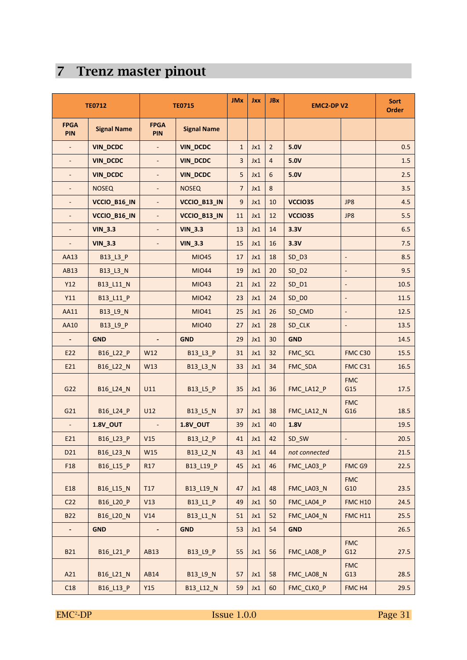# **7 Trenz master pinout**

|                          | <b>TE0712</b>      |                           | <b>TE0715</b>      | <b>JMx</b>       | <b>Jxx</b> | <b>JBx</b>     | <b>EMC2-DPV2</b> |                          | <b>Sort</b><br><b>Order</b> |
|--------------------------|--------------------|---------------------------|--------------------|------------------|------------|----------------|------------------|--------------------------|-----------------------------|
| <b>FPGA</b><br>PIN       | <b>Signal Name</b> | <b>FPGA</b><br><b>PIN</b> | <b>Signal Name</b> |                  |            |                |                  |                          |                             |
|                          | <b>VIN_DCDC</b>    | $\blacksquare$            | <b>VIN_DCDC</b>    | $\mathbf{1}$     | Jx1        | $\overline{2}$ | 5.0V             |                          | 0.5                         |
| $\overline{\phantom{a}}$ | <b>VIN_DCDC</b>    | $\overline{\phantom{a}}$  | <b>VIN_DCDC</b>    | 3                | Jx1        | $\overline{4}$ | 5.0V             |                          | 1.5                         |
| ÷,                       | <b>VIN_DCDC</b>    | $\overline{\phantom{a}}$  | <b>VIN_DCDC</b>    | 5                | Jx1        | 6              | 5.0V             |                          | 2.5                         |
|                          | <b>NOSEQ</b>       | $\overline{\phantom{a}}$  | <b>NOSEQ</b>       | $\overline{7}$   | Jx1        | 8              |                  |                          | 3.5                         |
|                          | VCCIO_B16_IN       | $\blacksquare$            | VCCIO_B13_IN       | $\boldsymbol{9}$ | Jx1        | 10             | VCCIO35          | JP8                      | 4.5                         |
| $\overline{\phantom{a}}$ | VCCIO_B16_IN       | $\overline{\phantom{a}}$  | VCCIO_B13_IN       | 11               | Jx1        | 12             | VCCIO35          | JP8                      | 5.5                         |
|                          | <b>VIN_3.3</b>     | $\overline{a}$            | <b>VIN_3.3</b>     | 13               | Jx1        | 14             | 3.3V             |                          | 6.5                         |
|                          | <b>VIN_3.3</b>     | $\blacksquare$            | <b>VIN_3.3</b>     | 15               | Jx1        | 16             | 3.3V             |                          | 7.5                         |
| AA13                     | B13_L3_P           |                           | <b>MIO45</b>       | 17               | Jx1        | 18             | SD D3            | $\blacksquare$           | 8.5                         |
| <b>AB13</b>              | B13_L3_N           |                           | <b>MIO44</b>       | 19               | Jx1        | 20             | $SD$ $D2$        | $\overline{\phantom{a}}$ | 9.5                         |
| <b>Y12</b>               | B13_L11_N          |                           | <b>MIO43</b>       | 21               | Jx1        | 22             | $SD_DI$          | $\overline{\phantom{a}}$ | 10.5                        |
| Y11                      | B13_L11_P          |                           | <b>MIO42</b>       | 23               | Jx1        | 24             | $SD$ $DO$        | $\blacksquare$           | 11.5                        |
| AA11                     | B13_L9_N           |                           | MI041              | 25               | Jx1        | 26             | SD_CMD           | $\overline{\phantom{a}}$ | 12.5                        |
| AA10                     | B13_L9_P           |                           | <b>MIO40</b>       | 27               | Jx1        | 28             | SD_CLK           | $\blacksquare$           | 13.5                        |
| $\blacksquare$           | <b>GND</b>         | $\overline{\phantom{a}}$  | <b>GND</b>         | 29               | Jx1        | 30             | <b>GND</b>       |                          | 14.5                        |
| E22                      | B16_L22_P          | W12                       | B13_L3_P           | 31               | Jx1        | 32             | FMC_SCL          | FMC C30                  | 15.5                        |
| E21                      | B16_L22_N          | W13                       | B13_L3_N           | 33               | Jx1        | 34             | FMC_SDA          | FMC C31                  | 16.5                        |
| G22                      | B16_L24_N          | U11                       | B13_L5_P           | 35               | Jx1        | 36             | FMC_LA12_P       | <b>FMC</b><br>G15        | 17.5                        |
| G21                      | B16_L24_P          | U12                       | B13_L5_N           | 37               | Jx1        | 38             | FMC_LA12_N       | <b>FMC</b><br>G16        | 18.5                        |
|                          | <b>1.8V_OUT</b>    |                           | <b>1.8V_OUT</b>    | 39               | Jx1        | 40             | 1.8V             |                          | 19.5                        |
| E21                      | B16 L23 P          | V15                       | B13_L2_P           | 41               | Jx1        | 42             | SD_SW            |                          | 20.5                        |
| D21                      | B16_L23_N          | W15                       | B13_L2_N           | 43               | Jx1        | 44             | not connected    |                          | 21.5                        |
| F18                      | B16_L15_P          | R17                       | B13_L19_P          | 45               | Jx1        | 46             | FMC_LA03_P       | FMC G9                   | 22.5                        |
| E18                      | B16_L15_N          | T17                       | B13_L19_N          | 47               | Jx1        | 48             | FMC_LA03_N       | <b>FMC</b><br>G10        | 23.5                        |
| C <sub>22</sub>          | B16_L20_P          | V13                       | B13_L1_P           | 49               | Jx1        | 50             | FMC LA04 P       | <b>FMC H10</b>           | 24.5                        |
| <b>B22</b>               | B16 L20 N          | V14                       | B13_L1_N           | 51               | Jx1        | 52             | FMC_LA04_N       | <b>FMC H11</b>           | 25.5                        |
| $\overline{\phantom{a}}$ | <b>GND</b>         | $\blacksquare$            | <b>GND</b>         | 53               | Jx1        | 54             | <b>GND</b>       |                          | 26.5                        |
| <b>B21</b>               | B16_L21_P          | AB13                      | B13_L9_P           | 55               | Jx1        | 56             | FMC_LA08_P       | <b>FMC</b><br>G12        | 27.5                        |
| A21                      | B16_L21_N          | AB14                      | B13_L9_N           | 57               | Jx1        | 58             | FMC_LA08_N       | <b>FMC</b><br>G13        | 28.5                        |
| C18                      | B16_L13_P          | Y15                       | B13_L12_N          | 59               | Jx1        | 60             | FMC_CLK0_P       | FMC H4                   | 29.5                        |

EMC<sup>2</sup>-DP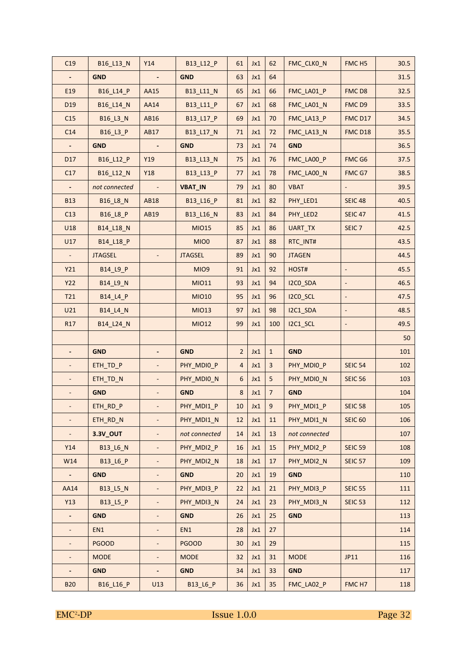| C <sub>19</sub> | B16_L13_N       | Y14                      | B13_L12_P      | 61               | Jx1 | 62               | FMC_CLKO_N    | FMC <sub>H5</sub>            | 30.5 |
|-----------------|-----------------|--------------------------|----------------|------------------|-----|------------------|---------------|------------------------------|------|
| ÷,              | <b>GND</b>      |                          | <b>GND</b>     | 63               | Jx1 | 64               |               |                              | 31.5 |
| E19             | B16_L14_P       | AA15                     | B13_L11_N      | 65               | Jx1 | 66               | FMC_LA01_P    | FMCD8                        | 32.5 |
| D <sub>19</sub> | B16_L14_N       | AA14                     | B13_L11_P      | 67               | Jx1 | 68               | FMC_LA01_N    | FMCD9                        | 33.5 |
| C15             | B16_L3_N        | AB16                     | B13_L17_P      | 69               | Jx1 | 70               | FMC_LA13_P    | FMC D17                      | 34.5 |
| C14             | B16_L3_P        | AB17                     | B13_L17_N      | 71               | Jx1 | 72               | FMC_LA13_N    | FMC D18                      | 35.5 |
|                 | <b>GND</b>      |                          | <b>GND</b>     | 73               | Jx1 | 74               | <b>GND</b>    |                              | 36.5 |
| D17             | B16_L12_P       | Y19                      | B13_L13_N      | 75               | Jx1 | 76               | FMC_LA00_P    | FMC G6                       | 37.5 |
| C17             | B16_L12_N       | Y18                      | B13_L13_P      | 77               | Jx1 | 78               | FMC_LA00_N    | FMC G7                       | 38.5 |
|                 | not connected   |                          | <b>VBAT_IN</b> | 79               | Jx1 | 80               | <b>VBAT</b>   |                              | 39.5 |
| <b>B13</b>      | <b>B16_L8_N</b> | AB18                     | B13_L16_P      | 81               | Jx1 | 82               | PHY_LED1      | <b>SEIC 48</b>               | 40.5 |
| C13             | B16_L8_P        | AB19                     | B13_L16_N      | 83               | Jx1 | 84               | PHY_LED2      | <b>SEIC 47</b>               | 41.5 |
| U18             | B14_L18_N       |                          | <b>MIO15</b>   | 85               | Jx1 | 86               | UART_TX       | SEIC <sub>7</sub>            | 42.5 |
| U17             | B14_L18_P       |                          | MIO0           | 87               | Jx1 | 88               | RTC INT#      |                              | 43.5 |
| $\blacksquare$  | <b>JTAGSEL</b>  |                          | <b>JTAGSEL</b> | 89               | Jx1 | 90               | <b>JTAGEN</b> |                              | 44.5 |
| Y21             | B14_L9_P        |                          | MIO9           | 91               | Jx1 | 92               | HOST#         | $\overline{\phantom{a}}$     | 45.5 |
| <b>Y22</b>      | <b>B14 L9 N</b> |                          | MI011          | 93               | Jx1 | 94               | I2CO_SDA      | $\overline{\phantom{a}}$     | 46.5 |
| T21             | B14_L4_P        |                          | <b>MIO10</b>   | 95               | Jx1 | 96               | I2CO_SCL      | $\overline{\phantom{a}}$     | 47.5 |
| U21             | <b>B14_L4_N</b> |                          | <b>MIO13</b>   | 97               | Jx1 | 98               | I2C1_SDA      | $\qquad \qquad \blacksquare$ | 48.5 |
| R17             | B14_L24_N       |                          | <b>MIO12</b>   | 99               | Jx1 | 100              | I2C1_SCL      | ٠                            | 49.5 |
|                 |                 |                          |                |                  |     |                  |               |                              | 50   |
|                 | <b>GND</b>      |                          | <b>GND</b>     | $\overline{2}$   | Jx1 | $\mathbf{1}$     | <b>GND</b>    |                              | 101  |
|                 | ETH_TD_P        | ÷,                       | PHY_MDIO_P     | 4                | Jx1 | $\overline{3}$   | PHY_MDI0_P    | <b>SEIC 54</b>               | 102  |
|                 | ETH_TD_N        |                          | PHY_MDIO_N     | $\boldsymbol{6}$ | Jx1 | 5                | PHY_MDIO_N    | <b>SEIC 56</b>               | 103  |
| $\blacksquare$  | <b>GND</b>      | ÷,                       | <b>GND</b>     | $\,8\,$          | Jx1 | $\overline{7}$   | <b>GND</b>    |                              | 104  |
|                 | ETH_RD_P        |                          | PHY_MDI1_P     | 10               | Jx1 | $\boldsymbol{9}$ | PHY_MDI1_P    | <b>SEIC 58</b>               | 105  |
|                 | ETH_RD_N        |                          | PHY_MDI1_N     | 12               | Jx1 | 11               | PHY_MDI1_N    | <b>SEIC 60</b>               | 106  |
| $\equiv$        | <b>3.3V_OUT</b> |                          | not connected  | 14               | Jx1 | 13               | not connected |                              | 107  |
| Y14             | <b>B13_L6_N</b> |                          | PHY MDI2 P     | 16               | Jx1 | 15               | PHY MDI2 P    | <b>SEIC 59</b>               | 108  |
| W14             | B13_L6_P        |                          | PHY_MDI2_N     | 18               | Jx1 | 17               | PHY_MDI2_N    | <b>SEIC 57</b>               | 109  |
| $\blacksquare$  | <b>GND</b>      |                          | <b>GND</b>     | 20               | Jx1 | 19               | <b>GND</b>    |                              | 110  |
| AA14            | <b>B13_L5_N</b> |                          | PHY_MDI3_P     | 22               | Jx1 | 21               | PHY_MDI3_P    | <b>SEIC 55</b>               | 111  |
| Y13             | <b>B13_L5_P</b> |                          | PHY_MDI3_N     | 24               | Jx1 | 23               | PHY MDI3 N    | <b>SEIC 53</b>               | 112  |
| $\blacksquare$  | <b>GND</b>      |                          | <b>GND</b>     | 26               | Jx1 | 25               | <b>GND</b>    |                              | 113  |
| ÷,              | EN1             | ÷,                       | EN1            | 28               | Jx1 | 27               |               |                              | 114  |
| $\mathbb{L}^2$  | <b>PGOOD</b>    | $\overline{\phantom{a}}$ | <b>PGOOD</b>   | 30               | Jx1 | 29               |               |                              | 115  |
| $\blacksquare$  | <b>MODE</b>     | $\blacksquare$           | <b>MODE</b>    | 32               | Jx1 | 31               | <b>MODE</b>   | JP11                         | 116  |
| ÷,              | <b>GND</b>      | $\blacksquare$           | <b>GND</b>     | 34               | Jx1 | 33               | <b>GND</b>    |                              | 117  |
|                 |                 |                          |                |                  |     |                  |               |                              |      |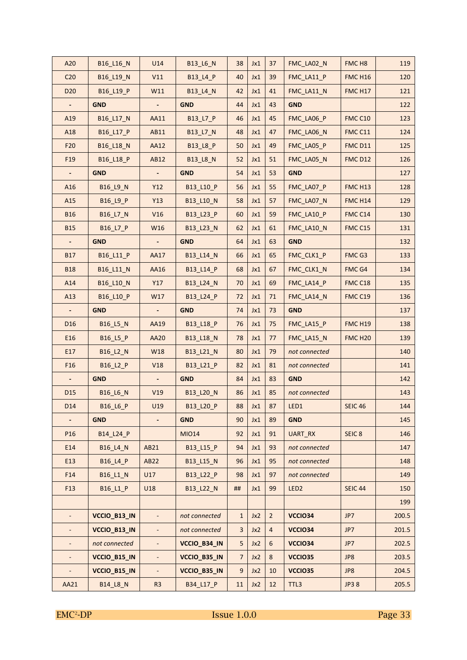| A20                      | B16_L16_N             | U14                         | B13_L6_N        | 38             | Jx1 | 37             | FMC_LA02_N       | FMC <sub>H8</sub>  | 119   |
|--------------------------|-----------------------|-----------------------------|-----------------|----------------|-----|----------------|------------------|--------------------|-------|
| C <sub>20</sub>          | B16_L19_N             | V11                         | B13_L4_P        | 40             | Jx1 | 39             | FMC_LA11_P       | <b>FMC H16</b>     | 120   |
| D <sub>20</sub>          | B16_L19_P             | W11                         | B13 L4 N        | 42             | Jx1 | 41             | FMC_LA11_N       | <b>FMC H17</b>     | 121   |
| $\blacksquare$           | <b>GND</b>            | ٠                           | <b>GND</b>      | 44             | Jx1 | 43             | <b>GND</b>       |                    | 122   |
| A19                      | B16_L17_N             | AA11                        | B13_L7_P        | 46             | Jx1 | 45             | FMC_LA06_P       | FMC C10            | 123   |
| A18                      | B16_L17_P             | AB11                        | B13_L7_N        | 48             | Jx1 | 47             | FMC_LA06_N       | FMC C11            | 124   |
| F <sub>20</sub>          | B16_L18_N             | AA12                        | B13_L8_P        | 50             | Jx1 | 49             | FMC LA05 P       | <b>FMC D11</b>     | 125   |
| F <sub>19</sub>          | B16_L18_P             | AB12                        | <b>B13_L8_N</b> | 52             | Jx1 | 51             | FMC_LA05_N       | <b>FMC D12</b>     | 126   |
|                          | <b>GND</b>            |                             | <b>GND</b>      | 54             | Jx1 | 53             | <b>GND</b>       |                    | 127   |
| A16                      | B16_L9_N              | Y12                         | B13_L10_P       | 56             | Jx1 | 55             | FMC_LA07_P       | FMC H13            | 128   |
| A15                      | B <sub>16_L9_P</sub>  | Y13                         | B13_L10_N       | 58             | Jx1 | 57             | FMC_LA07_N       | <b>FMC H14</b>     | 129   |
| <b>B16</b>               | <b>B16 L7 N</b>       | V16                         | B13_L23_P       | 60             | Jx1 | 59             | FMC_LA10_P       | FMC C14            | 130   |
| <b>B15</b>               | B16_L7_P              | W16                         | B13_L23_N       | 62             | Jx1 | 61             | FMC_LA10_N       | FMC C15            | 131   |
|                          | <b>GND</b>            |                             | <b>GND</b>      | 64             | Jx1 | 63             | <b>GND</b>       |                    | 132   |
| <b>B17</b>               | B16 L11 P             | AA17                        | B13_L14_N       | 66             | Jx1 | 65             | FMC_CLK1_P       | FMC G3             | 133   |
| <b>B18</b>               | B16_L11_N             | AA16                        | B13_L14_P       | 68             | Jx1 | 67             | FMC_CLK1_N       | FMC G4             | 134   |
| A14                      | B <sub>16_L10_N</sub> | Y17                         | B13_L24_N       | 70             | Jx1 | 69             | FMC_LA14_P       | FMCC18             | 135   |
| A13                      | B16_L10_P             | W17                         | B13 L24 P       | 72             | Jx1 | 71             | FMC LA14 N       | FMCC19             | 136   |
| $\overline{\phantom{0}}$ | <b>GND</b>            | $\blacksquare$              | <b>GND</b>      | 74             | Jx1 | 73             | <b>GND</b>       |                    | 137   |
| D <sub>16</sub>          | B16_L5_N              | AA19                        | B13_L18_P       | 76             | Jx1 | 75             | FMC_LA15_P       | <b>FMC H19</b>     | 138   |
| E16                      | B16_L5_P              | <b>AA20</b>                 | B13_L18_N       | 78             | Jx1 | 77             | FMC_LA15_N       | FMC <sub>H20</sub> | 139   |
| E17                      | B16_L2_N              | W18                         | B13_L21_N       | 80             | Jx1 | 79             | not connected    |                    | 140   |
| F16                      | B16_L2_P              | <b>V18</b>                  | B13_L21_P       | 82             | Jx1 | 81             | not connected    |                    | 141   |
|                          | <b>GND</b>            |                             | <b>GND</b>      | 84             | Jx1 | 83             | <b>GND</b>       |                    | 142   |
| D <sub>15</sub>          | B16_L6_N              | V19                         | B13_L20_N       | 86             | Jx1 | 85             | not connected    |                    | 143   |
| D <sub>14</sub>          | B16_L6_P              | U19                         | B13_L20_P       | 88             | Jx1 | 87             | LED1             | <b>SEIC 46</b>     | 144   |
| $\blacksquare$           | <b>GND</b>            | $\blacksquare$              | <b>GND</b>      | 90             | Jx1 | 89             | <b>GND</b>       |                    | 145   |
| P <sub>16</sub>          | B14_L24_P             |                             | <b>MIO14</b>    | 92             | Jx1 | 91             | UART_RX          | SEIC <sub>8</sub>  | 146   |
| E14                      | <b>B16_L4_N</b>       | AB21                        | B13_L15_P       | 94             | Jx1 | 93             | not connected    |                    | 147   |
| E13                      | B16_L4_P              | AB22                        | B13_L15_N       | 96             | Jx1 | 95             | not connected    |                    | 148   |
| F14                      | <b>B16 L1 N</b>       | U17                         | B13 L22 P       | 98             | Jx1 | 97             | not connected    |                    | 149   |
| F13                      | B16_L1_P              | U18                         | B13_L22_N       | ##             | Jx1 | 99             | LED <sub>2</sub> | <b>SEIC 44</b>     | 150   |
|                          |                       |                             |                 |                |     |                |                  |                    | 199   |
|                          | VCCIO_B13_IN          |                             | not connected   | $\mathbf{1}$   | Jx2 | $\overline{2}$ | VCCIO34          | JP7                | 200.5 |
|                          | VCCIO_B13_IN          |                             | not connected   | 3              | Jx2 | $\overline{4}$ | VCCIO34          | JP7                | 201.5 |
|                          | not connected         | ÷,                          | VCCIO_B34_IN    | 5              | Jx2 | 6              | VCCIO34          | JP7                | 202.5 |
| ÷,                       | VCCIO_B15_IN          | $\blacksquare$              | VCCIO_B35_IN    | $\overline{7}$ | Jx2 | 8              | VCCIO35          | JP8                | 203.5 |
| $\blacksquare$           | VCCIO_B15_IN          | $\mathcal{L}_{\mathcal{A}}$ | VCCIO_B35_IN    | $9$            | Jx2 | 10             | VCCIO35          | JP8                | 204.5 |
| AA21                     | <b>B14_L8_N</b>       | R <sub>3</sub>              | B34_L17_P       | 11             | Jx2 | 12             | TTL3             | JP38               | 205.5 |
|                          |                       |                             |                 |                |     |                |                  |                    |       |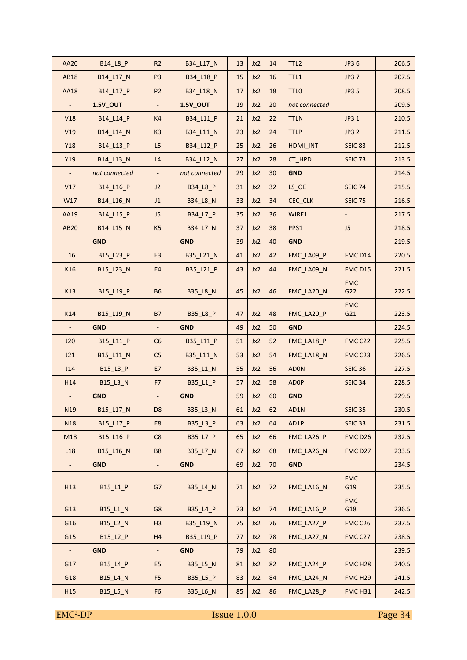| <b>AA20</b>              | B14_L8_P        | R <sub>2</sub>           | B34_L17_N       | 13 | Jx2 | 14 | TTL <sub>2</sub> | JP3 6               | 206.5 |
|--------------------------|-----------------|--------------------------|-----------------|----|-----|----|------------------|---------------------|-------|
| <b>AB18</b>              | B14_L17_N       | P <sub>3</sub>           | B34_L18_P       | 15 | Jx2 | 16 | TTL1             | <b>JP37</b>         | 207.5 |
| <b>AA18</b>              | B14_L17_P       | P <sub>2</sub>           | B34_L18_N       | 17 | Jx2 | 18 | <b>TTLO</b>      | <b>JP35</b>         | 208.5 |
|                          | <b>1.5V OUT</b> | $\blacksquare$           | <b>1.5V OUT</b> | 19 | Jx2 | 20 | not connected    |                     | 209.5 |
| V18                      | B14_L14_P       | K4                       | B34_L11_P       | 21 | Jx2 | 22 | <b>TTLN</b>      | JP3 1               | 210.5 |
| V19                      | B14_L14_N       | K <sub>3</sub>           | B34_L11_N       | 23 | Jx2 | 24 | <b>TTLP</b>      | <b>JP3 2</b>        | 211.5 |
| <b>Y18</b>               | B14 L13 P       | L5                       | B34 L12 P       | 25 | Jx2 | 26 | HDMI_INT         | <b>SEIC 83</b>      | 212.5 |
| Y19                      | B14 L13 N       | L4                       | B34 L12 N       | 27 | Jx2 | 28 | CT HPD           | <b>SEIC 73</b>      | 213.5 |
|                          | not connected   | $\overline{\phantom{a}}$ | not connected   | 29 | Jx2 | 30 | <b>GND</b>       |                     | 214.5 |
| V17                      | B14_L16_P       | J2                       | B34_L8_P        | 31 | Jx2 | 32 | LS OE            | <b>SEIC 74</b>      | 215.5 |
| W17                      | B14_L16_N       | J1                       | <b>B34_L8_N</b> | 33 | Jx2 | 34 | CEC_CLK          | <b>SEIC 75</b>      | 216.5 |
| AA19                     | B14_L15_P       | J <sub>5</sub>           | B34_L7_P        | 35 | Jx2 | 36 | WIRE1            |                     | 217.5 |
| <b>AB20</b>              | B14_L15_N       | K <sub>5</sub>           | B34_L7_N        | 37 | Jx2 | 38 | PPS1             | J <sub>5</sub>      | 218.5 |
|                          | <b>GND</b>      |                          | <b>GND</b>      | 39 | Jx2 | 40 | <b>GND</b>       |                     | 219.5 |
| L <sub>16</sub>          | B15_L23_P       | E <sub>3</sub>           | B35_L21_N       | 41 | Jx2 | 42 | FMC LA09 P       | FMC D14             | 220.5 |
| K16                      | B15_L23_N       | E4                       | B35_L21_P       | 43 | Jx2 | 44 | FMC LA09 N       | FMC D15             | 221.5 |
| K13                      | B15_L19_P       | <b>B6</b>                | <b>B35_L8_N</b> | 45 | Jx2 | 46 | FMC_LA20_N       | <b>FMC</b><br>G22   | 222.5 |
| K14                      | B15_L19_N       | <b>B7</b>                | B35_L8_P        | 47 | Jx2 | 48 | FMC LA20 P       | <b>FMC</b><br>G21   | 223.5 |
|                          | <b>GND</b>      |                          | <b>GND</b>      | 49 | Jx2 | 50 | <b>GND</b>       |                     | 224.5 |
| J20                      | B15_L11_P       | C6                       | B35_L11_P       | 51 | Jx2 | 52 | FMC_LA18_P       | FMC C22             | 225.5 |
| J21                      | B15_L11_N       | C <sub>5</sub>           | B35_L11_N       | 53 | Jx2 | 54 | FMC_LA18_N       | FMCC23              | 226.5 |
| J14                      | B15_L3_P        | E7                       | B35_L1_N        | 55 | Jx2 | 56 | <b>ADON</b>      | <b>SEIC 36</b>      | 227.5 |
| H14                      | B15_L3_N        | F7                       | B35_L1_P        | 57 | Jx2 | 58 | <b>ADOP</b>      | <b>SEIC 34</b>      | 228.5 |
| $\overline{\phantom{a}}$ | <b>GND</b>      | $\overline{\phantom{a}}$ | <b>GND</b>      | 59 | Jx2 | 60 | <b>GND</b>       |                     | 229.5 |
| N <sub>19</sub>          | B15_L17_N       | D <sub>8</sub>           | B35_L3_N        | 61 | Jx2 | 62 | AD1N             | <b>SEIC 35</b>      | 230.5 |
| N18                      | B15_L17_P       | E8                       | B35_L3_P        | 63 | Jx2 | 64 | AD1P             | <b>SEIC 33</b>      | 231.5 |
| M18                      | B15 L16 P       | C8                       | B35_L7_P        | 65 | Jx2 | 66 | FMC_LA26_P       | FMCD <sub>26</sub>  | 232.5 |
| L18                      | B15_L16_N       | <b>B8</b>                | <b>B35 L7 N</b> | 67 | Jx2 | 68 | FMC_LA26_N       | FMC D27             | 233.5 |
| $\overline{\phantom{a}}$ | <b>GND</b>      | $\overline{\phantom{a}}$ | <b>GND</b>      | 69 | Jx2 | 70 | <b>GND</b>       |                     | 234.5 |
| H <sub>13</sub>          | B15_L1_P        | G7                       | B35 L4 N        | 71 | Jx2 | 72 | FMC LA16 N       | <b>FMC</b><br>G19   | 235.5 |
| G13                      | B15_L1_N        | G8                       | B35_L4_P        | 73 | Jx2 | 74 | FMC_LA16_P       | <b>FMC</b><br>G18   | 236.5 |
| G16                      | B15 L2 N        | H <sub>3</sub>           | B35_L19_N       | 75 | Jx2 | 76 | FMC_LA27_P       | FMCC26              | 237.5 |
| G15                      | B15 L2 P        | H4                       | B35_L19_P       | 77 | Jx2 | 78 | FMC_LA27_N       | FMC C27             | 238.5 |
| $\blacksquare$           | <b>GND</b>      | $\blacksquare$           | <b>GND</b>      | 79 | Jx2 | 80 |                  |                     | 239.5 |
| G17                      | B15_L4_P        | E <sub>5</sub>           | B35_L5_N        | 81 | Jx2 | 82 | FMC_LA24_P       | FMC H <sub>28</sub> | 240.5 |
| G18                      | B15_L4_N        | F <sub>5</sub>           | B35_L5_P        | 83 | Jx2 | 84 | FMC LA24 N       | FMC <sub>H29</sub>  | 241.5 |
| H <sub>15</sub>          | B15_L5_N        | F <sub>6</sub>           | <b>B35_L6_N</b> | 85 | Jx2 | 86 | FMC_LA28_P       | FMC H31             | 242.5 |
|                          |                 |                          |                 |    |     |    |                  |                     |       |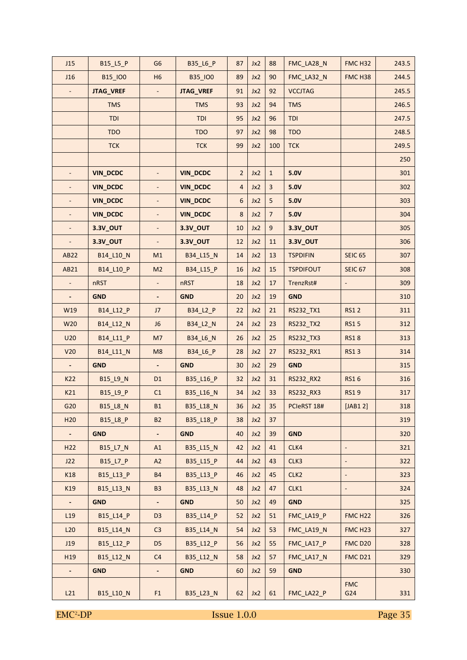| J15                      | B15_L5_P         | G <sub>6</sub>           | B35_L6_P        | 87             | Jx2 | 88             | FMC_LA28_N       | FMC H32                  | 243.5 |
|--------------------------|------------------|--------------------------|-----------------|----------------|-----|----------------|------------------|--------------------------|-------|
| J16                      | B15_IO0          | H <sub>6</sub>           | B35_IO0         | 89             | Jx2 | 90             | FMC_LA32_N       | FMC H38                  | 244.5 |
|                          | <b>JTAG_VREF</b> |                          | JTAG_VREF       | 91             | Jx2 | 92             | <b>VCCJTAG</b>   |                          | 245.5 |
|                          | <b>TMS</b>       |                          | <b>TMS</b>      | 93             | Jx2 | 94             | <b>TMS</b>       |                          | 246.5 |
|                          | <b>TDI</b>       |                          | <b>TDI</b>      | 95             | Jx2 | 96             | <b>TDI</b>       |                          | 247.5 |
|                          | <b>TDO</b>       |                          | <b>TDO</b>      | 97             | Jx2 | 98             | <b>TDO</b>       |                          | 248.5 |
|                          | <b>TCK</b>       |                          | <b>TCK</b>      | 99             | Jx2 | 100            | <b>TCK</b>       |                          | 249.5 |
|                          |                  |                          |                 |                |     |                |                  |                          | 250   |
|                          | <b>VIN_DCDC</b>  |                          | <b>VIN_DCDC</b> | $\overline{2}$ | Jx2 | $\mathbf 1$    | 5.0V             |                          | 301   |
|                          | <b>VIN_DCDC</b>  |                          | <b>VIN_DCDC</b> | $\overline{4}$ | Jx2 | 3              | 5.0V             |                          | 302   |
|                          | <b>VIN_DCDC</b>  | $\blacksquare$           | <b>VIN_DCDC</b> | 6              | Jx2 | 5              | 5.0V             |                          | 303   |
|                          | <b>VIN_DCDC</b>  | $\Box$                   | <b>VIN_DCDC</b> | 8              | Jx2 | $\overline{7}$ | 5.0V             |                          | 304   |
| $\overline{\phantom{a}}$ | 3.3V_OUT         | $\overline{\phantom{a}}$ | 3.3V_OUT        | 10             | Jx2 | $\mathsf g$    | 3.3V_OUT         |                          | 305   |
| $\overline{\phantom{a}}$ | 3.3V_OUT         | $\overline{\phantom{a}}$ | 3.3V_OUT        | 12             | Jx2 | 11             | 3.3V_OUT         |                          | 306   |
| <b>AB22</b>              | B14_L10_N        | M1                       | B34_L15_N       | 14             | Jx2 | 13             | <b>TSPDIFIN</b>  | <b>SEIC 65</b>           | 307   |
| AB21                     | B14_L10_P        | M <sub>2</sub>           | B34 L15 P       | 16             | Jx2 | 15             | <b>TSPDIFOUT</b> | <b>SEIC 67</b>           | 308   |
| $\blacksquare$           | nRST             | $\overline{\phantom{a}}$ | nRST            | 18             | Jx2 | 17             | TrenzRst#        | $\Box$                   | 309   |
|                          | <b>GND</b>       | $\overline{\phantom{a}}$ | <b>GND</b>      | 20             | Jx2 | 19             | <b>GND</b>       |                          | 310   |
| W19                      | B14_L12_P        | J7                       | B34_L2_P        | 22             | Jx2 | 21             | RS232_TX1        | <b>RS12</b>              | 311   |
| W20                      | B14_L12_N        | J6                       | B34_L2_N        | 24             | Jx2 | 23             | RS232_TX2        | <b>RS15</b>              | 312   |
| U20                      | B14_L11_P        | M <sub>7</sub>           | <b>B34_L6_N</b> | 26             | Jx2 | 25             | RS232_TX3        | <b>RS18</b>              | 313   |
| V <sub>20</sub>          | B14_L11_N        | M8                       | B34_L6_P        | 28             | Jx2 | 27             | RS232_RX1        | <b>RS13</b>              | 314   |
| $\overline{\phantom{a}}$ | <b>GND</b>       | $\overline{\phantom{a}}$ | <b>GND</b>      | 30             | Jx2 | 29             | <b>GND</b>       |                          | 315   |
| K22                      | B15_L9_N         | D <sub>1</sub>           | B35_L16_P       | 32             | Jx2 | 31             | RS232_RX2        | <b>RS16</b>              | 316   |
| K21                      | B15_L9_P         | C1                       | B35_L16_N       | 34             | Jx2 | 33             | RS232_RX3        | <b>RS19</b>              | 317   |
| G20                      | $B15_lB_N$       | <b>B1</b>                | B35_L18_N       | 36             | Jx2 | 35             | PCIeRST 18#      | $[JAB1 2]$               | 318   |
| H <sub>20</sub>          | B15_L8_P         | <b>B2</b>                | B35_L18_P       | 38             | Jx2 | 37             |                  |                          | 319   |
| $\sim$                   | <b>GND</b>       | $\blacksquare$           | <b>GND</b>      | 40             | Jx2 | 39             | <b>GND</b>       |                          | 320   |
| H <sub>22</sub>          | <b>B15_L7_N</b>  | A1                       | B35 L15 N       | 42             | Jx2 | 41             | CLK4             | $\overline{\phantom{a}}$ | 321   |
| J22                      | B15_L7_P         | A2                       | B35_L15_P       | 44             | Jx2 | 43             | CLK3             |                          | 322   |
| K18                      | B15_L13_P        | <b>B4</b>                | B35 L13 P       | 46             | Jx2 | 45             | CLK <sub>2</sub> | $\overline{\phantom{a}}$ | 323   |
| K19                      | B15_L13_N        | <b>B3</b>                | B35_L13_N       | 48             | Jx2 | 47             | CLK1             | $\overline{\phantom{a}}$ | 324   |
|                          | <b>GND</b>       | $\blacksquare$           | <b>GND</b>      | 50             | Jx2 | 49             | <b>GND</b>       |                          | 325   |
| L19                      | B15_L14_P        | D <sub>3</sub>           | B35_L14_P       | 52             | Jx2 | 51             | FMC_LA19_P       | FMC H <sub>22</sub>      | 326   |
| L20                      | B15_L14_N        | C <sub>3</sub>           | B35_L14_N       | 54             | Jx2 | 53             | FMC_LA19_N       | FMC H <sub>23</sub>      | 327   |
| J19                      | B15_L12_P        | D <sub>5</sub>           | B35_L12_P       | 56             | Jx2 | 55             | FMC_LA17_P       | <b>FMC D20</b>           | 328   |
| H19                      | B15_L12_N        | C <sub>4</sub>           | B35_L12_N       | 58             | Jx2 | 57             | FMC_LA17_N       | <b>FMC D21</b>           | 329   |
| $\blacksquare$           | <b>GND</b>       | $\blacksquare$           | <b>GND</b>      | 60             | Jx2 | 59             | <b>GND</b>       |                          | 330   |
| L21                      | B15_L10_N        | F <sub>1</sub>           | B35_L23_N       | 62             | Jx2 | 61             | FMC_LA22_P       | <b>FMC</b><br>G24        | 331   |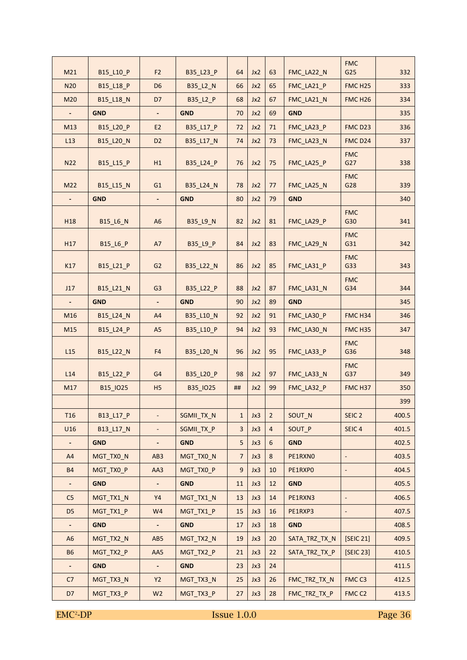| M21                      | B15_L10_P  | F <sub>2</sub>  | B35 L23 P  | 64               | Jx2 | 63               | FMC_LA22_N    | <b>FMC</b><br>G25   | 332   |
|--------------------------|------------|-----------------|------------|------------------|-----|------------------|---------------|---------------------|-------|
| <b>N20</b>               | B15 L18 P  | D <sub>6</sub>  | B35 L2 N   | 66               | Jx2 | 65               | FMC LA21 P    | FMC <sub>H25</sub>  | 333   |
| M20                      | B15_L18_N  | D7              | B35 L2 P   | 68               | Jx2 | 67               | FMC LA21 N    | FMC <sub>H26</sub>  | 334   |
| $\blacksquare$           | <b>GND</b> | $\blacksquare$  | <b>GND</b> | 70               | Jx2 | 69               | <b>GND</b>    |                     | 335   |
| M13                      | B15_L20_P  | E <sub>2</sub>  | B35_L17_P  | 72               | Jx2 | 71               | FMC LA23 P    | FMC D <sub>23</sub> | 336   |
| L13                      | B15_L20_N  | D <sub>2</sub>  | B35_L17_N  | 74               | Jx2 | 73               | FMC LA23 N    | FMC D24             | 337   |
| <b>N22</b>               | B15_L15_P  | H1              | B35_L24_P  | 76               | Jx2 | 75               | FMC_LA25_P    | <b>FMC</b><br>G27   | 338   |
| M22                      | B15 L15 N  | G1              | B35 L24 N  | 78               | Jx2 | 77               | FMC LA25 N    | <b>FMC</b><br>G28   | 339   |
| $\overline{\phantom{a}}$ | <b>GND</b> | $\blacksquare$  | <b>GND</b> | 80               | Jx2 | 79               | <b>GND</b>    |                     | 340   |
| H <sub>18</sub>          | B15_L6_N   | A <sub>6</sub>  | B35_L9_N   | 82               | Jx2 | 81               | FMC LA29 P    | <b>FMC</b><br>G30   | 341   |
| H17                      | B15 L6 P   | A7              | B35_L9_P   | 84               | Jx2 | 83               | FMC_LA29_N    | <b>FMC</b><br>G31   | 342   |
| K17                      | B15_L21_P  | G <sub>2</sub>  | B35_L22_N  | 86               | Jx2 | 85               | FMC_LA31_P    | <b>FMC</b><br>G33   | 343   |
| J17                      | B15_L21_N  | G <sub>3</sub>  | B35_L22_P  | 88               | Jx2 | 87               | FMC_LA31_N    | <b>FMC</b><br>G34   | 344   |
|                          | <b>GND</b> |                 | <b>GND</b> | 90               | Jx2 | 89               | <b>GND</b>    |                     | 345   |
| M16                      | B15_L24_N  | A4              | B35_L10_N  | 92               | Jx2 | 91               | FMC LA30 P    | FMC <sub>H34</sub>  | 346   |
| M15                      | B15 L24 P  | A <sub>5</sub>  | B35 L10 P  | 94               | Jx2 | 93               | FMC LA30 N    | FMC <sub>H35</sub>  | 347   |
| L15                      | B15_L22_N  | F4              | B35_L20_N  | 96               | Jx2 | 95               | FMC_LA33_P    | <b>FMC</b><br>G36   | 348   |
| L14                      | B15_L22_P  | G <sub>4</sub>  | B35_L20_P  | 98               | Jx2 | 97               | FMC_LA33_N    | <b>FMC</b><br>G37   | 349   |
| M17                      | B15_IO25   | H <sub>5</sub>  | B35_IO25   | ##               | Jx2 | 99               | FMC_LA32_P    | FMC H37             | 350   |
|                          |            |                 |            |                  |     |                  |               |                     | 399   |
| <b>T16</b>               | B13_L17_P  | $\blacksquare$  | SGMII_TX_N | $\mathbf{1}$     | Jx3 | $\overline{2}$   | SOUT_N        | SEIC <sub>2</sub>   | 400.5 |
| U16                      | B13 L17 N  | ÷               | SGMII_TX_P | 3                | Jx3 | $\overline{4}$   | SOUT P        | SEIC <sub>4</sub>   | 401.5 |
|                          | <b>GND</b> |                 | <b>GND</b> | 5                | Jx3 | $\boldsymbol{6}$ | <b>GND</b>    |                     | 402.5 |
| A4                       | MGT_TX0_N  | AB <sub>3</sub> | MGT_TX0_N  | $\overline{7}$   | Jx3 | $8\phantom{1}$   | PE1RXNO       | ÷,                  | 403.5 |
| <b>B4</b>                | MGT_TX0_P  | AA3             | MGT TXO P  | $\boldsymbol{9}$ | Jx3 | 10               | PE1RXPO       | -                   | 404.5 |
|                          | <b>GND</b> |                 | <b>GND</b> | 11               | Jx3 | 12               | <b>GND</b>    |                     | 405.5 |
| C <sub>5</sub>           | MGT_TX1_N  | Y4              | MGT_TX1_N  | 13               | Jx3 | 14               | PE1RXN3       | ÷,                  | 406.5 |
| D <sub>5</sub>           | MGT_TX1_P  | W4              | MGT_TX1_P  | 15               | Jx3 | 16               | PE1RXP3       |                     | 407.5 |
| $\overline{\phantom{a}}$ | <b>GND</b> | ٠               | <b>GND</b> | 17               | Jx3 | 18               | <b>GND</b>    |                     | 408.5 |
| A <sub>6</sub>           | MGT_TX2_N  | AB5             | MGT_TX2_N  | 19               | Jx3 | 20               | SATA_TRZ_TX_N | [SEIC 21]           | 409.5 |
| <b>B6</b>                | MGT_TX2_P  | AA5             | MGT_TX2_P  | 21               | Jx3 | 22               | SATA_TRZ_TX_P | [SEIC 23]           | 410.5 |
|                          | <b>GND</b> | ٠               | <b>GND</b> | 23               | Jx3 | 24               |               |                     | 411.5 |
| C7                       | MGT_TX3_N  | <b>Y2</b>       | MGT_TX3_N  | 25               | Jx3 | 26               | FMC_TRZ_TX_N  | FMCC3               | 412.5 |
| D7                       | MGT_TX3_P  | W <sub>2</sub>  | MGT_TX3_P  | 27               | Jx3 | 28               | FMC_TRZ_TX_P  | FMC <sub>C2</sub>   | 413.5 |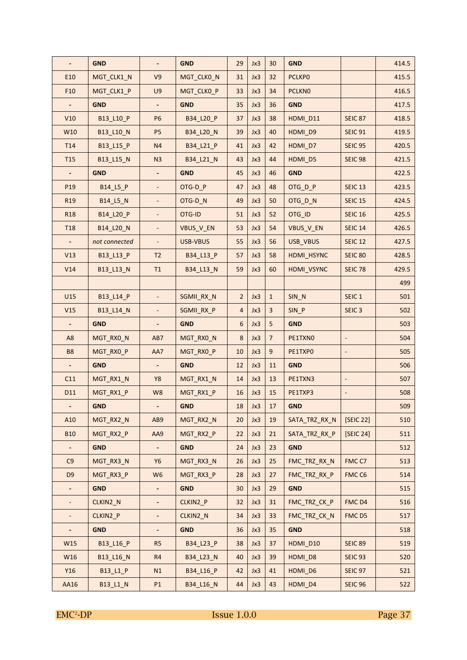|                 | <b>GND</b>    |                          | <b>GND</b> | 29               | Jx3 | 30             | <b>GND</b>    |                   | 414.5 |
|-----------------|---------------|--------------------------|------------|------------------|-----|----------------|---------------|-------------------|-------|
| E10             | MGT_CLK1_N    | V9                       | MGT_CLKO_N | 31               | Jx3 | 32             | <b>PCLKPO</b> |                   | 415.5 |
| F <sub>10</sub> | MGT_CLK1_P    | U9                       | MGT_CLKO_P | 33               | Jx3 | 34             | <b>PCLKNO</b> |                   | 416.5 |
|                 | <b>GND</b>    |                          | <b>GND</b> | 35               | Jx3 | 36             | <b>GND</b>    |                   | 417.5 |
| V10             | B13_L10_P     | P <sub>6</sub>           | B34_L20_P  | 37               | Jx3 | 38             | HDMI_D11      | <b>SEIC 87</b>    | 418.5 |
| W10             | B13_L10_N     | P <sub>5</sub>           | B34_L20_N  | 39               | Jx3 | 40             | HDMI_D9       | <b>SEIC 91</b>    | 419.5 |
| T <sub>14</sub> | B13 L15 P     | N4                       | B34 L21 P  | 41               | Jx3 | 42             | HDMI_D7       | <b>SEIC 95</b>    | 420.5 |
| <b>T15</b>      | B13_L15_N     | N <sub>3</sub>           | B34_L21_N  | 43               | Jx3 | 44             | HDMI_D5       | <b>SEIC 98</b>    | 421.5 |
|                 | <b>GND</b>    |                          | <b>GND</b> | 45               | Jx3 | 46             | <b>GND</b>    |                   | 422.5 |
| P <sub>19</sub> | B14_L5_P      |                          | OTG-D_P    | 47               | Jx3 | 48             | OTG_D_P       | <b>SEIC 13</b>    | 423.5 |
| R <sub>19</sub> | B14_L5_N      |                          | OTG-D_N    | 49               | Jx3 | 50             | OTG_D_N       | <b>SEIC 15</b>    | 424.5 |
| <b>R18</b>      | B14_L20_P     | $\blacksquare$           | OTG-ID     | 51               | Jx3 | 52             | OTG_ID        | <b>SEIC 16</b>    | 425.5 |
| <b>T18</b>      | B14_L20_N     | $\blacksquare$           | VBUS_V_EN  | 53               | Jx3 | 54             | VBUS_V_EN     | <b>SEIC 14</b>    | 426.5 |
|                 | not connected | $\blacksquare$           | USB-VBUS   | 55               | Jx3 | 56             | USB_VBUS      | <b>SEIC 12</b>    | 427.5 |
| V13             | B13_L13_P     | T <sub>2</sub>           | B34 L13 P  | 57               | Jx3 | 58             | HDMI HSYNC    | <b>SEIC 80</b>    | 428.5 |
| V14             | B13 L13 N     | T1                       | B34 L13 N  | 59               | Jx3 | 60             | HDMI VSYNC    | <b>SEIC 78</b>    | 429.5 |
|                 |               |                          |            |                  |     |                |               |                   | 499   |
| U15             | B13_L14_P     |                          | SGMII_RX_N | $\overline{2}$   | Jx3 | $\mathbf{1}$   | SIN_N         | SEIC <sub>1</sub> | 501   |
| V15             | B13_L14_N     |                          | SGMII_RX_P | $\overline{4}$   | Jx3 | $\overline{3}$ | SIN P         | SEIC <sub>3</sub> | 502   |
|                 | <b>GND</b>    |                          | <b>GND</b> | 6                | Jx3 | 5              | <b>GND</b>    |                   | 503   |
| A <sub>8</sub>  | MGT_RX0_N     | AB7                      | MGT_RX0_N  | $\boldsymbol{8}$ | Jx3 | $\overline{7}$ | PE1TXNO       |                   | 504   |
| B8              | MGT_RX0_P     | AA7                      | MGT_RX0_P  | 10               | Jx3 | $\mathsf g$    | PE1TXPO       |                   | 505   |
|                 | <b>GND</b>    |                          | <b>GND</b> | 12               | Jx3 | 11             | <b>GND</b>    |                   | 506   |
| C11             | MGT_RX1_N     | Y8                       | MGT_RX1_N  | 14               | Jx3 | 13             | PE1TXN3       |                   | 507   |
| D11             | MGT_RX1_P     | W8                       | MGT_RX1_P  | 16               | Jx3 | 15             | PE1TXP3       |                   | 508   |
|                 | <b>GND</b>    |                          | <b>GND</b> | 18               | Jx3 | 17             | <b>GND</b>    |                   | 509   |
| A10             | MGT_RX2_N     | AB9                      | MGT_RX2_N  | 20               | Jx3 | 19             | SATA_TRZ_RX_N | [SEIC 22]         | 510   |
| <b>B10</b>      | MGT_RX2_P     | AA9                      | MGT RX2 P  | 22               | Jx3 | 21             | SATA_TRZ_RX_P | [SEIC 24]         | 511   |
| ٠               | <b>GND</b>    | $\overline{\phantom{a}}$ | <b>GND</b> | 24               | Jx3 | 23             | <b>GND</b>    |                   | 512   |
| C9              | MGT_RX3_N     | <b>Y6</b>                | MGT_RX3_N  | 26               | Jx3 | 25             | FMC_TRZ_RX_N  | FMCC7             | 513   |
| D <sub>9</sub>  | MGT_RX3_P     | W <sub>6</sub>           | MGT_RX3_P  | 28               | Jx3 | 27             | FMC_TRZ_RX_P  | FMC <sub>C6</sub> | 514   |
| ٠               | <b>GND</b>    | $\overline{\phantom{a}}$ | <b>GND</b> | 30               | Jx3 | 29             | <b>GND</b>    |                   | 515   |
|                 | CLKIN2_N      |                          | CLKIN2_P   | 32               | Jx3 | 31             | FMC_TRZ_CK_P  | FMC D4            | 516   |
|                 | CLKIN2_P      |                          | CLKIN2_N   | 34               | Jx3 | 33             | FMC_TRZ_CK_N  | FMC D5            | 517   |
|                 | <b>GND</b>    |                          | <b>GND</b> | 36               | Jx3 | 35             | <b>GND</b>    |                   | 518   |
| W15             | B13_L16_P     | R <sub>5</sub>           | B34_L23_P  | 38               | Jx3 | 37             | HDMI_D10      | <b>SEIC 89</b>    | 519   |
| W16             | B13_L16_N     | R4                       | B34_L23_N  | 40               | Jx3 | 39             | HDMI_D8       | <b>SEIC 93</b>    | 520   |
| Y16             | B13_L1_P      | N1                       | B34_L16_P  | 42               | Jx3 | 41             | HDMI_D6       | <b>SEIC 97</b>    | 521   |
| AA16            | B13_L1_N      | P1                       | B34_L16_N  | 44               | Jx3 | 43             | HDMI_D4       | <b>SEIC 96</b>    | 522   |